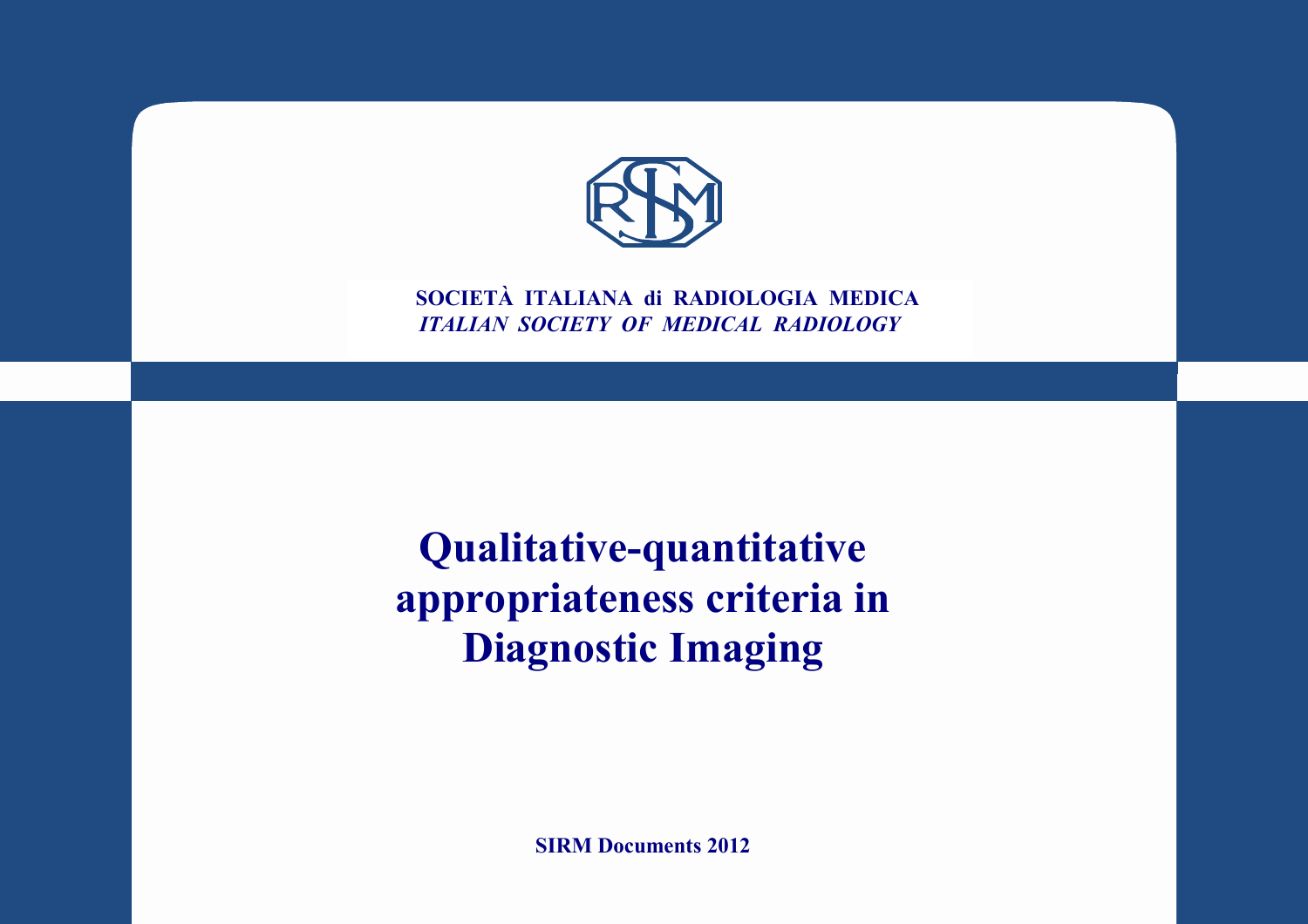

**SOCIETÀ ITALIANA di RADIOLOGIA MEDICA** *ITALIAN SOCIETY OF MEDICAL RADIOLOGY*

**Qualitative-quantitative appropriateness criteria in Diagnostic Imaging**

**SIRM Documents 2012**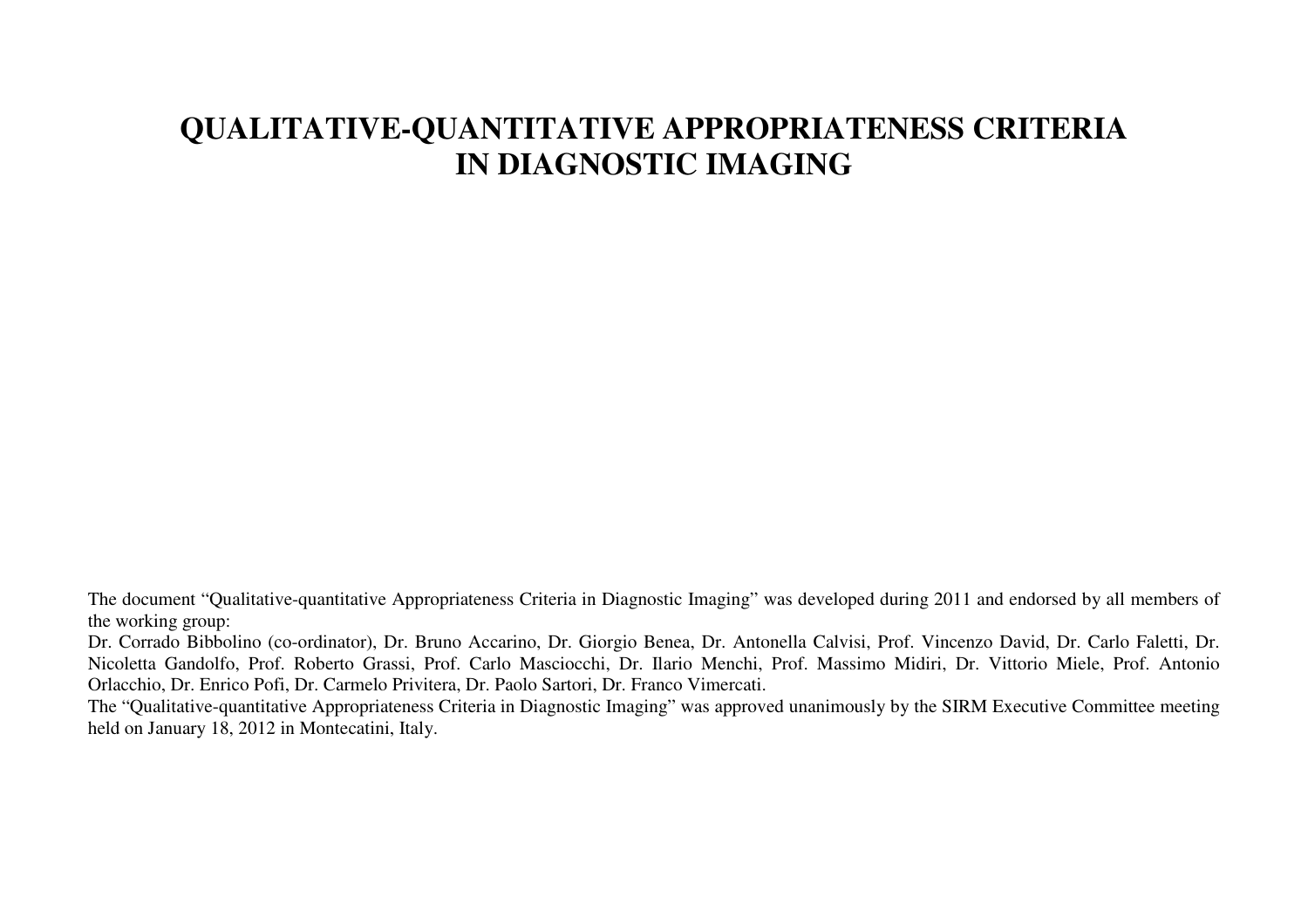## **QUALITATIVE-QUANTITATIVE APPROPRIATENESS CRITERIA IN DIAGNOSTIC IMAGING**

The document "Qualitative-quantitative Appropriateness Criteria in Diagnostic Imaging" was developed during 2011 and endorsed by all members of the working group:

Dr. Corrado Bibbolino (co-ordinator), Dr. Bruno Accarino, Dr. Giorgio Benea, Dr. Antonella Calvisi, Prof. Vincenzo David, Dr. Carlo Faletti, Dr. Nicoletta Gandolfo, Prof. Roberto Grassi, Prof. Carlo Masciocchi, Dr. Ilario Menchi, Prof. Massimo Midiri, Dr. Vittorio Miele, Prof. Antonio Orlacchio, Dr. Enrico Pofi, Dr. Carmelo Privitera, Dr. Paolo Sartori, Dr. Franco Vimercati.

The "Qualitative-quantitative Appropriateness Criteria in Diagnostic Imaging" was approved unanimously by the SIRM Executive Committee meeting held on January 18, 2012 in Montecatini, Italy.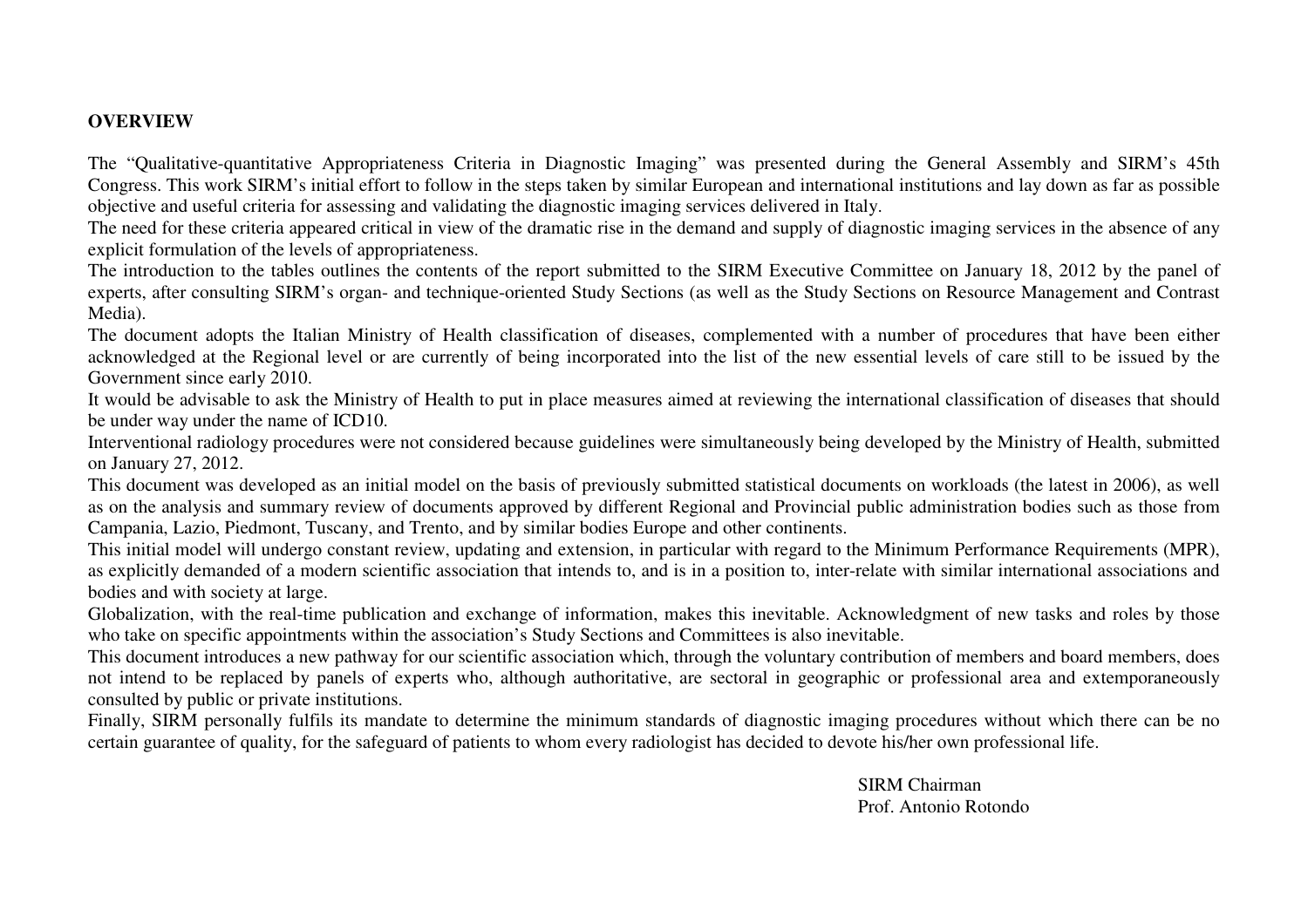## **OVERVIEW**

The "Qualitative-quantitative Appropriateness Criteria in Diagnostic Imaging" was presented during the General Assembly and SIRM's 45th Congress. This work SIRM's initial effort to follow in the steps taken by similar European and international institutions and lay down as far as possible objective and useful criteria for assessing and validating the diagnostic imaging services delivered in Italy.

The need for these criteria appeared critical in view of the dramatic rise in the demand and supply of diagnostic imaging services in the absence of any explicit formulation of the levels of appropriateness.

The introduction to the tables outlines the contents of the report submitted to the SIRM Executive Committee on January 18, 2012 by the panel of experts, after consulting SIRM's organ- and technique-oriented Study Sections (as well as the Study Sections on Resource Management and Contrast Media).

The document adopts the Italian Ministry of Health classification of diseases, complemented with a number of procedures that have been either acknowledged at the Regional level or are currently of being incorporated into the list of the new essential levels of care still to be issued by the Government since early 2010.

It would be advisable to ask the Ministry of Health to put in place measures aimed at reviewing the international classification of diseases that should be under way under the name of ICD10.

Interventional radiology procedures were not considered because guidelines were simultaneously being developed by the Ministry of Health, submitted on January 27, 2012.

This document was developed as an initial model on the basis of previously submitted statistical documents on workloads (the latest in 2006), as well as on the analysis and summary review of documents approved by different Regional and Provincial public administration bodies such as those from Campania, Lazio, Piedmont, Tuscany, and Trento, and by similar bodies Europe and other continents.

This initial model will undergo constant review, updating and extension, in particular with regard to the Minimum Performance Requirements (MPR), as explicitly demanded of a modern scientific association that intends to, and is in a position to, inter-relate with similar international associations and bodies and with society at large.

Globalization, with the real-time publication and exchange of information, makes this inevitable. Acknowledgment of new tasks and roles by those who take on specific appointments within the association's Study Sections and Committees is also inevitable.

This document introduces a new pathway for our scientific association which, through the voluntary contribution of members and board members, does not intend to be replaced by panels of experts who, although authoritative, are sectoral in geographic or professional area and extemporaneously consulted by public or private institutions.

Finally, SIRM personally fulfils its mandate to determine the minimum standards of diagnostic imaging procedures without which there can be no certain guarantee of quality, for the safeguard of patients to whom every radiologist has decided to devote his/her own professional life.

> SIRM Chairman Prof. Antonio Rotondo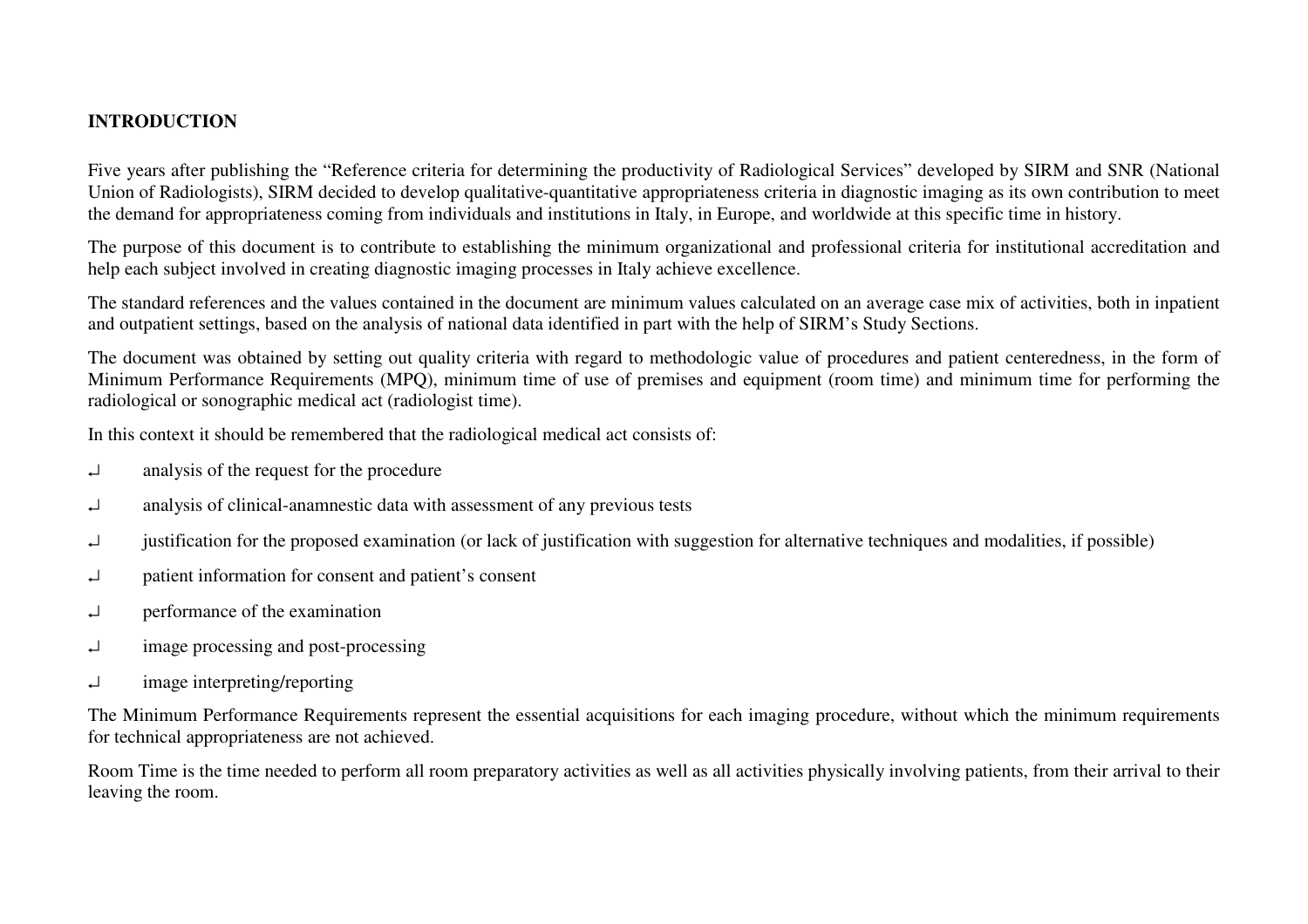## **INTRODUCTION**

Five years after publishing the "Reference criteria for determining the productivity of Radiological Services" developed by SIRM and SNR (National Union of Radiologists), SIRM decided to develop qualitative-quantitative appropriateness criteria in diagnostic imaging as its own contribution to meet the demand for appropriateness coming from individuals and institutions in Italy, in Europe, and worldwide at this specific time in history.

The purpose of this document is to contribute to establishing the minimum organizational and professional criteria for institutional accreditation and help each subject involved in creating diagnostic imaging processes in Italy achieve excellence.

The standard references and the values contained in the document are minimum values calculated on an average case mix of activities, both in inpatient and outpatient settings, based on the analysis of national data identified in part with the help of SIRM's Study Sections.

The document was obtained by setting out quality criteria with regard to methodologic value of procedures and patient centeredness, in the form of Minimum Performance Requirements (MPQ), minimum time of use of premises and equipment (room time) and minimum time for performing the radiological or sonographic medical act (radiologist time).

In this context it should be remembered that the radiological medical act consists of:

- ↵ analysis of the request for the procedure
- $\Box$  analysis of clinical-anamnestic data with assessment of any previous tests
- ↵ justification for the proposed examination (or lack of justification with suggestion for alternative techniques and modalities, if possible)
- ↵ patient information for consent and patient's consent
- ↵ performance of the examination
- ↵ image processing and post-processing
- ↵ image interpreting/reporting

The Minimum Performance Requirements represent the essential acquisitions for each imaging procedure, without which the minimum requirements for technical appropriateness are not achieved.

Room Time is the time needed to perform all room preparatory activities as well as all activities physically involving patients, from their arrival to their leaving the room.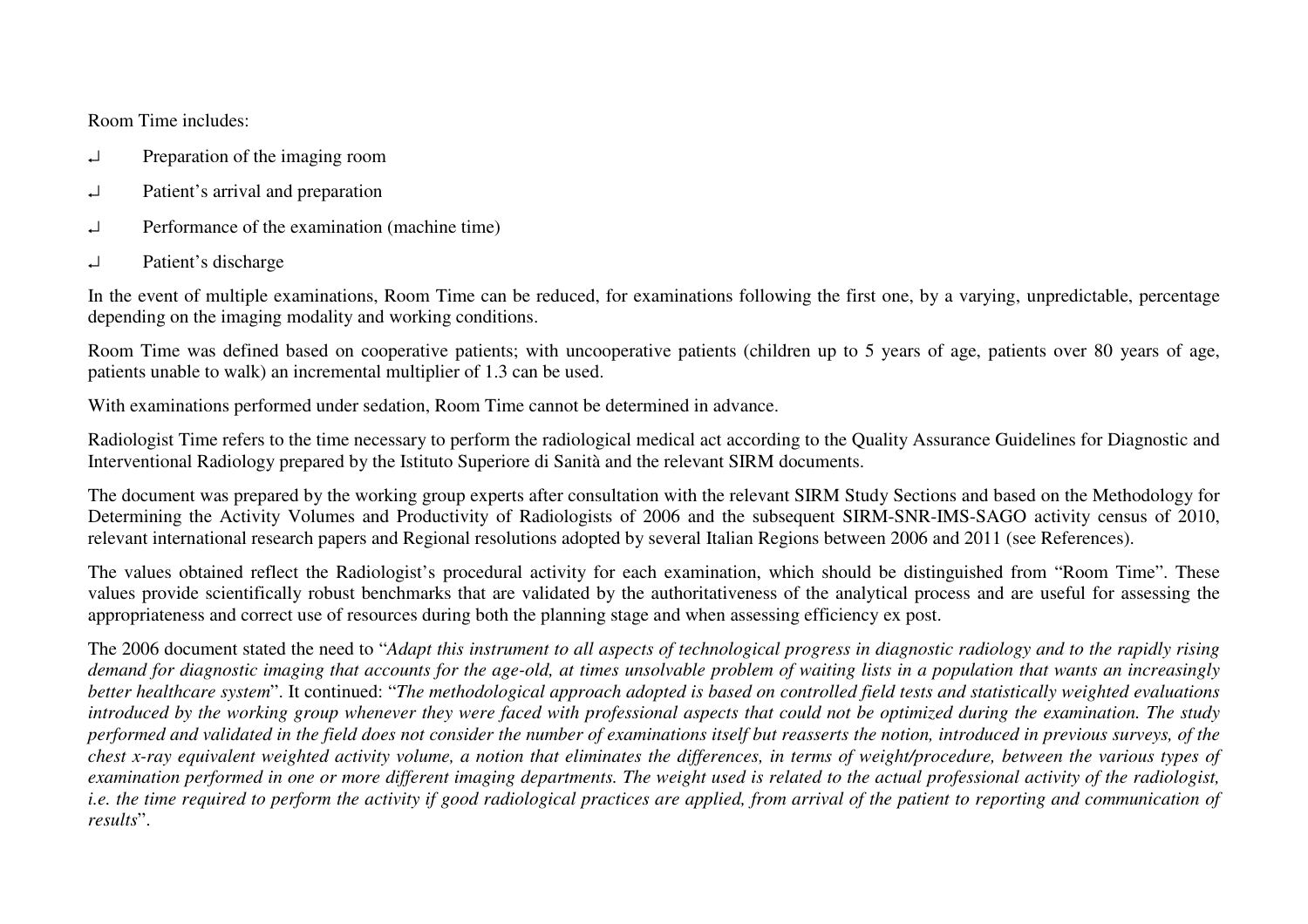Room Time includes:

- ↵ Preparation of the imaging room
- ↵ Patient's arrival and preparation
- ↵ Performance of the examination (machine time)
- ↵ Patient's discharge

In the event of multiple examinations, Room Time can be reduced, for examinations following the first one, by a varying, unpredictable, percentage depending on the imaging modality and working conditions.

Room Time was defined based on cooperative patients; with uncooperative patients (children up to 5 years of age, patients over 80 years of age, patients unable to walk) an incremental multiplier of 1.3 can be used.

With examinations performed under sedation, Room Time cannot be determined in advance.

Radiologist Time refers to the time necessary to perform the radiological medical act according to the Quality Assurance Guidelines for Diagnostic and Interventional Radiology prepared by the Istituto Superiore di Sanità and the relevant SIRM documents.

The document was prepared by the working group experts after consultation with the relevant SIRM Study Sections and based on the Methodology for Determining the Activity Volumes and Productivity of Radiologists of 2006 and the subsequent SIRM-SNR-IMS-SAGO activity census of 2010, relevant international research papers and Regional resolutions adopted by several Italian Regions between 2006 and 2011 (see References).

The values obtained reflect the Radiologist's procedural activity for each examination, which should be distinguished from "Room Time". These values provide scientifically robust benchmarks that are validated by the authoritativeness of the analytical process and are useful for assessing the appropriateness and correct use of resources during both the planning stage and when assessing efficiency ex post.

The 2006 document stated the need to "*Adapt this instrument to all aspects of technological progress in diagnostic radiology and to the rapidly rising demand for diagnostic imaging that accounts for the age-old, at times unsolvable problem of waiting lists in a population that wants an increasingly better healthcare system*". It continued: "*The methodological approach adopted is based on controlled field tests and statistically weighted evaluations introduced by the working group whenever they were faced with professional aspects that could not be optimized during the examination. The study performed and validated in the field does not consider the number of examinations itself but reasserts the notion, introduced in previous surveys, of the chest x-ray equivalent weighted activity volume, a notion that eliminates the differences, in terms of weight/procedure, between the various types of examination performed in one or more different imaging departments. The weight used is related to the actual professional activity of the radiologist, i.e. the time required to perform the activity if good radiological practices are applied, from arrival of the patient to reporting and communication of results*".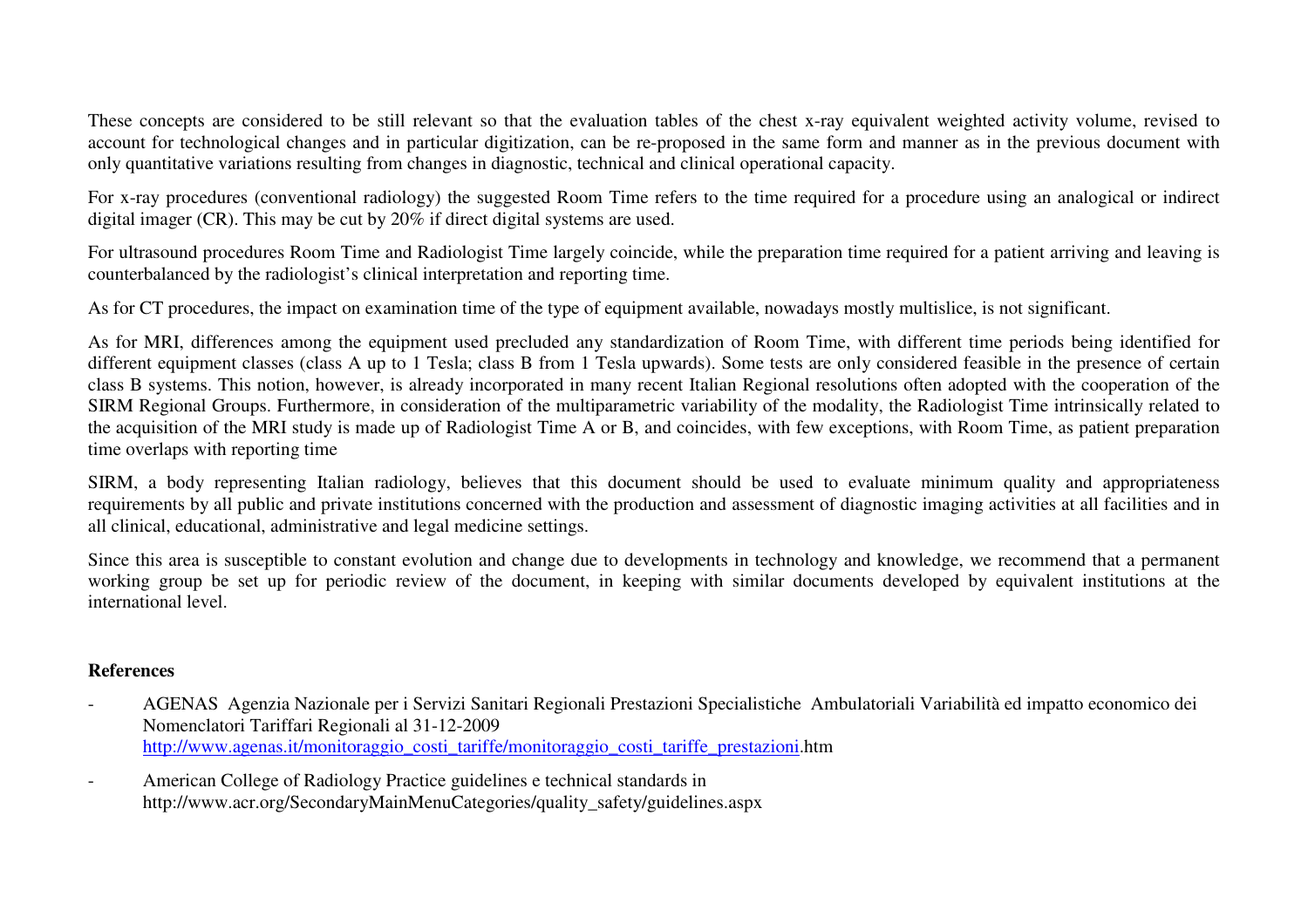These concepts are considered to be still relevant so that the evaluation tables of the chest x-ray equivalent weighted activity volume, revised to account for technological changes and in particular digitization, can be re-proposed in the same form and manner as in the previous document with only quantitative variations resulting from changes in diagnostic, technical and clinical operational capacity.

For x-ray procedures (conventional radiology) the suggested Room Time refers to the time required for a procedure using an analogical or indirect digital imager (CR). This may be cut by 20% if direct digital systems are used.

For ultrasound procedures Room Time and Radiologist Time largely coincide, while the preparation time required for a patient arriving and leaving is counterbalanced by the radiologist's clinical interpretation and reporting time.

As for CT procedures, the impact on examination time of the type of equipment available, nowadays mostly multislice, is not significant.

As for MRI, differences among the equipment used precluded any standardization of Room Time, with different time periods being identified for different equipment classes (class A up to 1 Tesla; class B from 1 Tesla upwards). Some tests are only considered feasible in the presence of certain class B systems. This notion, however, is already incorporated in many recent Italian Regional resolutions often adopted with the cooperation of the SIRM Regional Groups. Furthermore, in consideration of the multiparametric variability of the modality, the Radiologist Time intrinsically related to the acquisition of the MRI study is made up of Radiologist Time A or B, and coincides, with few exceptions, with Room Time, as patient preparation time overlaps with reporting time

SIRM, a body representing Italian radiology, believes that this document should be used to evaluate minimum quality and appropriateness requirements by all public and private institutions concerned with the production and assessment of diagnostic imaging activities at all facilities and in all clinical, educational, administrative and legal medicine settings.

Since this area is susceptible to constant evolution and change due to developments in technology and knowledge, we recommend that a permanent working group be set up for periodic review of the document, in keeping with similar documents developed by equivalent institutions at the international level.

## **References**

- AGENAS Agenzia Nazionale per i Servizi Sanitari Regionali Prestazioni Specialistiche Ambulatoriali Variabilità ed impatto economico dei Nomenclatori Tariffari Regionali al 31-12-2009 http://www.agenas.it/monitoraggio\_costi\_tariffe/monitoraggio\_costi\_tariffe\_prestazioni.htm
- American College of Radiology Practice guidelines e technical standards in http://www.acr.org/SecondaryMainMenuCategories/quality\_safety/guidelines.aspx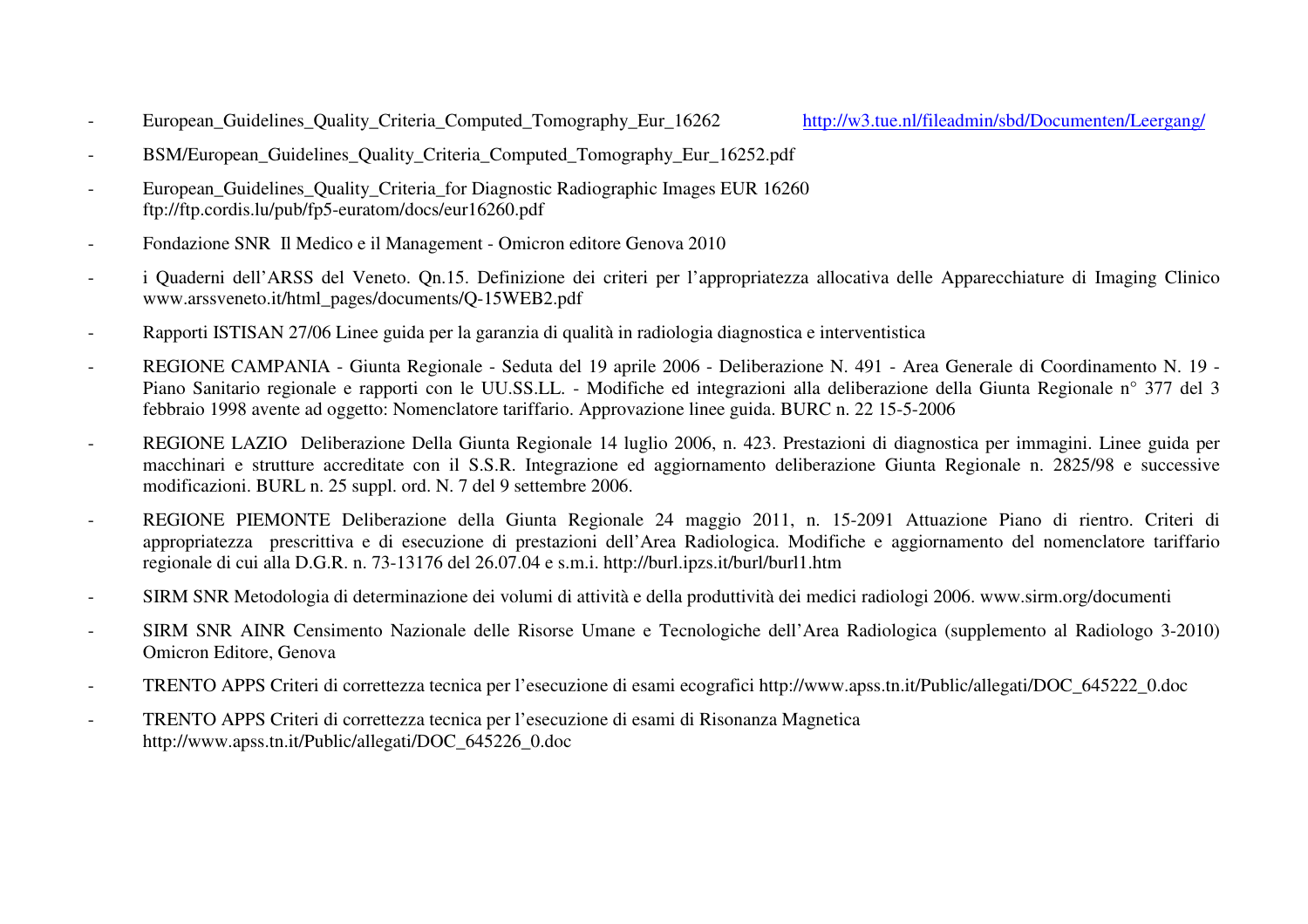- European Guidelines Quality Criteria Computed Tomography Eur 16262 http://w3.tue.nl/fileadmin/sbd/Documenten/Leergang/

- BSM/European Guidelines Quality Criteria Computed Tomography Eur 16252.pdf
- European Guidelines Quality Criteria for Diagnostic Radiographic Images EUR 16260 ftp://ftp.cordis.lu/pub/fp5-euratom/docs/eur16260.pdf
- Fondazione SNR Il Medico e il Management Omicron editore Genova 2010
- i Quaderni dell'ARSS del Veneto. Qn.15. Definizione dei criteri per l'appropriatezza allocativa delle Apparecchiature di Imaging Clinico www.arssveneto.it/html\_pages/documents/Q-15WEB2.pdf
- Rapporti ISTISAN 27/06 Linee guida per la garanzia di qualità in radiologia diagnostica e interventistica
- REGIONE CAMPANIA Giunta Regionale Seduta del 19 aprile 2006 Deliberazione N. 491 Area Generale di Coordinamento N. 19 Piano Sanitario regionale e rapporti con le UU.SS.LL. - Modifiche ed integrazioni alla deliberazione della Giunta Regionale n° 377 del 3 febbraio 1998 avente ad oggetto: Nomenclatore tariffario. Approvazione linee guida. BURC n. 22 15-5-2006
- REGIONE LAZIO Deliberazione Della Giunta Regionale 14 luglio 2006, n. 423. Prestazioni di diagnostica per immagini. Linee guida per macchinari e strutture accreditate con il S.S.R. Integrazione ed aggiornamento deliberazione Giunta Regionale n. 2825/98 e successive modificazioni. BURL n. 25 suppl. ord. N. 7 del 9 settembre 2006.
- REGIONE PIEMONTE Deliberazione della Giunta Regionale 24 maggio 2011, n. 15-2091 Attuazione Piano di rientro. Criteri di appropriatezza prescrittiva e di esecuzione di prestazioni dell'Area Radiologica. Modifiche e aggiornamento del nomenclatore tariffario regionale di cui alla D.G.R. n. 73-13176 del 26.07.04 e s.m.i. http://burl.ipzs.it/burl/burl1.htm
- SIRM SNR Metodologia di determinazione dei volumi di attività e della produttività dei medici radiologi 2006. www.sirm.org/documenti
- SIRM SNR AINR Censimento Nazionale delle Risorse Umane e Tecnologiche dell'Area Radiologica (supplemento al Radiologo 3-2010) Omicron Editore, Genova
- TRENTO APPS Criteri di correttezza tecnica per l'esecuzione di esami ecografici http://www.apss.tn.it/Public/allegati/DOC\_645222\_0.doc
- TRENTO APPS Criteri di correttezza tecnica per l'esecuzione di esami di Risonanza Magnetica http://www.apss.tn.it/Public/allegati/DOC\_645226\_0.doc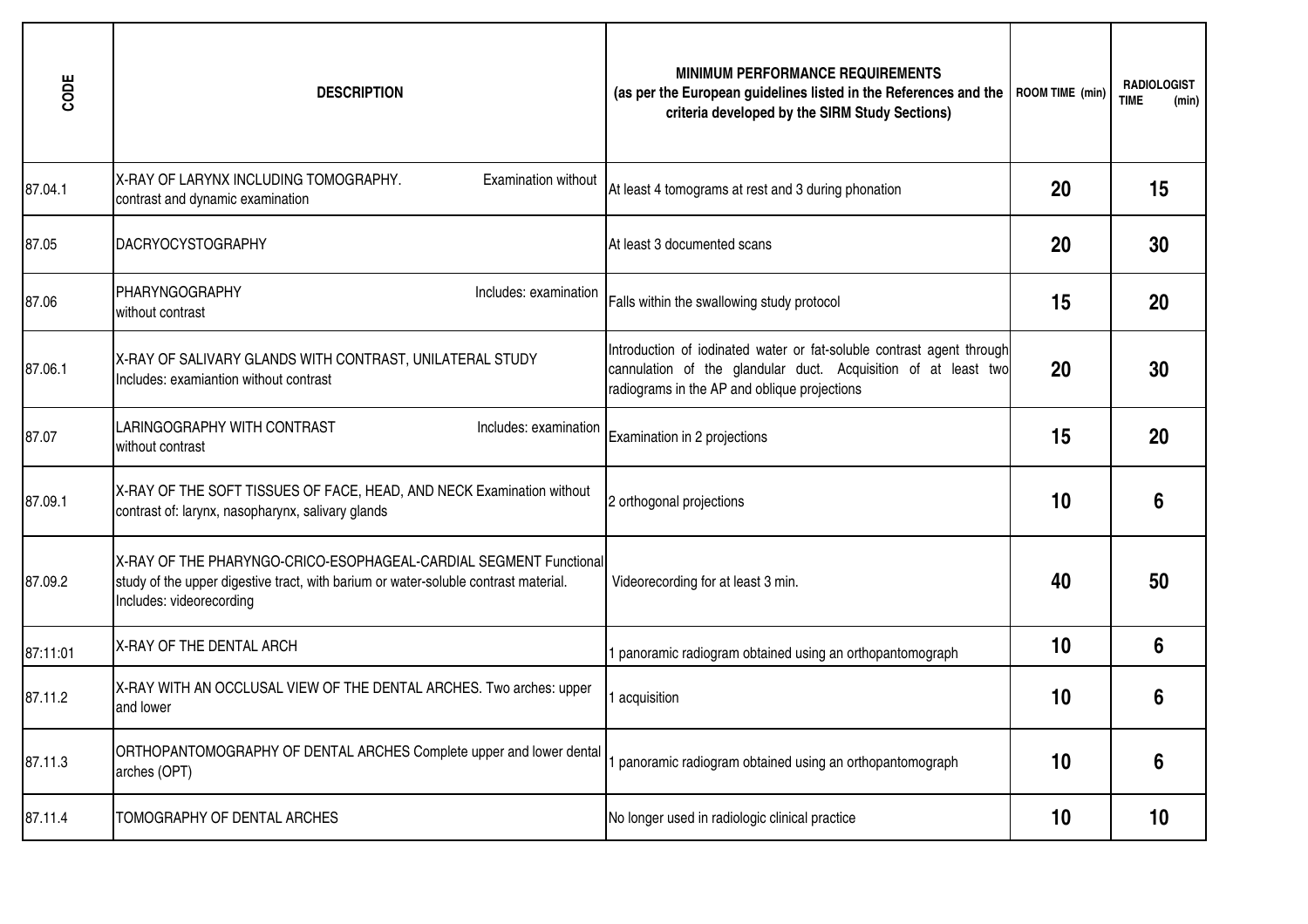| CODE     | <b>DESCRIPTION</b>                                                                                                                                                                   | <b>MINIMUM PERFORMANCE REQUIREMENTS</b><br>(as per the European guidelines listed in the References and the<br>criteria developed by the SIRM Study Sections)                           | ROOM TIME (min) | <b>RADIOLOGIST</b><br><b>TIME</b><br>(min) |
|----------|--------------------------------------------------------------------------------------------------------------------------------------------------------------------------------------|-----------------------------------------------------------------------------------------------------------------------------------------------------------------------------------------|-----------------|--------------------------------------------|
| 87.04.1  | X-RAY OF LARYNX INCLUDING TOMOGRAPHY.<br><b>Examination without</b><br>contrast and dynamic examination                                                                              | At least 4 tomograms at rest and 3 during phonation                                                                                                                                     | 20              | 15                                         |
| 87.05    | <b>DACRYOCYSTOGRAPHY</b>                                                                                                                                                             | At least 3 documented scans                                                                                                                                                             | 20              | 30                                         |
| 87.06    | <b>PHARYNGOGRAPHY</b><br>Includes: examination<br>without contrast                                                                                                                   | Falls within the swallowing study protocol                                                                                                                                              | 15              | 20                                         |
| 87.06.1  | X-RAY OF SALIVARY GLANDS WITH CONTRAST, UNILATERAL STUDY<br>Includes: examiantion without contrast                                                                                   | Introduction of iodinated water or fat-soluble contrast agent through<br>cannulation of the glandular duct. Acquisition of at least two<br>radiograms in the AP and oblique projections | 20              | 30                                         |
| 87.07    | LARINGOGRAPHY WITH CONTRAST<br>Includes: examination<br>without contrast                                                                                                             | Examination in 2 projections                                                                                                                                                            | 15              | 20                                         |
| 87.09.1  | X-RAY OF THE SOFT TISSUES OF FACE, HEAD, AND NECK Examination without<br>contrast of: larynx, nasopharynx, salivary glands                                                           | 2 orthogonal projections                                                                                                                                                                | 10              | 6                                          |
| 87.09.2  | X-RAY OF THE PHARYNGO-CRICO-ESOPHAGEAL-CARDIAL SEGMENT Functional<br>study of the upper digestive tract, with barium or water-soluble contrast material.<br>Includes: videorecording | Videorecording for at least 3 min.                                                                                                                                                      | 40              | 50                                         |
| 87:11:01 | X-RAY OF THE DENTAL ARCH                                                                                                                                                             | 1 panoramic radiogram obtained using an orthopantomograph                                                                                                                               | 10              | 6                                          |
| 87.11.2  | X-RAY WITH AN OCCLUSAL VIEW OF THE DENTAL ARCHES. Two arches: upper<br>and lower                                                                                                     | 1 acquisition                                                                                                                                                                           | 10              | 6                                          |
| 87.11.3  | ORTHOPANTOMOGRAPHY OF DENTAL ARCHES Complete upper and lower dental<br>arches (OPT)                                                                                                  | panoramic radiogram obtained using an orthopantomograph                                                                                                                                 | 10              | 6                                          |
| 87.11.4  | TOMOGRAPHY OF DENTAL ARCHES                                                                                                                                                          | No longer used in radiologic clinical practice                                                                                                                                          | 10              | 10                                         |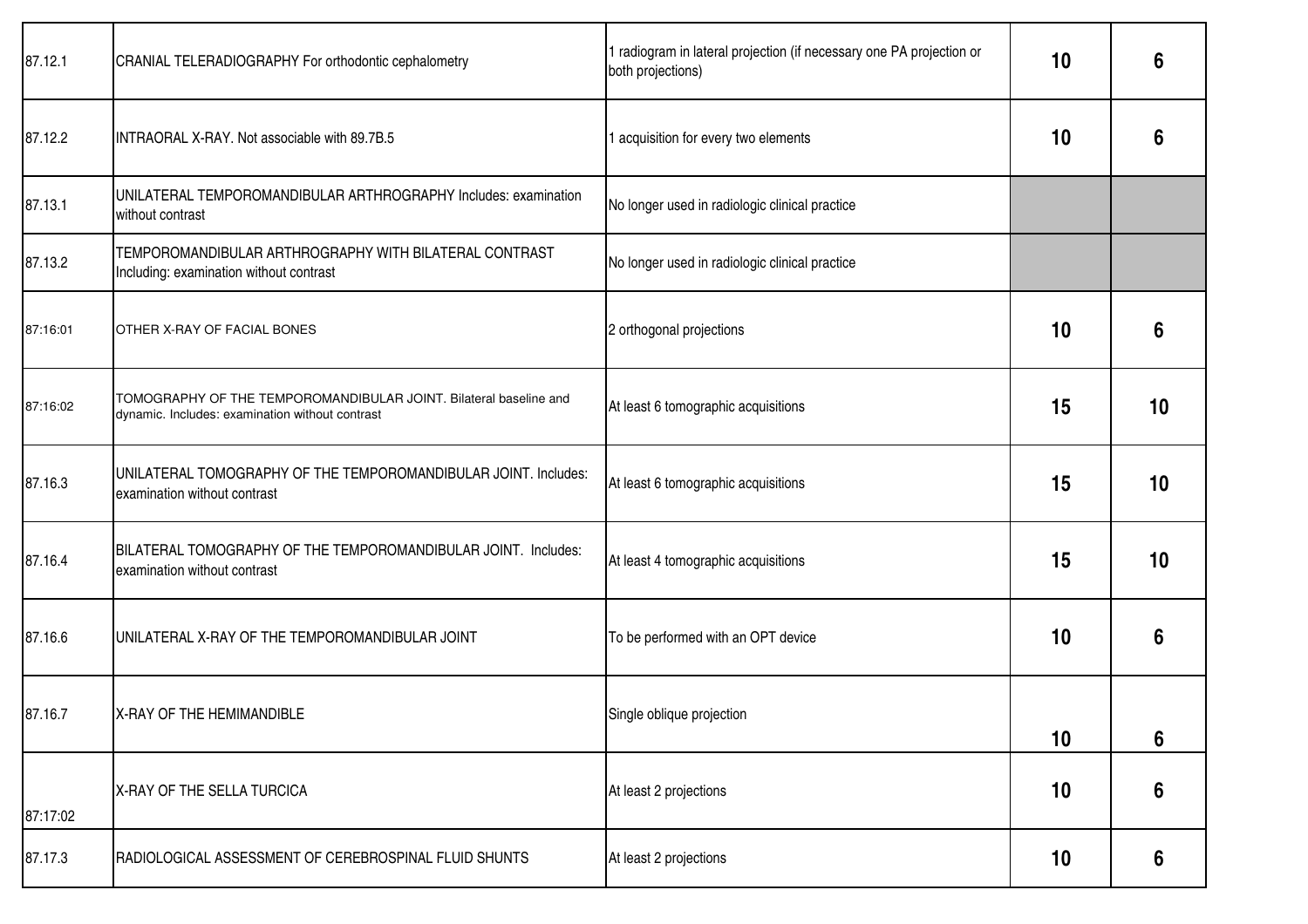| 87.12.1  | CRANIAL TELERADIOGRAPHY For orthodontic cephalometry                                                                 | I radiogram in lateral projection (if necessary one PA projection or<br>both projections) | 10 | 6               |
|----------|----------------------------------------------------------------------------------------------------------------------|-------------------------------------------------------------------------------------------|----|-----------------|
| 87.12.2  | INTRAORAL X-RAY. Not associable with 89.7B.5                                                                         | acquisition for every two elements                                                        | 10 | 6               |
| 87.13.1  | UNILATERAL TEMPOROMANDIBULAR ARTHROGRAPHY Includes: examination<br>without contrast                                  | No longer used in radiologic clinical practice                                            |    |                 |
| 87.13.2  | TEMPOROMANDIBULAR ARTHROGRAPHY WITH BILATERAL CONTRAST<br>Including: examination without contrast                    | No longer used in radiologic clinical practice                                            |    |                 |
| 87:16:01 | OTHER X-RAY OF FACIAL BONES                                                                                          | 2 orthogonal projections                                                                  | 10 | 6               |
| 87:16:02 | TOMOGRAPHY OF THE TEMPOROMANDIBULAR JOINT. Bilateral baseline and<br>dynamic. Includes: examination without contrast | At least 6 tomographic acquisitions                                                       | 15 | 10 <sup>°</sup> |
| 87.16.3  | UNILATERAL TOMOGRAPHY OF THE TEMPOROMANDIBULAR JOINT. Includes:<br>examination without contrast                      | At least 6 tomographic acquisitions                                                       | 15 | 10 <sup>°</sup> |
| 87.16.4  | BILATERAL TOMOGRAPHY OF THE TEMPOROMANDIBULAR JOINT. Includes:<br>examination without contrast                       | At least 4 tomographic acquisitions                                                       | 15 | 10              |
| 87.16.6  | UNILATERAL X-RAY OF THE TEMPOROMANDIBULAR JOINT                                                                      | To be performed with an OPT device                                                        | 10 | 6               |
| 87.16.7  | <b>X-RAY OF THE HEMIMANDIBLE</b>                                                                                     | Single oblique projection                                                                 | 10 | 6               |
| 87:17:02 | X-RAY OF THE SELLA TURCICA                                                                                           | At least 2 projections                                                                    | 10 | 6               |
| 87.17.3  | RADIOLOGICAL ASSESSMENT OF CEREBROSPINAL FLUID SHUNTS                                                                | At least 2 projections                                                                    | 10 | 6               |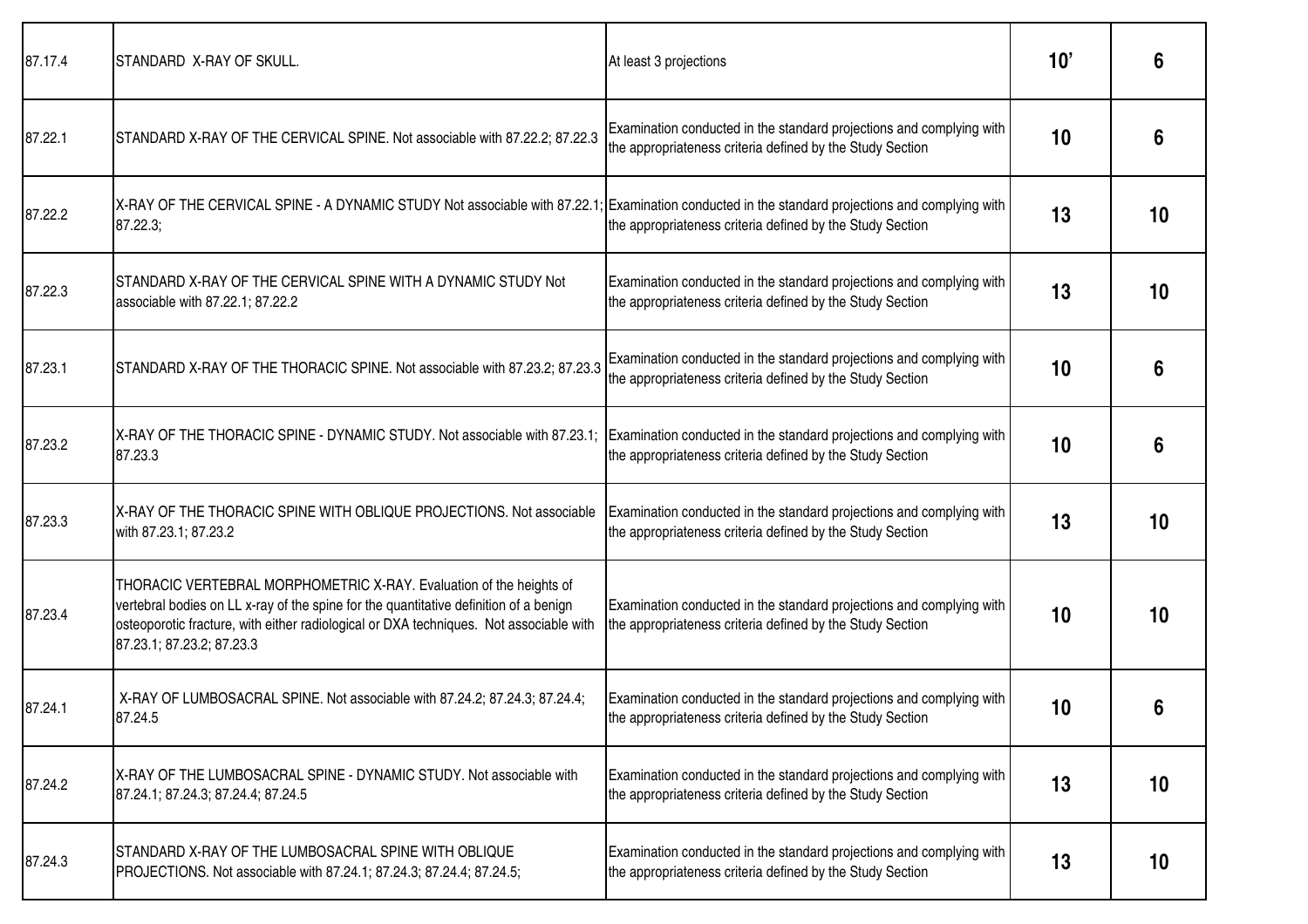| 87.17.4 | STANDARD X-RAY OF SKULL.                                                                                                                                                                                                                                                            | At least 3 projections                                                                                                            | 10'             | 6               |
|---------|-------------------------------------------------------------------------------------------------------------------------------------------------------------------------------------------------------------------------------------------------------------------------------------|-----------------------------------------------------------------------------------------------------------------------------------|-----------------|-----------------|
| 87.22.1 | STANDARD X-RAY OF THE CERVICAL SPINE. Not associable with 87.22.2; 87.22.3                                                                                                                                                                                                          | Examination conducted in the standard projections and complying with<br>the appropriateness criteria defined by the Study Section | 10              | 6               |
| 87.22.2 | X-RAY OF THE CERVICAL SPINE - A DYNAMIC STUDY Not associable with 87.22.1; Examination conducted in the standard projections and complying with<br>87.22.3;                                                                                                                         | the appropriateness criteria defined by the Study Section                                                                         | 13              | 10              |
| 87.22.3 | STANDARD X-RAY OF THE CERVICAL SPINE WITH A DYNAMIC STUDY Not<br>associable with 87.22.1; 87.22.2                                                                                                                                                                                   | Examination conducted in the standard projections and complying with<br>the appropriateness criteria defined by the Study Section | 13              | 10              |
| 87.23.1 | STANDARD X-RAY OF THE THORACIC SPINE. Not associable with 87.23.2; 87.23.3                                                                                                                                                                                                          | Examination conducted in the standard projections and complying with<br>the appropriateness criteria defined by the Study Section | 10              | 6               |
| 87.23.2 | X-RAY OF THE THORACIC SPINE - DYNAMIC STUDY. Not associable with 87.23.1;<br>87.23.3                                                                                                                                                                                                | Examination conducted in the standard projections and complying with<br>the appropriateness criteria defined by the Study Section | 10              | 6               |
| 87.23.3 | X-RAY OF THE THORACIC SPINE WITH OBLIQUE PROJECTIONS. Not associable<br>with 87.23.1; 87.23.2                                                                                                                                                                                       | Examination conducted in the standard projections and complying with<br>the appropriateness criteria defined by the Study Section | 13              | 10              |
| 87.23.4 | THORACIC VERTEBRAL MORPHOMETRIC X-RAY. Evaluation of the heights of<br>vertebral bodies on LL x-ray of the spine for the quantitative definition of a benign<br>osteoporotic fracture, with either radiological or DXA techniques. Not associable with<br>87.23.1; 87.23.2; 87.23.3 | Examination conducted in the standard projections and complying with<br>the appropriateness criteria defined by the Study Section | 10              | 10              |
| 87.24.1 | X-RAY OF LUMBOSACRAL SPINE. Not associable with 87.24.2; 87.24.3; 87.24.4;<br>87.24.5                                                                                                                                                                                               | Examination conducted in the standard projections and complying with<br>the appropriateness criteria defined by the Study Section | 10 <sup>°</sup> | 6               |
| 87.24.2 | X-RAY OF THE LUMBOSACRAL SPINE - DYNAMIC STUDY. Not associable with<br>87.24.1; 87.24.3; 87.24.4; 87.24.5                                                                                                                                                                           | Examination conducted in the standard projections and complying with<br>the appropriateness criteria defined by the Study Section | 13              | 10              |
| 87.24.3 | STANDARD X-RAY OF THE LUMBOSACRAL SPINE WITH OBLIQUE<br>PROJECTIONS. Not associable with 87.24.1; 87.24.3; 87.24.4; 87.24.5;                                                                                                                                                        | Examination conducted in the standard projections and complying with<br>the appropriateness criteria defined by the Study Section | 13              | 10 <sup>°</sup> |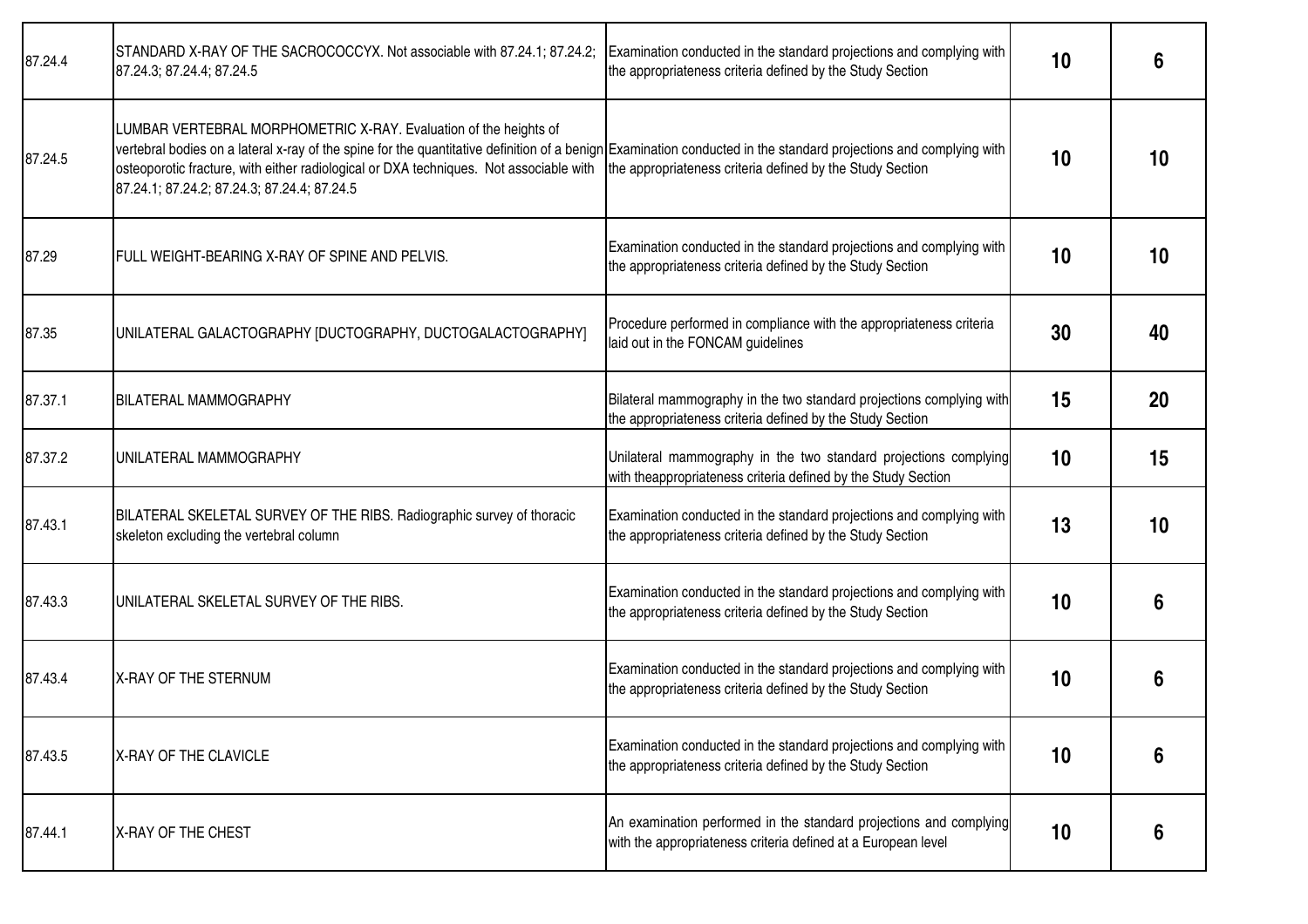| 87.24.4 | STANDARD X-RAY OF THE SACROCOCCYX. Not associable with 87.24.1; 87.24.2;<br>87.24.3; 87.24.4; 87.24.5                                                                                                                                                                                                                                                                           | Examination conducted in the standard projections and complying with<br>the appropriateness criteria defined by the Study Section   | 10 | 6  |
|---------|---------------------------------------------------------------------------------------------------------------------------------------------------------------------------------------------------------------------------------------------------------------------------------------------------------------------------------------------------------------------------------|-------------------------------------------------------------------------------------------------------------------------------------|----|----|
| 87.24.5 | LUMBAR VERTEBRAL MORPHOMETRIC X-RAY. Evaluation of the heights of<br>vertebral bodies on a lateral x-ray of the spine for the quantitative definition of a benign Examination conducted in the standard projections and complying with<br>osteoporotic fracture, with either radiological or DXA techniques. Not associable with<br>87.24.1; 87.24.2; 87.24.3; 87.24.4; 87.24.5 | the appropriateness criteria defined by the Study Section                                                                           | 10 | 10 |
| 87.29   | FULL WEIGHT-BEARING X-RAY OF SPINE AND PELVIS.                                                                                                                                                                                                                                                                                                                                  | Examination conducted in the standard projections and complying with<br>the appropriateness criteria defined by the Study Section   | 10 | 10 |
| 87.35   | UNILATERAL GALACTOGRAPHY [DUCTOGRAPHY, DUCTOGALACTOGRAPHY]                                                                                                                                                                                                                                                                                                                      | Procedure performed in compliance with the appropriateness criteria<br>laid out in the FONCAM guidelines                            | 30 | 40 |
| 87.37.1 | <b>BILATERAL MAMMOGRAPHY</b>                                                                                                                                                                                                                                                                                                                                                    | Bilateral mammography in the two standard projections complying with<br>the appropriateness criteria defined by the Study Section   | 15 | 20 |
| 87.37.2 | UNILATERAL MAMMOGRAPHY                                                                                                                                                                                                                                                                                                                                                          | Unilateral mammography in the two standard projections complying<br>with theappropriateness criteria defined by the Study Section   | 10 | 15 |
| 87.43.1 | BILATERAL SKELETAL SURVEY OF THE RIBS. Radiographic survey of thoracic<br>skeleton excluding the vertebral column                                                                                                                                                                                                                                                               | Examination conducted in the standard projections and complying with<br>the appropriateness criteria defined by the Study Section   | 13 | 10 |
| 87.43.3 | UNILATERAL SKELETAL SURVEY OF THE RIBS.                                                                                                                                                                                                                                                                                                                                         | Examination conducted in the standard projections and complying with<br>the appropriateness criteria defined by the Study Section   | 10 | 6  |
| 87.43.4 | X-RAY OF THE STERNUM                                                                                                                                                                                                                                                                                                                                                            | Examination conducted in the standard projections and complying with<br>the appropriateness criteria defined by the Study Section   | 10 | 6  |
| 87.43.5 | X-RAY OF THE CLAVICLE                                                                                                                                                                                                                                                                                                                                                           | Examination conducted in the standard projections and complying with<br>the appropriateness criteria defined by the Study Section   | 10 | 6  |
| 87.44.1 | X-RAY OF THE CHEST                                                                                                                                                                                                                                                                                                                                                              | An examination performed in the standard projections and complying<br>with the appropriateness criteria defined at a European level | 10 | 6  |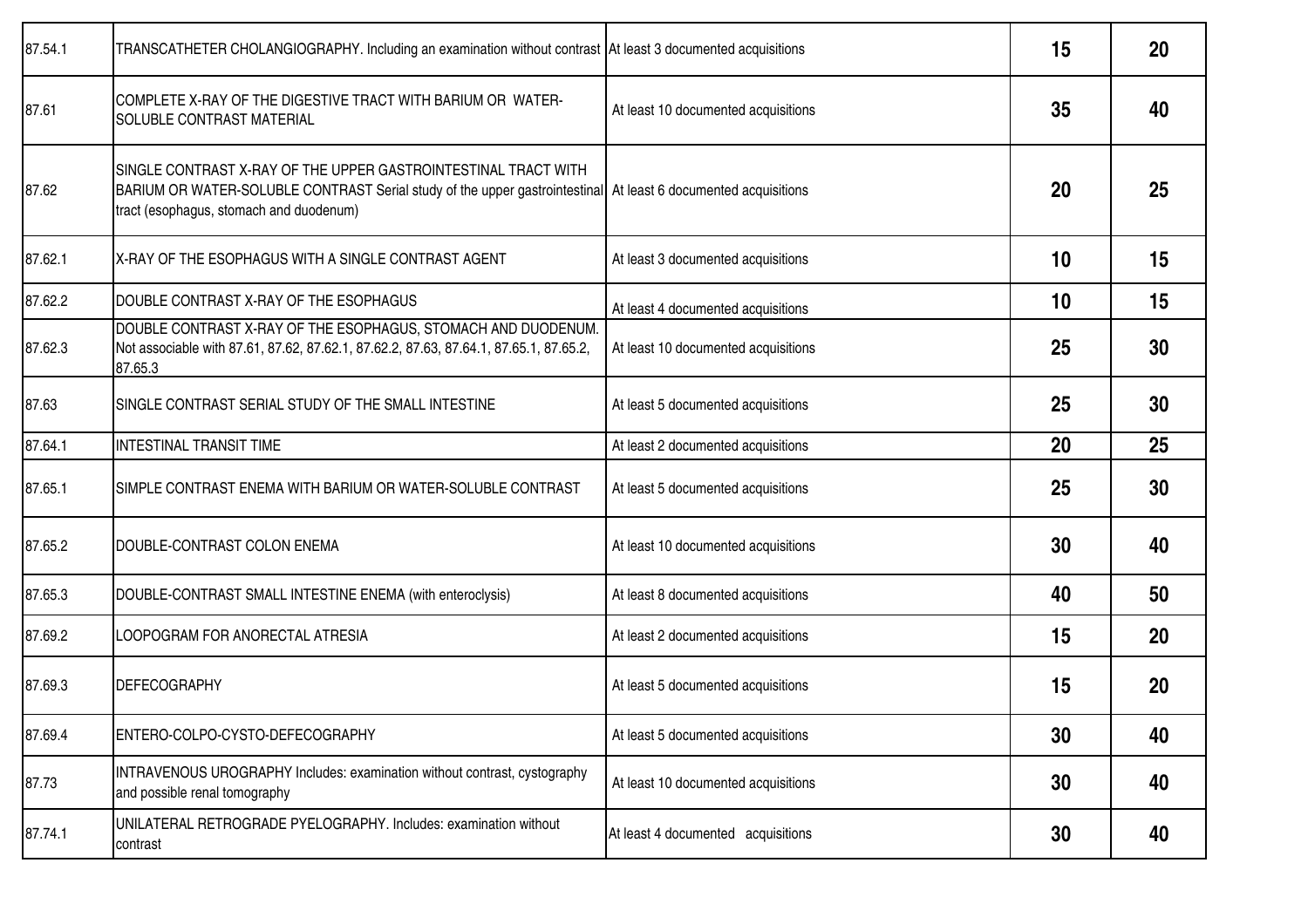| 87.54.1 | TRANSCATHETER CHOLANGIOGRAPHY. Including an examination without contrast   At least 3 documented acquisitions                                                                                                               |                                     | 15 | 20 |
|---------|-----------------------------------------------------------------------------------------------------------------------------------------------------------------------------------------------------------------------------|-------------------------------------|----|----|
| 87.61   | COMPLETE X-RAY OF THE DIGESTIVE TRACT WITH BARIUM OR WATER-<br>SOLUBLE CONTRAST MATERIAL                                                                                                                                    | At least 10 documented acquisitions | 35 | 40 |
| 87.62   | SINGLE CONTRAST X-RAY OF THE UPPER GASTROINTESTINAL TRACT WITH<br>BARIUM OR WATER-SOLUBLE CONTRAST Serial study of the upper gastrointestinal At least 6 documented acquisitions<br>tract (esophagus, stomach and duodenum) |                                     | 20 | 25 |
| 87.62.1 | X-RAY OF THE ESOPHAGUS WITH A SINGLE CONTRAST AGENT                                                                                                                                                                         | At least 3 documented acquisitions  | 10 | 15 |
| 87.62.2 | DOUBLE CONTRAST X-RAY OF THE ESOPHAGUS                                                                                                                                                                                      | At least 4 documented acquisitions  | 10 | 15 |
| 87.62.3 | DOUBLE CONTRAST X-RAY OF THE ESOPHAGUS, STOMACH AND DUODENUM.<br>Not associable with 87.61, 87.62, 87.62.1, 87.62.2, 87.63, 87.64.1, 87.65.1, 87.65.2,<br>87.65.3                                                           | At least 10 documented acquisitions | 25 | 30 |
| 87.63   | SINGLE CONTRAST SERIAL STUDY OF THE SMALL INTESTINE                                                                                                                                                                         | At least 5 documented acquisitions  | 25 | 30 |
| 87.64.1 | <b>INTESTINAL TRANSIT TIME</b>                                                                                                                                                                                              | At least 2 documented acquisitions  | 20 | 25 |
| 87.65.1 | SIMPLE CONTRAST ENEMA WITH BARIUM OR WATER-SOLUBLE CONTRAST                                                                                                                                                                 | At least 5 documented acquisitions  | 25 | 30 |
| 87.65.2 | DOUBLE-CONTRAST COLON ENEMA                                                                                                                                                                                                 | At least 10 documented acquisitions | 30 | 40 |
| 87.65.3 | DOUBLE-CONTRAST SMALL INTESTINE ENEMA (with enteroclysis)                                                                                                                                                                   | At least 8 documented acquisitions  | 40 | 50 |
| 87.69.2 | LOOPOGRAM FOR ANORECTAL ATRESIA                                                                                                                                                                                             | At least 2 documented acquisitions  | 15 | 20 |
| 87.69.3 | <b>DEFECOGRAPHY</b>                                                                                                                                                                                                         | At least 5 documented acquisitions  | 15 | 20 |
| 87.69.4 | ENTERO-COLPO-CYSTO-DEFECOGRAPHY                                                                                                                                                                                             | At least 5 documented acquisitions  | 30 | 40 |
| 87.73   | INTRAVENOUS UROGRAPHY Includes: examination without contrast, cystography<br>and possible renal tomography                                                                                                                  | At least 10 documented acquisitions | 30 | 40 |
| 87.74.1 | UNILATERAL RETROGRADE PYELOGRAPHY. Includes: examination without<br>contrast                                                                                                                                                | At least 4 documented acquisitions  | 30 | 40 |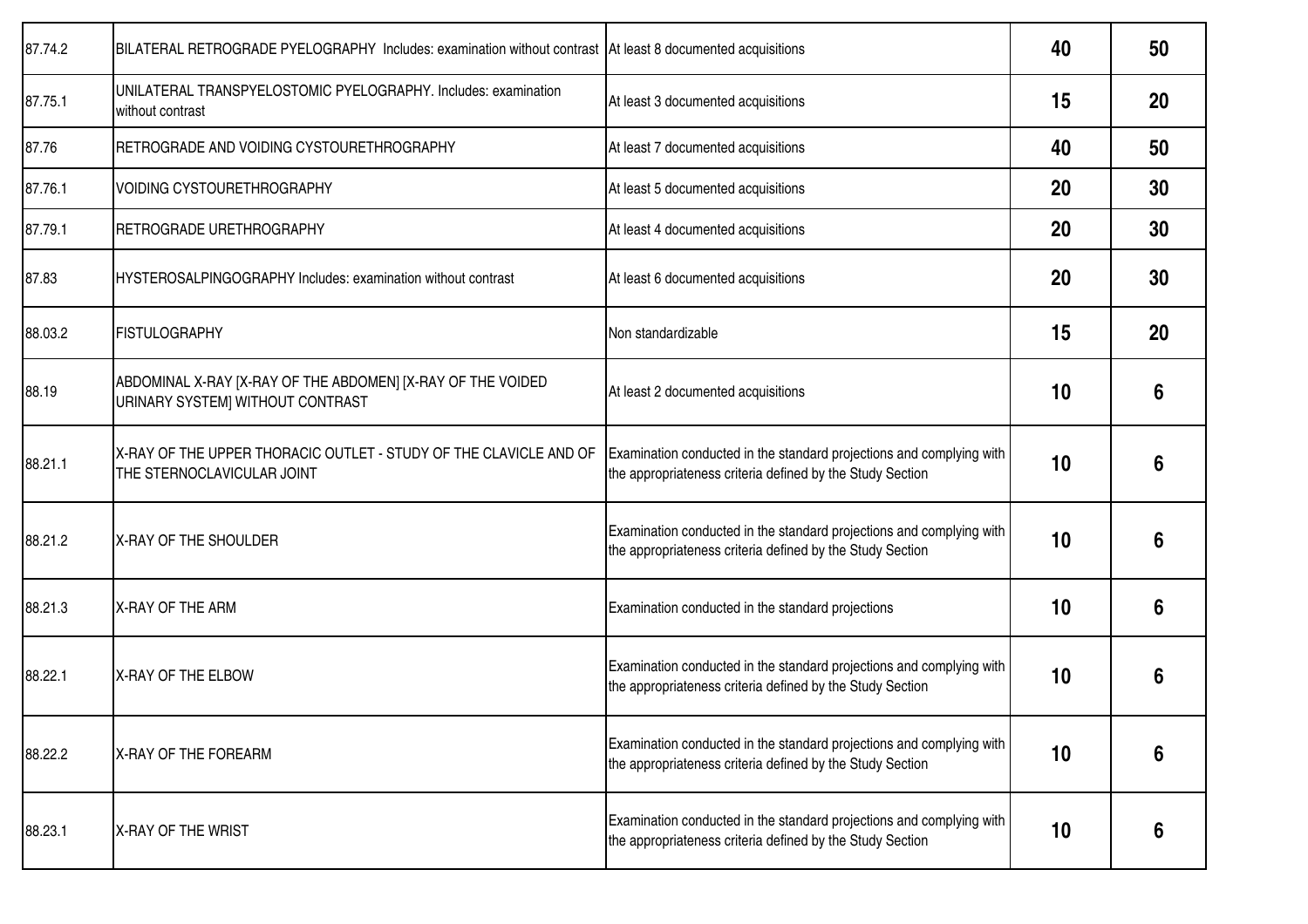| 87.74.2 | BILATERAL RETROGRADE PYELOGRAPHY Includes: examination without contrast At least 8 documented acquisitions |                                                                                                                                   | 40 | 50 |
|---------|------------------------------------------------------------------------------------------------------------|-----------------------------------------------------------------------------------------------------------------------------------|----|----|
| 87.75.1 | UNILATERAL TRANSPYELOSTOMIC PYELOGRAPHY. Includes: examination<br>without contrast                         | At least 3 documented acquisitions                                                                                                | 15 | 20 |
| 87.76   | RETROGRADE AND VOIDING CYSTOURETHROGRAPHY                                                                  | At least 7 documented acquisitions                                                                                                | 40 | 50 |
| 87.76.1 | <b>VOIDING CYSTOURETHROGRAPHY</b>                                                                          | At least 5 documented acquisitions                                                                                                | 20 | 30 |
| 87.79.1 | RETROGRADE URETHROGRAPHY                                                                                   | At least 4 documented acquisitions                                                                                                | 20 | 30 |
| 87.83   | HYSTEROSALPINGOGRAPHY Includes: examination without contrast                                               | At least 6 documented acquisitions                                                                                                | 20 | 30 |
| 88.03.2 | <b>FISTULOGRAPHY</b>                                                                                       | Non standardizable                                                                                                                | 15 | 20 |
| 88.19   | ABDOMINAL X-RAY [X-RAY OF THE ABDOMEN] [X-RAY OF THE VOIDED<br>URINARY SYSTEM] WITHOUT CONTRAST            | At least 2 documented acquisitions                                                                                                | 10 | 6  |
| 88.21.1 | X-RAY OF THE UPPER THORACIC OUTLET - STUDY OF THE CLAVICLE AND OF<br>THE STERNOCLAVICULAR JOINT            | Examination conducted in the standard projections and complying with<br>the appropriateness criteria defined by the Study Section | 10 | 6  |
| 88.21.2 | X-RAY OF THE SHOULDER                                                                                      | Examination conducted in the standard projections and complying with<br>the appropriateness criteria defined by the Study Section | 10 | 6  |
| 88.21.3 | X-RAY OF THE ARM                                                                                           | Examination conducted in the standard projections                                                                                 | 10 | 6  |
| 88.22.1 | X-RAY OF THE ELBOW                                                                                         | Examination conducted in the standard projections and complying with<br>the appropriateness criteria defined by the Study Section | 10 | 6  |
| 88.22.2 | X-RAY OF THE FOREARM                                                                                       | Examination conducted in the standard projections and complying with<br>the appropriateness criteria defined by the Study Section | 10 | 6  |
| 88.23.1 | X-RAY OF THE WRIST                                                                                         | Examination conducted in the standard projections and complying with<br>the appropriateness criteria defined by the Study Section | 10 | 6  |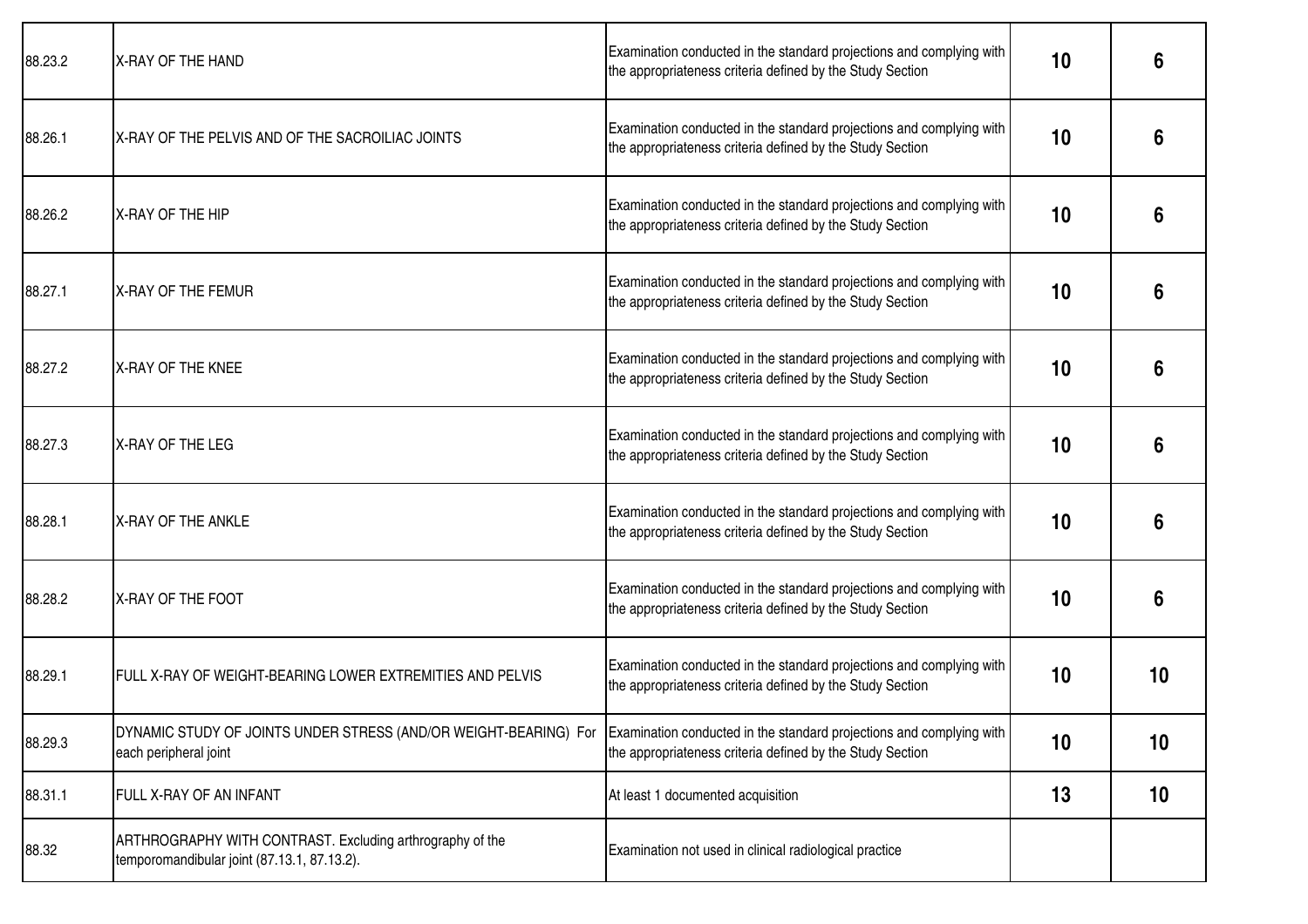| 88.23.2 | X-RAY OF THE HAND                                                                                        | Examination conducted in the standard projections and complying with<br>the appropriateness criteria defined by the Study Section | 10 | 6  |
|---------|----------------------------------------------------------------------------------------------------------|-----------------------------------------------------------------------------------------------------------------------------------|----|----|
| 88.26.1 | X-RAY OF THE PELVIS AND OF THE SACROILIAC JOINTS                                                         | Examination conducted in the standard projections and complying with<br>the appropriateness criteria defined by the Study Section | 10 | 6  |
| 88.26.2 | <b>IX-RAY OF THE HIP</b>                                                                                 | Examination conducted in the standard projections and complying with<br>the appropriateness criteria defined by the Study Section | 10 | 6  |
| 88.27.1 | <b>X-RAY OF THE FEMUR</b>                                                                                | Examination conducted in the standard projections and complying with<br>the appropriateness criteria defined by the Study Section | 10 | 6  |
| 88.27.2 | <b>IX-RAY OF THE KNEE</b>                                                                                | Examination conducted in the standard projections and complying with<br>the appropriateness criteria defined by the Study Section | 10 | 6  |
| 88.27.3 | X-RAY OF THE LEG                                                                                         | Examination conducted in the standard projections and complying with<br>the appropriateness criteria defined by the Study Section | 10 | 6  |
| 88.28.1 | X-RAY OF THE ANKLE                                                                                       | Examination conducted in the standard projections and complying with<br>the appropriateness criteria defined by the Study Section | 10 | 6  |
| 88.28.2 | X-RAY OF THE FOOT                                                                                        | Examination conducted in the standard projections and complying with<br>the appropriateness criteria defined by the Study Section | 10 | 6  |
| 88.29.1 | FULL X-RAY OF WEIGHT-BEARING LOWER EXTREMITIES AND PELVIS                                                | Examination conducted in the standard projections and complying with<br>the appropriateness criteria defined by the Study Section | 10 | 10 |
| 88.29.3 | DYNAMIC STUDY OF JOINTS UNDER STRESS (AND/OR WEIGHT-BEARING) For<br>each peripheral joint                | Examination conducted in the standard projections and complying with<br>the appropriateness criteria defined by the Study Section | 10 | 10 |
| 88.31.1 | FULL X-RAY OF AN INFANT                                                                                  | At least 1 documented acquisition                                                                                                 | 13 | 10 |
| 88.32   | ARTHROGRAPHY WITH CONTRAST. Excluding arthrography of the<br>temporomandibular joint (87.13.1, 87.13.2). | Examination not used in clinical radiological practice                                                                            |    |    |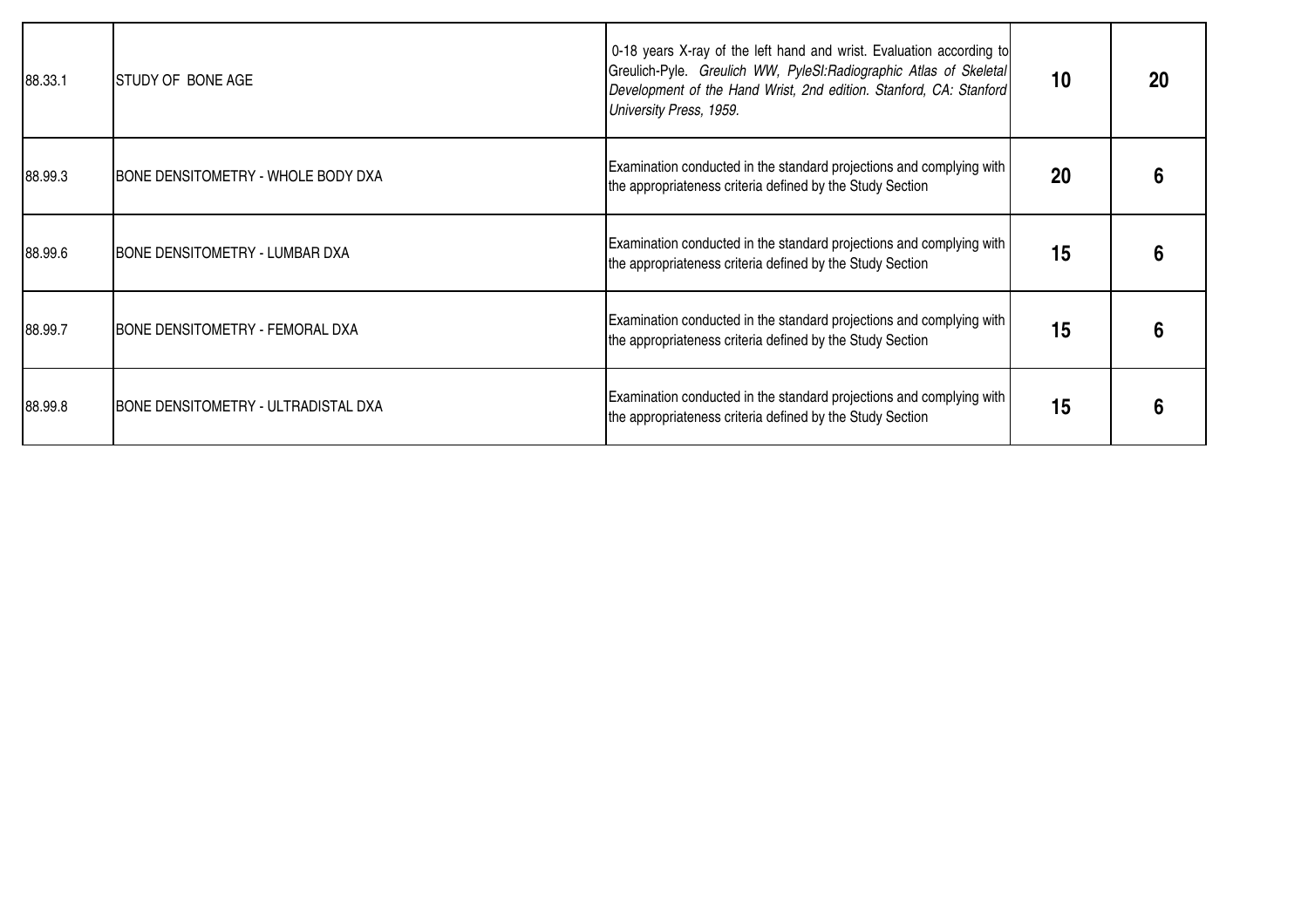| 88.33.1 | <b>ISTUDY OF BONE AGE</b>                  | 0-18 years X-ray of the left hand and wrist. Evaluation according to<br>Greulich-Pyle. Greulich WW, PyleSI: Radiographic Atlas of Skeletal<br>Development of the Hand Wrist, 2nd edition. Stanford, CA: Stanford<br>University Press, 1959. | 10 | 20 |
|---------|--------------------------------------------|---------------------------------------------------------------------------------------------------------------------------------------------------------------------------------------------------------------------------------------------|----|----|
| 88.99.3 | <b>BONE DENSITOMETRY - WHOLE BODY DXA</b>  | Examination conducted in the standard projections and complying with<br>the appropriateness criteria defined by the Study Section                                                                                                           | 20 |    |
| 88.99.6 | <b>BONE DENSITOMETRY - LUMBAR DXA</b>      | Examination conducted in the standard projections and complying with<br>the appropriateness criteria defined by the Study Section                                                                                                           | 15 |    |
| 88.99.7 | <b>BONE DENSITOMETRY - FEMORAL DXA</b>     | Examination conducted in the standard projections and complying with<br>the appropriateness criteria defined by the Study Section                                                                                                           | 15 |    |
| 88.99.8 | <b>BONE DENSITOMETRY - ULTRADISTAL DXA</b> | Examination conducted in the standard projections and complying with<br>the appropriateness criteria defined by the Study Section                                                                                                           | 15 |    |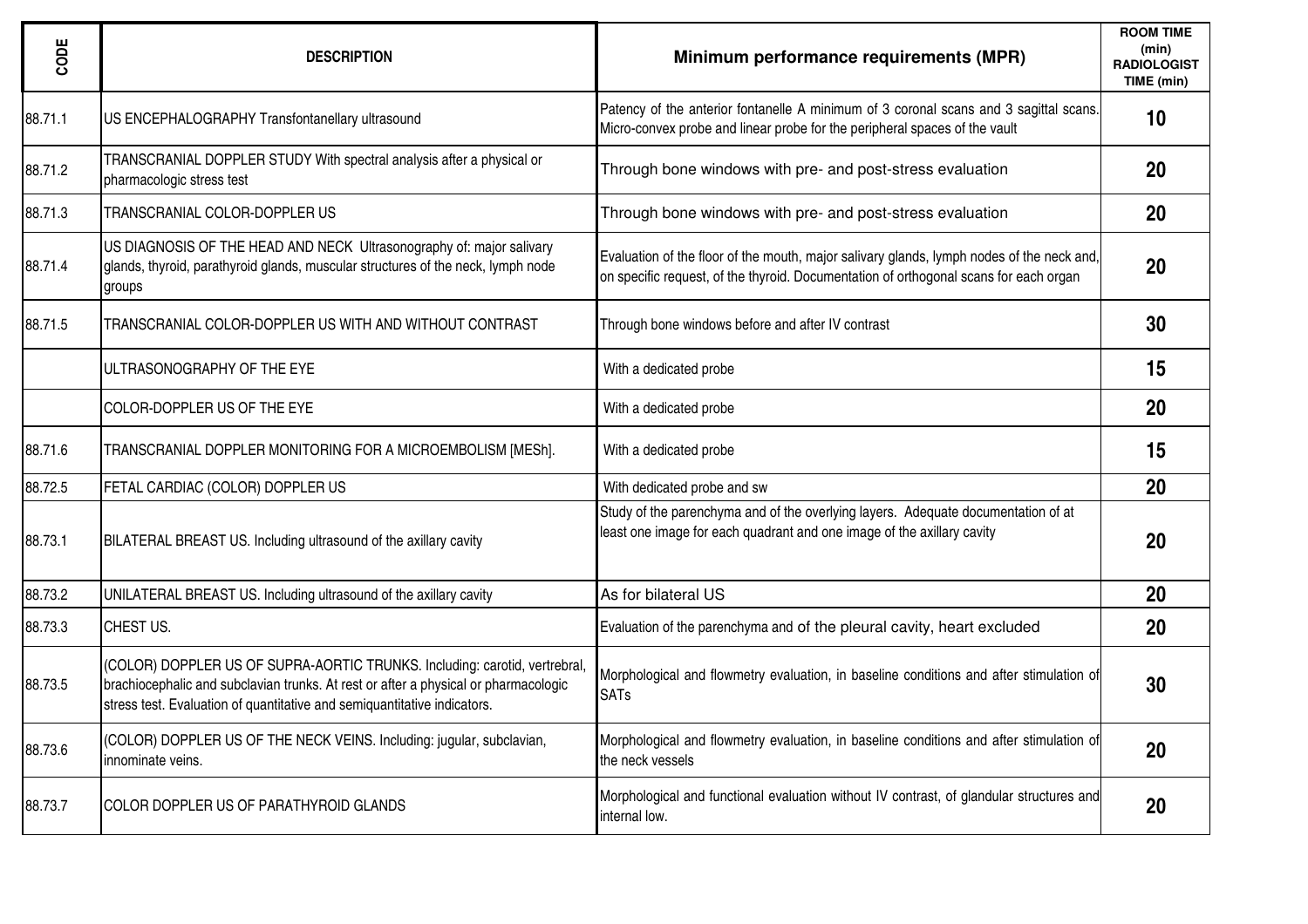| CODE    | <b>DESCRIPTION</b>                                                                                                                                                                                                                            | Minimum performance requirements (MPR)                                                                                                                                             | <b>ROOM TIME</b><br>(min)<br><b>RADIOLOGIST</b><br>TIME (min) |
|---------|-----------------------------------------------------------------------------------------------------------------------------------------------------------------------------------------------------------------------------------------------|------------------------------------------------------------------------------------------------------------------------------------------------------------------------------------|---------------------------------------------------------------|
| 88.71.1 | US ENCEPHALOGRAPHY Transfontanellary ultrasound                                                                                                                                                                                               | Patency of the anterior fontanelle A minimum of 3 coronal scans and 3 sagittal scans.<br>Micro-convex probe and linear probe for the peripheral spaces of the vault                | 10                                                            |
| 88.71.2 | TRANSCRANIAL DOPPLER STUDY With spectral analysis after a physical or<br>pharmacologic stress test                                                                                                                                            | Through bone windows with pre- and post-stress evaluation                                                                                                                          | 20                                                            |
| 88.71.3 | <b>TRANSCRANIAL COLOR-DOPPLER US</b>                                                                                                                                                                                                          | Through bone windows with pre- and post-stress evaluation                                                                                                                          | 20                                                            |
| 88.71.4 | US DIAGNOSIS OF THE HEAD AND NECK Ultrasonography of: major salivary<br>glands, thyroid, parathyroid glands, muscular structures of the neck, lymph node<br>groups                                                                            | Evaluation of the floor of the mouth, major salivary glands, lymph nodes of the neck and,<br>on specific request, of the thyroid. Documentation of orthogonal scans for each organ | 20                                                            |
| 88.71.5 | TRANSCRANIAL COLOR-DOPPLER US WITH AND WITHOUT CONTRAST                                                                                                                                                                                       | Through bone windows before and after IV contrast                                                                                                                                  | 30                                                            |
|         | <b>I</b> ULTRASONOGRAPHY OF THE EYE                                                                                                                                                                                                           | With a dedicated probe                                                                                                                                                             | 15                                                            |
|         | COLOR-DOPPLER US OF THE EYE                                                                                                                                                                                                                   | With a dedicated probe                                                                                                                                                             | 20                                                            |
| 88.71.6 | TRANSCRANIAL DOPPLER MONITORING FOR A MICROEMBOLISM [MESh].                                                                                                                                                                                   | With a dedicated probe                                                                                                                                                             | 15                                                            |
| 88.72.5 | FETAL CARDIAC (COLOR) DOPPLER US                                                                                                                                                                                                              | With dedicated probe and sw                                                                                                                                                        | 20                                                            |
| 88.73.1 | BILATERAL BREAST US. Including ultrasound of the axillary cavity                                                                                                                                                                              | Study of the parenchyma and of the overlying layers. Adequate documentation of at<br>least one image for each quadrant and one image of the axillary cavity                        | 20                                                            |
| 88.73.2 | UNILATERAL BREAST US. Including ultrasound of the axillary cavity                                                                                                                                                                             | As for bilateral US                                                                                                                                                                | 20                                                            |
| 88.73.3 | CHEST US.                                                                                                                                                                                                                                     | Evaluation of the parenchyma and of the pleural cavity, heart excluded                                                                                                             | 20                                                            |
| 88.73.5 | (COLOR) DOPPLER US OF SUPRA-AORTIC TRUNKS. Including: carotid, vertrebral,<br>brachiocephalic and subclavian trunks. At rest or after a physical or pharmacologic<br>stress test. Evaluation of quantitative and semiquantitative indicators. | Morphological and flowmetry evaluation, in baseline conditions and after stimulation of<br><b>SATs</b>                                                                             | 30                                                            |
| 88.73.6 | (COLOR) DOPPLER US OF THE NECK VEINS. Including: jugular, subclavian,<br>innominate veins.                                                                                                                                                    | Morphological and flowmetry evaluation, in baseline conditions and after stimulation of<br>the neck vessels                                                                        | 20                                                            |
| 88.73.7 | COLOR DOPPLER US OF PARATHYROID GLANDS                                                                                                                                                                                                        | Morphological and functional evaluation without IV contrast, of glandular structures and<br>internal low.                                                                          | 20                                                            |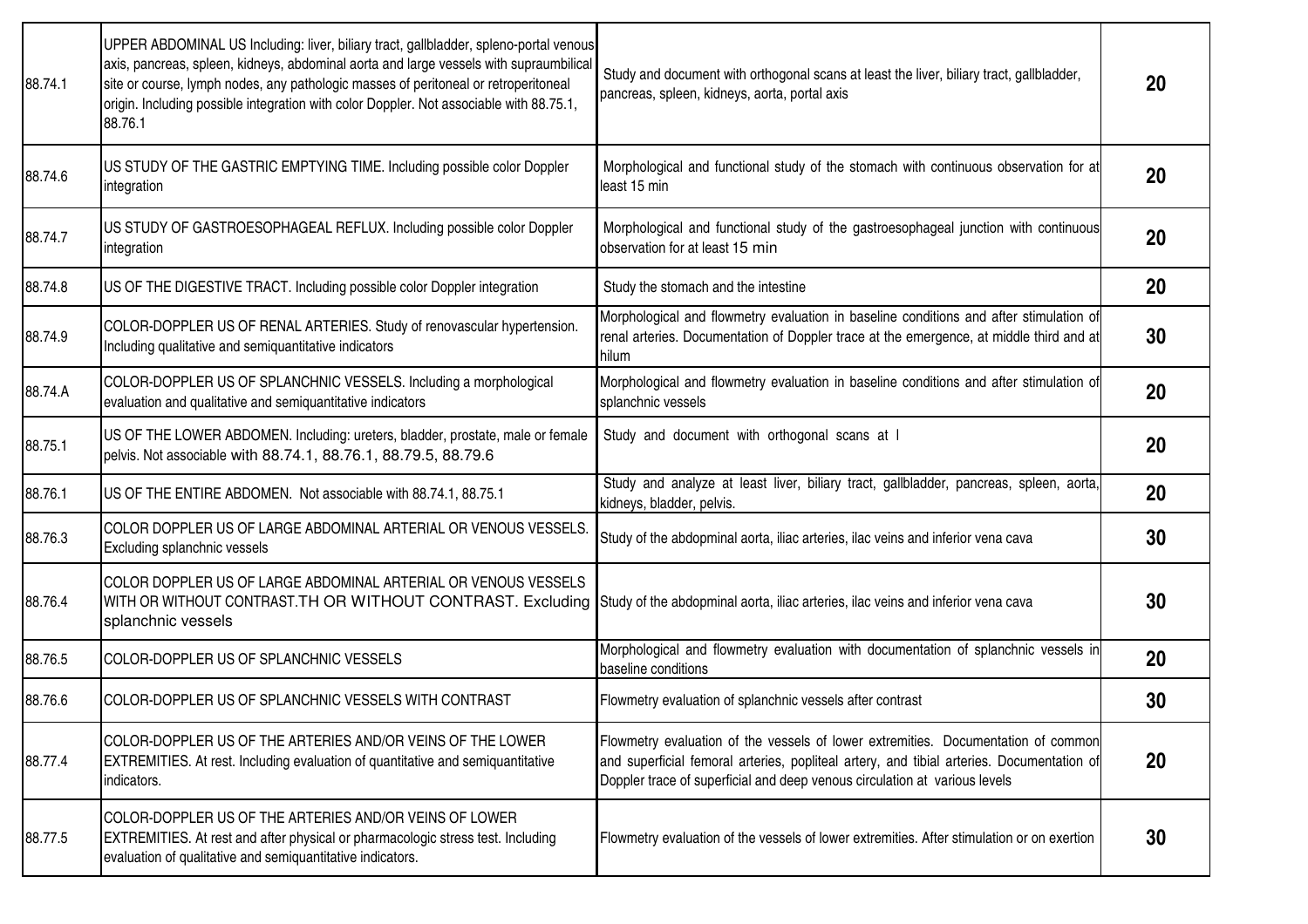| 88.74.1 | UPPER ABDOMINAL US Including: liver, biliary tract, gallbladder, spleno-portal venous<br>axis, pancreas, spleen, kidneys, abdominal aorta and large vessels with supraumbilical<br>site or course, lymph nodes, any pathologic masses of peritoneal or retroperitoneal<br>origin. Including possible integration with color Doppler. Not associable with 88.75.1,<br>88.76.1 | Study and document with orthogonal scans at least the liver, biliary tract, gallbladder,<br>pancreas, spleen, kidneys, aorta, portal axis                                                                                                                    | 20              |
|---------|------------------------------------------------------------------------------------------------------------------------------------------------------------------------------------------------------------------------------------------------------------------------------------------------------------------------------------------------------------------------------|--------------------------------------------------------------------------------------------------------------------------------------------------------------------------------------------------------------------------------------------------------------|-----------------|
| 88.74.6 | US STUDY OF THE GASTRIC EMPTYING TIME. Including possible color Doppler<br>integration                                                                                                                                                                                                                                                                                       | Morphological and functional study of the stomach with continuous observation for at<br>least 15 min                                                                                                                                                         | 20              |
| 88.74.7 | US STUDY OF GASTROESOPHAGEAL REFLUX. Including possible color Doppler<br>integration                                                                                                                                                                                                                                                                                         | Morphological and functional study of the gastroesophageal junction with continuous<br>observation for at least 15 min                                                                                                                                       | 20              |
| 88.74.8 | US OF THE DIGESTIVE TRACT. Including possible color Doppler integration                                                                                                                                                                                                                                                                                                      | Study the stomach and the intestine                                                                                                                                                                                                                          | 20              |
| 88.74.9 | COLOR-DOPPLER US OF RENAL ARTERIES. Study of renovascular hypertension.<br>Including qualitative and semiquantitative indicators                                                                                                                                                                                                                                             | Morphological and flowmetry evaluation in baseline conditions and after stimulation of<br>renal arteries. Documentation of Doppler trace at the emergence, at middle third and at<br>hilum                                                                   | 30              |
| 88.74.A | COLOR-DOPPLER US OF SPLANCHNIC VESSELS. Including a morphological<br>evaluation and qualitative and semiquantitative indicators                                                                                                                                                                                                                                              | Morphological and flowmetry evaluation in baseline conditions and after stimulation of<br>splanchnic vessels                                                                                                                                                 | 20              |
| 88.75.1 | US OF THE LOWER ABDOMEN. Including: ureters, bladder, prostate, male or female<br>pelvis. Not associable with 88.74.1, 88.76.1, 88.79.5, 88.79.6                                                                                                                                                                                                                             | Study and document with orthogonal scans at I                                                                                                                                                                                                                | 20              |
| 88.76.1 | US OF THE ENTIRE ABDOMEN. Not associable with 88.74.1, 88.75.1                                                                                                                                                                                                                                                                                                               | Study and analyze at least liver, biliary tract, gallbladder, pancreas, spleen, aorta,<br>kidneys, bladder, pelvis.                                                                                                                                          | 20              |
| 88.76.3 | COLOR DOPPLER US OF LARGE ABDOMINAL ARTERIAL OR VENOUS VESSELS.<br>Excluding splanchnic vessels                                                                                                                                                                                                                                                                              | Study of the abdopminal aorta, iliac arteries, ilac veins and inferior vena cava                                                                                                                                                                             | 30              |
| 88.76.4 | COLOR DOPPLER US OF LARGE ABDOMINAL ARTERIAL OR VENOUS VESSELS<br>WITH OR WITHOUT CONTRAST.TH OR WITHOUT CONTRAST. Excluding Study of the abdopminal aorta, iliac arteries, ilac veins and inferior vena cava<br>splanchnic vessels                                                                                                                                          |                                                                                                                                                                                                                                                              | 30              |
| 88.76.5 | COLOR-DOPPLER US OF SPLANCHNIC VESSELS                                                                                                                                                                                                                                                                                                                                       | Morphological and flowmetry evaluation with documentation of splanchnic vessels in<br>baseline conditions                                                                                                                                                    | 20              |
| 88.76.6 | COLOR-DOPPLER US OF SPLANCHNIC VESSELS WITH CONTRAST                                                                                                                                                                                                                                                                                                                         | Flowmetry evaluation of splanchnic vessels after contrast                                                                                                                                                                                                    | 30              |
| 88.77.4 | COLOR-DOPPLER US OF THE ARTERIES AND/OR VEINS OF THE LOWER<br><b>EXTREMITIES.</b> At rest. Including evaluation of quantitative and semiquantitative<br>indicators.                                                                                                                                                                                                          | Flowmetry evaluation of the vessels of lower extremities. Documentation of common<br>and superficial femoral arteries, popliteal artery, and tibial arteries. Documentation of<br>Doppler trace of superficial and deep venous circulation at various levels | 20              |
| 88.77.5 | COLOR-DOPPLER US OF THE ARTERIES AND/OR VEINS OF LOWER<br><b>EXTREMITIES.</b> At rest and after physical or pharmacologic stress test. Including<br>evaluation of qualitative and semiquantitative indicators.                                                                                                                                                               | Flowmetry evaluation of the vessels of lower extremities. After stimulation or on exertion                                                                                                                                                                   | 30 <sub>o</sub> |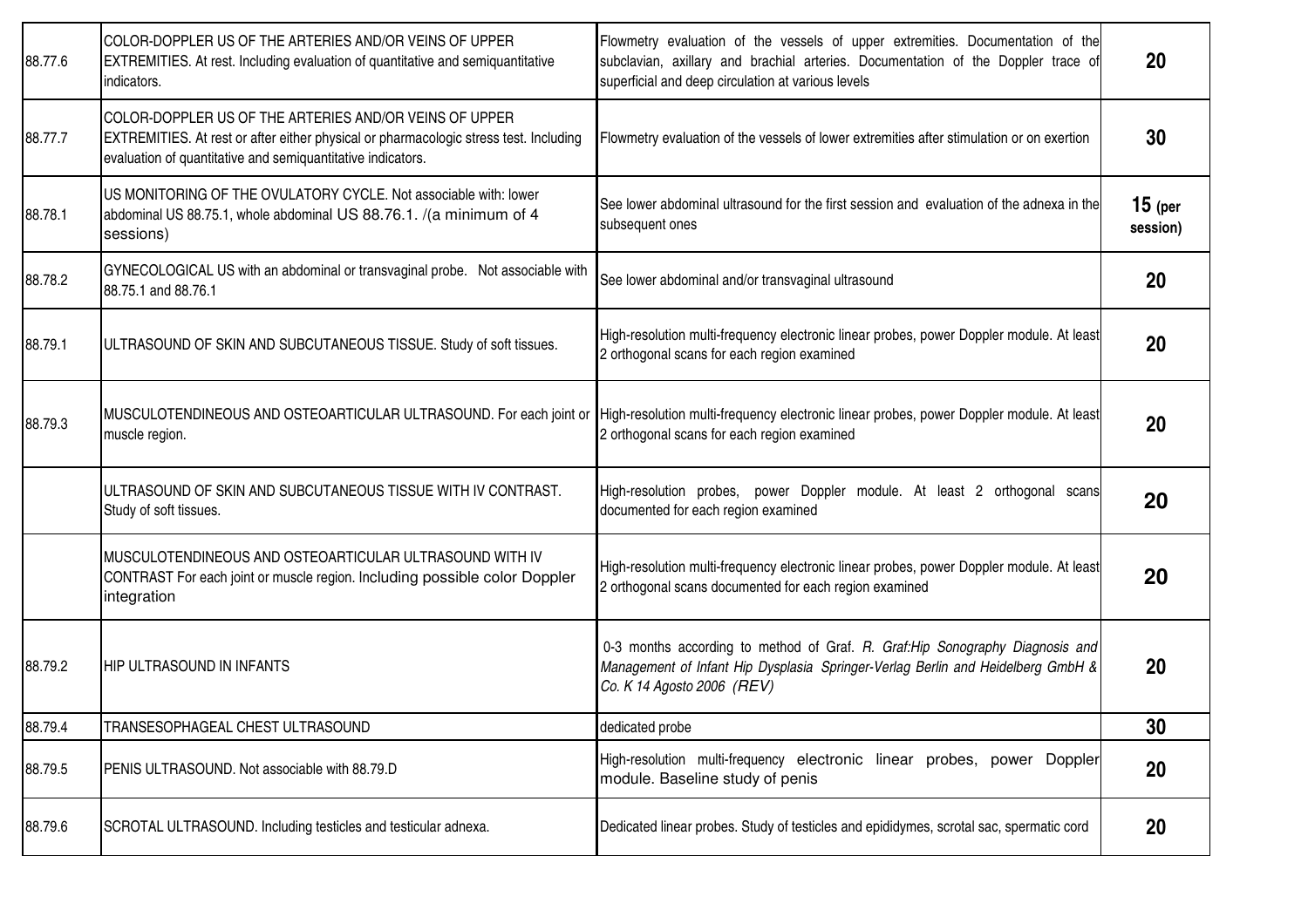| 88.77.6 | COLOR-DOPPLER US OF THE ARTERIES AND/OR VEINS OF UPPER<br><b>EXTREMITIES.</b> At rest. Including evaluation of quantitative and semiquantitative<br>indicators.                                                | Flowmetry evaluation of the vessels of upper extremities. Documentation of the<br>subclavian, axillary and brachial arteries. Documentation of the Doppler trace of<br>superficial and deep circulation at various levels | 20                    |
|---------|----------------------------------------------------------------------------------------------------------------------------------------------------------------------------------------------------------------|---------------------------------------------------------------------------------------------------------------------------------------------------------------------------------------------------------------------------|-----------------------|
| 88.77.7 | COLOR-DOPPLER US OF THE ARTERIES AND/OR VEINS OF UPPER<br>EXTREMITIES. At rest or after either physical or pharmacologic stress test. Including<br>evaluation of quantitative and semiquantitative indicators. | Flowmetry evaluation of the vessels of lower extremities after stimulation or on exertion                                                                                                                                 | 30                    |
| 88.78.1 | US MONITORING OF THE OVULATORY CYCLE. Not associable with: lower<br>abdominal US 88.75.1, whole abdominal US 88.76.1. /(a minimum of 4<br>sessions)                                                            | See lower abdominal ultrasound for the first session and evaluation of the adnexa in the<br>subsequent ones                                                                                                               | $15$ (per<br>session) |
| 88.78.2 | GYNECOLOGICAL US with an abdominal or transvaginal probe. Not associable with<br>88.75.1 and 88.76.1                                                                                                           | See lower abdominal and/or transvaginal ultrasound                                                                                                                                                                        | <b>20</b>             |
| 88.79.1 | ULTRASOUND OF SKIN AND SUBCUTANEOUS TISSUE. Study of soft tissues.                                                                                                                                             | High-resolution multi-frequency electronic linear probes, power Doppler module. At least<br>2 orthogonal scans for each region examined                                                                                   | 20                    |
| 88.79.3 | muscle region.                                                                                                                                                                                                 | MUSCULOTENDINEOUS AND OSTEOARTICULAR ULTRASOUND. For each joint or High-resolution multi-frequency electronic linear probes, power Doppler module. At least<br>2 orthogonal scans for each region examined                | 20                    |
|         | ULTRASOUND OF SKIN AND SUBCUTANEOUS TISSUE WITH IV CONTRAST.<br>Study of soft tissues.                                                                                                                         | High-resolution probes, power Doppler module. At least 2 orthogonal scans<br>documented for each region examined                                                                                                          | 20                    |
|         | MUSCULOTENDINEOUS AND OSTEOARTICULAR ULTRASOUND WITH IV<br>CONTRAST For each joint or muscle region. Including possible color Doppler<br>integration                                                           | High-resolution multi-frequency electronic linear probes, power Doppler module. At least<br>2 orthogonal scans documented for each region examined                                                                        | 20                    |
| 88.79.2 | <b>IHIP ULTRASOUND IN INFANTS</b>                                                                                                                                                                              | 0-3 months according to method of Graf. R. Graf: Hip Sonography Diagnosis and<br>Management of Infant Hip Dysplasia Springer-Verlag Berlin and Heidelberg GmbH &<br>Co. K 14 Agosto 2006 (REV)                            | 20                    |
| 88.79.4 | TRANSESOPHAGEAL CHEST ULTRASOUND                                                                                                                                                                               | dedicated probe                                                                                                                                                                                                           | 30                    |
| 88.79.5 | PENIS ULTRASOUND. Not associable with 88.79.D                                                                                                                                                                  | High-resolution multi-frequency electronic linear probes, power Doppler<br>module. Baseline study of penis                                                                                                                | 20                    |
| 88.79.6 | SCROTAL ULTRASOUND. Including testicles and testicular adnexa.                                                                                                                                                 | Dedicated linear probes. Study of testicles and epididymes, scrotal sac, spermatic cord                                                                                                                                   | 20                    |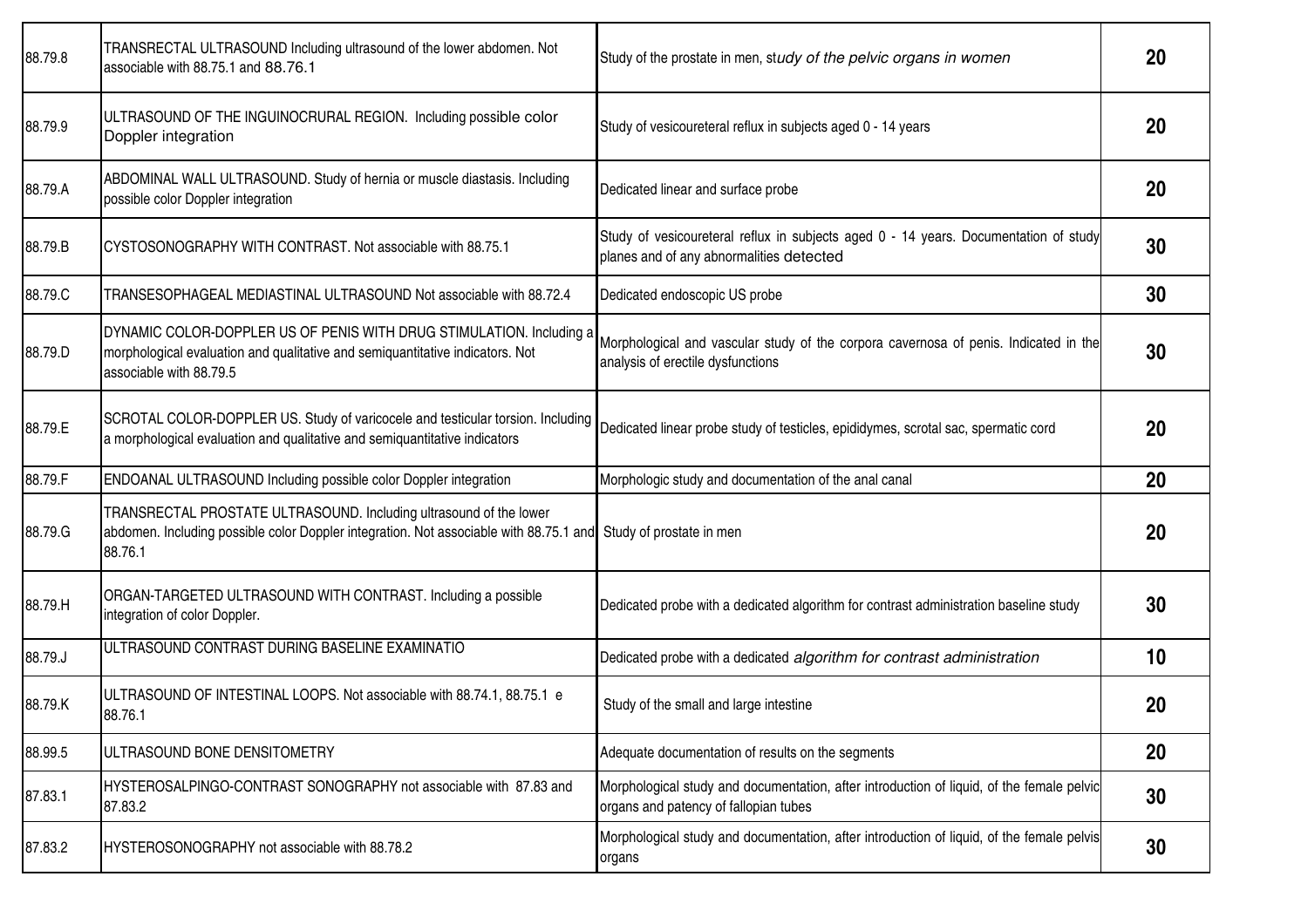| 88.79.8 | TRANSRECTAL ULTRASOUND Including ultrasound of the lower abdomen. Not<br>associable with 88.75.1 and 88.76.1                                                                     | Study of the prostate in men, study of the pelvic organs in women                                                                  | 20        |
|---------|----------------------------------------------------------------------------------------------------------------------------------------------------------------------------------|------------------------------------------------------------------------------------------------------------------------------------|-----------|
| 88.79.9 | ULTRASOUND OF THE INGUINOCRURAL REGION. Including possible color<br>Doppler integration                                                                                          | Study of vesicoureteral reflux in subjects aged 0 - 14 years                                                                       | 20        |
| 88.79.A | ABDOMINAL WALL ULTRASOUND. Study of hernia or muscle diastasis. Including<br>possible color Doppler integration                                                                  | Dedicated linear and surface probe                                                                                                 | 20        |
| 88.79.B | CYSTOSONOGRAPHY WITH CONTRAST. Not associable with 88.75.1                                                                                                                       | Study of vesicoureteral reflux in subjects aged 0 - 14 years. Documentation of study<br>planes and of any abnormalities detected   | 30        |
| 88.79.C | TRANSESOPHAGEAL MEDIASTINAL ULTRASOUND Not associable with 88.72.4                                                                                                               | Dedicated endoscopic US probe                                                                                                      | 30        |
| 88.79.D | DYNAMIC COLOR-DOPPLER US OF PENIS WITH DRUG STIMULATION. Including a<br>morphological evaluation and qualitative and semiquantitative indicators. Not<br>associable with 88.79.5 | Morphological and vascular study of the corpora cavernosa of penis. Indicated in the<br>analysis of erectile dysfunctions          | 30        |
| 88.79.E | SCROTAL COLOR-DOPPLER US. Study of varicocele and testicular torsion. Including<br>a morphological evaluation and qualitative and semiquantitative indicators                    | Dedicated linear probe study of testicles, epididymes, scrotal sac, spermatic cord                                                 | <b>20</b> |
| 88.79.F | ENDOANAL ULTRASOUND Including possible color Doppler integration                                                                                                                 | Morphologic study and documentation of the anal canal                                                                              | 20        |
| 88.79.G | TRANSRECTAL PROSTATE ULTRASOUND. Including ultrasound of the lower<br>abdomen. Including possible color Doppler integration. Not associable with 88.75.1 and<br>88.76.1          | Study of prostate in men                                                                                                           | 20        |
| 88.79.H | ORGAN-TARGETED ULTRASOUND WITH CONTRAST. Including a possible<br>integration of color Doppler.                                                                                   | Dedicated probe with a dedicated algorithm for contrast administration baseline study                                              | 30        |
| 88.79.J | ULTRASOUND CONTRAST DURING BASELINE EXAMINATIO                                                                                                                                   | Dedicated probe with a dedicated algorithm for contrast administration                                                             | 10        |
| 88.79.K | ULTRASOUND OF INTESTINAL LOOPS. Not associable with 88.74.1, 88.75.1 e<br>88.76.1                                                                                                | Study of the small and large intestine                                                                                             | 20        |
| 88.99.5 | ULTRASOUND BONE DENSITOMETRY                                                                                                                                                     | Adequate documentation of results on the segments                                                                                  | 20        |
| 87.83.1 | HYSTEROSALPINGO-CONTRAST SONOGRAPHY not associable with 87.83 and<br>87.83.2                                                                                                     | Morphological study and documentation, after introduction of liquid, of the female pelvic<br>organs and patency of fallopian tubes | 30        |
| 87.83.2 | HYSTEROSONOGRAPHY not associable with 88.78.2                                                                                                                                    | Morphological study and documentation, after introduction of liquid, of the female pelvis<br>organs                                | 30        |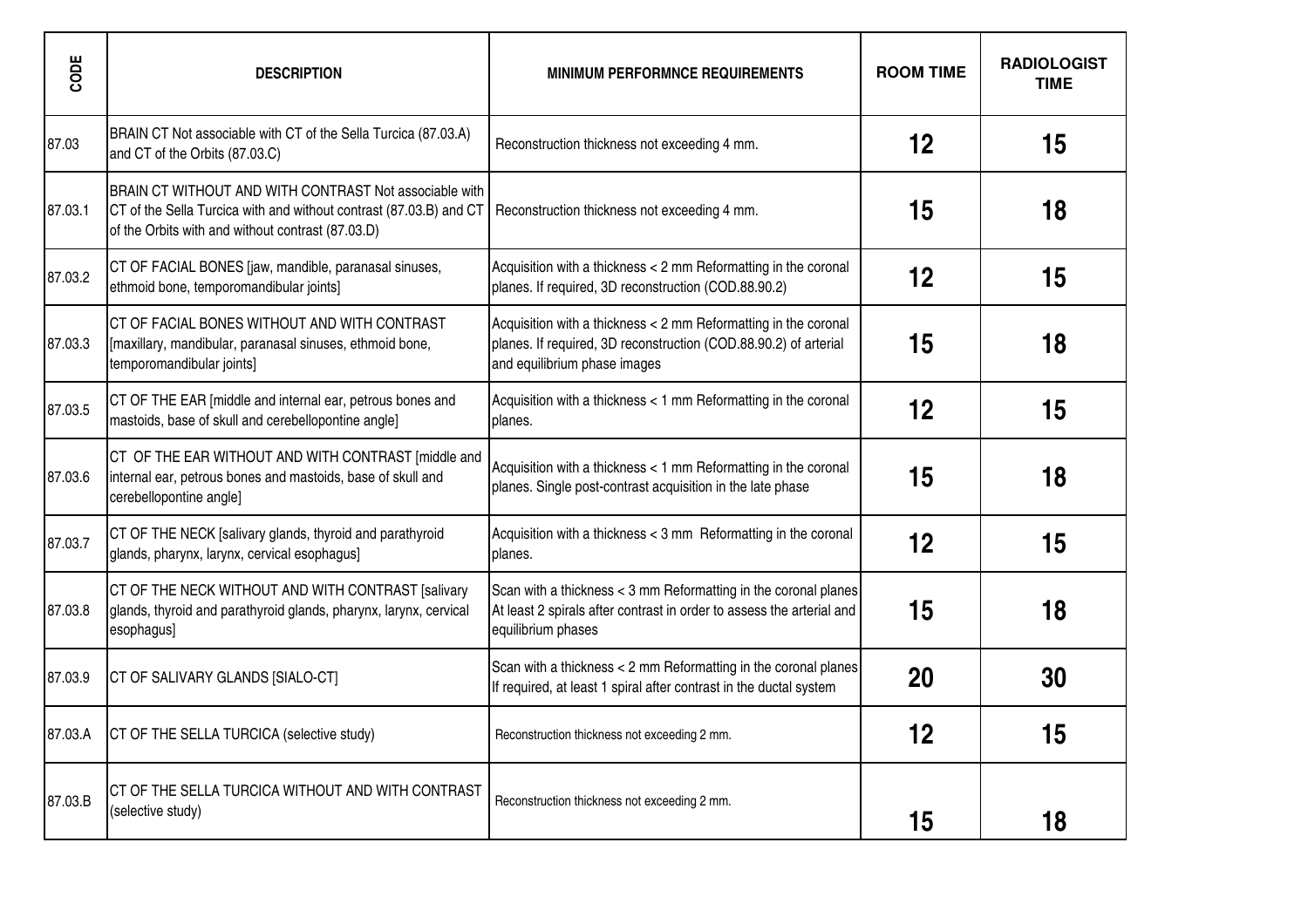| CODE    | <b>DESCRIPTION</b>                                                                                                                                                                | <b>MINIMUM PERFORMNCE REQUIREMENTS</b>                                                                                                                              | <b>ROOM TIME</b> | <b>RADIOLOGIST</b><br><b>TIME</b> |
|---------|-----------------------------------------------------------------------------------------------------------------------------------------------------------------------------------|---------------------------------------------------------------------------------------------------------------------------------------------------------------------|------------------|-----------------------------------|
| 87.03   | BRAIN CT Not associable with CT of the Sella Turcica (87.03.A)<br>and CT of the Orbits (87.03.C)                                                                                  | Reconstruction thickness not exceeding 4 mm.                                                                                                                        | 12               | 15                                |
| 87.03.1 | BRAIN CT WITHOUT AND WITH CONTRAST Not associable with<br>CT of the Sella Turcica with and without contrast (87.03.B) and CT<br>of the Orbits with and without contrast (87.03.D) | Reconstruction thickness not exceeding 4 mm.                                                                                                                        | 15               | 18                                |
| 87.03.2 | CT OF FACIAL BONES [jaw, mandible, paranasal sinuses,<br>ethmoid bone, temporomandibular joints]                                                                                  | Acquisition with a thickness < 2 mm Reformatting in the coronal<br>planes. If required, 3D reconstruction (COD.88.90.2)                                             | 12               | 15                                |
| 87.03.3 | CT OF FACIAL BONES WITHOUT AND WITH CONTRAST<br>[maxillary, mandibular, paranasal sinuses, ethmoid bone,<br>temporomandibular joints]                                             | Acquisition with a thickness < 2 mm Reformatting in the coronal<br>planes. If required, 3D reconstruction (COD.88.90.2) of arterial<br>and equilibrium phase images | 15               | 18                                |
| 87.03.5 | CT OF THE EAR [middle and internal ear, petrous bones and<br>mastoids, base of skull and cerebellopontine angle]                                                                  | Acquisition with a thickness < 1 mm Reformatting in the coronal<br>planes.                                                                                          | 12               | 15                                |
| 87.03.6 | CT OF THE EAR WITHOUT AND WITH CONTRAST [middle and<br>internal ear, petrous bones and mastoids, base of skull and<br>cerebellopontine angle]                                     | Acquisition with a thickness < 1 mm Reformatting in the coronal<br>planes. Single post-contrast acquisition in the late phase                                       | 15               | 18                                |
| 87.03.7 | CT OF THE NECK [salivary glands, thyroid and parathyroid<br>glands, pharynx, larynx, cervical esophagus]                                                                          | Acquisition with a thickness < 3 mm Reformatting in the coronal<br>planes.                                                                                          | 12               | 15                                |
| 87.03.8 | CT OF THE NECK WITHOUT AND WITH CONTRAST [salivary<br>glands, thyroid and parathyroid glands, pharynx, larynx, cervical<br>esophagus]                                             | Scan with a thickness < 3 mm Reformatting in the coronal planes<br>At least 2 spirals after contrast in order to assess the arterial and<br>equilibrium phases      | 15               | 18                                |
| 87.03.9 | CT OF SALIVARY GLANDS [SIALO-CT]                                                                                                                                                  | Scan with a thickness < 2 mm Reformatting in the coronal planes<br>If required, at least 1 spiral after contrast in the ductal system                               | 20               | 30                                |
| 87.03.A | CT OF THE SELLA TURCICA (selective study)                                                                                                                                         | Reconstruction thickness not exceeding 2 mm.                                                                                                                        | 12               | 15                                |
| 87.03.B | CT OF THE SELLA TURCICA WITHOUT AND WITH CONTRAST<br>(selective study)                                                                                                            | Reconstruction thickness not exceeding 2 mm.                                                                                                                        | 15               | 18                                |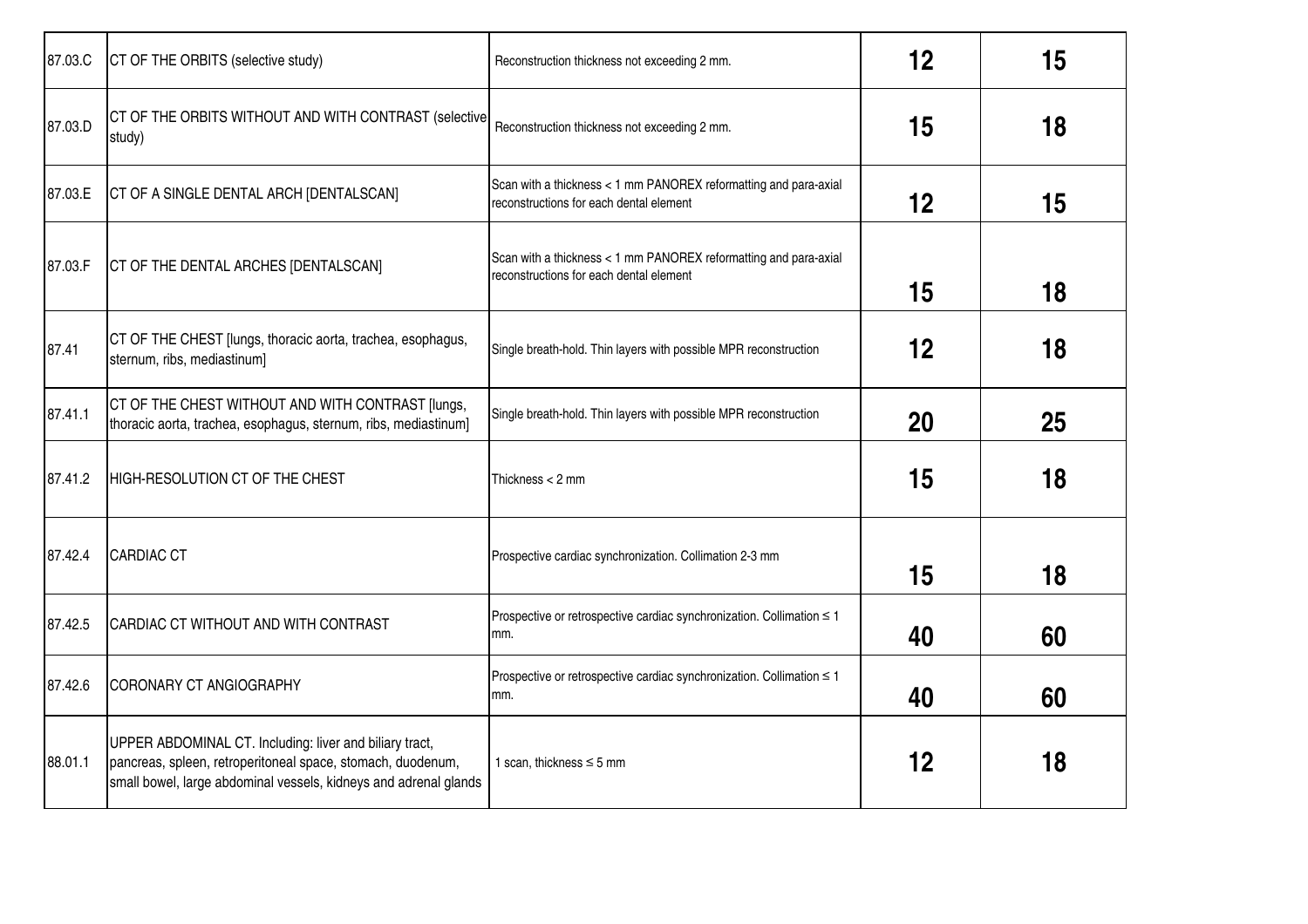| 87.03.C | CT OF THE ORBITS (selective study)                                                                                                                                                         | Reconstruction thickness not exceeding 2 mm.                                                                | 12 | 15 |
|---------|--------------------------------------------------------------------------------------------------------------------------------------------------------------------------------------------|-------------------------------------------------------------------------------------------------------------|----|----|
| 87.03.D | CT OF THE ORBITS WITHOUT AND WITH CONTRAST (selective<br>study)                                                                                                                            | Reconstruction thickness not exceeding 2 mm.                                                                | 15 | 18 |
| 87.03.E | CT OF A SINGLE DENTAL ARCH [DENTALSCAN]                                                                                                                                                    | Scan with a thickness < 1 mm PANOREX reformatting and para-axial<br>reconstructions for each dental element | 12 | 15 |
| 87.03.F | CT OF THE DENTAL ARCHES [DENTALSCAN]                                                                                                                                                       | Scan with a thickness < 1 mm PANOREX reformatting and para-axial<br>reconstructions for each dental element | 15 | 18 |
| 87.41   | CT OF THE CHEST [lungs, thoracic aorta, trachea, esophagus,<br>sternum, ribs, mediastinum]                                                                                                 | Single breath-hold. Thin layers with possible MPR reconstruction                                            | 12 | 18 |
| 87.41.1 | CT OF THE CHEST WITHOUT AND WITH CONTRAST [lungs,<br>thoracic aorta, trachea, esophagus, sternum, ribs, mediastinum]                                                                       | Single breath-hold. Thin layers with possible MPR reconstruction                                            | 20 | 25 |
| 87.41.2 | HIGH-RESOLUTION CT OF THE CHEST                                                                                                                                                            | Thickness $<$ 2 mm                                                                                          | 15 | 18 |
| 87.42.4 | <b>CARDIAC CT</b>                                                                                                                                                                          | Prospective cardiac synchronization. Collimation 2-3 mm                                                     | 15 | 18 |
| 87.42.5 | CARDIAC CT WITHOUT AND WITH CONTRAST                                                                                                                                                       | Prospective or retrospective cardiac synchronization. Collimation $\leq 1$<br>mm.                           | 40 | 60 |
| 87.42.6 | <b>CORONARY CT ANGIOGRAPHY</b>                                                                                                                                                             | Prospective or retrospective cardiac synchronization. Collimation ≤ 1<br>mm.                                | 40 | 60 |
| 88.01.1 | UPPER ABDOMINAL CT. Including: liver and biliary tract,<br>pancreas, spleen, retroperitoneal space, stomach, duodenum,<br>small bowel, large abdominal vessels, kidneys and adrenal glands | 1 scan, thickness $\leq$ 5 mm                                                                               | 12 | 18 |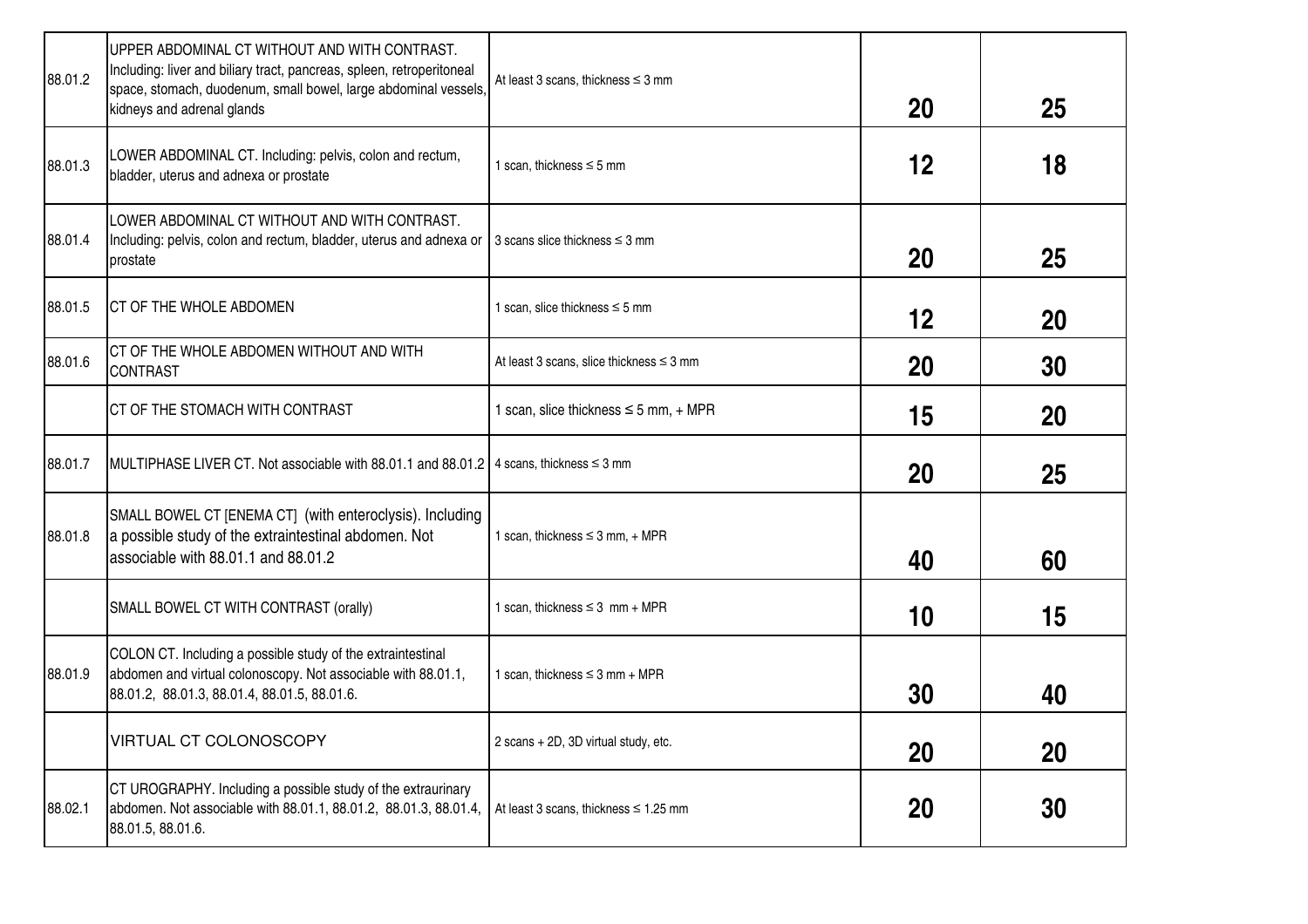| 88.01.2 | UPPER ABDOMINAL CT WITHOUT AND WITH CONTRAST.<br>Including: liver and biliary tract, pancreas, spleen, retroperitoneal<br>space, stomach, duodenum, small bowel, large abdominal vessels,<br>kidneys and adrenal glands | At least 3 scans, thickness $\leq$ 3 mm       | 20        | 25        |
|---------|-------------------------------------------------------------------------------------------------------------------------------------------------------------------------------------------------------------------------|-----------------------------------------------|-----------|-----------|
| 88.01.3 | LOWER ABDOMINAL CT. Including: pelvis, colon and rectum,<br>bladder, uterus and adnexa or prostate                                                                                                                      | 1 scan, thickness $\leq$ 5 mm                 | 12        | 18        |
| 88.01.4 | LOWER ABDOMINAL CT WITHOUT AND WITH CONTRAST.<br>Including: pelvis, colon and rectum, bladder, uterus and adnexa or<br>prostate                                                                                         | 3 scans slice thickness $\leq$ 3 mm           | 20        | 25        |
| 88.01.5 | <b>CT OF THE WHOLE ABDOMEN</b>                                                                                                                                                                                          | 1 scan, slice thickness $\leq$ 5 mm           | 12        | 20        |
| 88.01.6 | CT OF THE WHOLE ABDOMEN WITHOUT AND WITH<br><b>CONTRAST</b>                                                                                                                                                             | At least 3 scans, slice thickness $\leq$ 3 mm | 20        | 30        |
|         | CT OF THE STOMACH WITH CONTRAST                                                                                                                                                                                         | 1 scan, slice thickness $\leq$ 5 mm, + MPR    | 15        | 20        |
| 88.01.7 | MULTIPHASE LIVER CT. Not associable with 88.01.1 and 88.01.2   4 scans, thickness $\leq$ 3 mm                                                                                                                           |                                               | 20        | 25        |
| 88.01.8 | SMALL BOWEL CT [ENEMA CT] (with enteroclysis). Including<br>a possible study of the extraintestinal abdomen. Not<br>associable with 88.01.1 and 88.01.2                                                                 | 1 scan, thickness $\leq$ 3 mm, + MPR          | 40        | 60        |
|         | SMALL BOWEL CT WITH CONTRAST (orally)                                                                                                                                                                                   | 1 scan, thickness $\leq$ 3 mm + MPR           | 10        | 15        |
| 88.01.9 | COLON CT. Including a possible study of the extraintestinal<br>abdomen and virtual colonoscopy. Not associable with 88.01.1,<br>88.01.2, 88.01.3, 88.01.4, 88.01.5, 88.01.6.                                            | 1 scan, thickness $\leq$ 3 mm + MPR           | 30        | 40        |
|         | VIRTUAL CT COLONOSCOPY                                                                                                                                                                                                  | 2 scans + 2D, 3D virtual study, etc.          | 20        | <b>20</b> |
| 88.02.1 | CT UROGRAPHY. Including a possible study of the extraurinary<br>abdomen. Not associable with 88.01.1, 88.01.2, 88.01.3, 88.01.4,<br>88.01.5, 88.01.6.                                                                   | At least 3 scans, thickness $\leq 1.25$ mm    | <b>20</b> | 30        |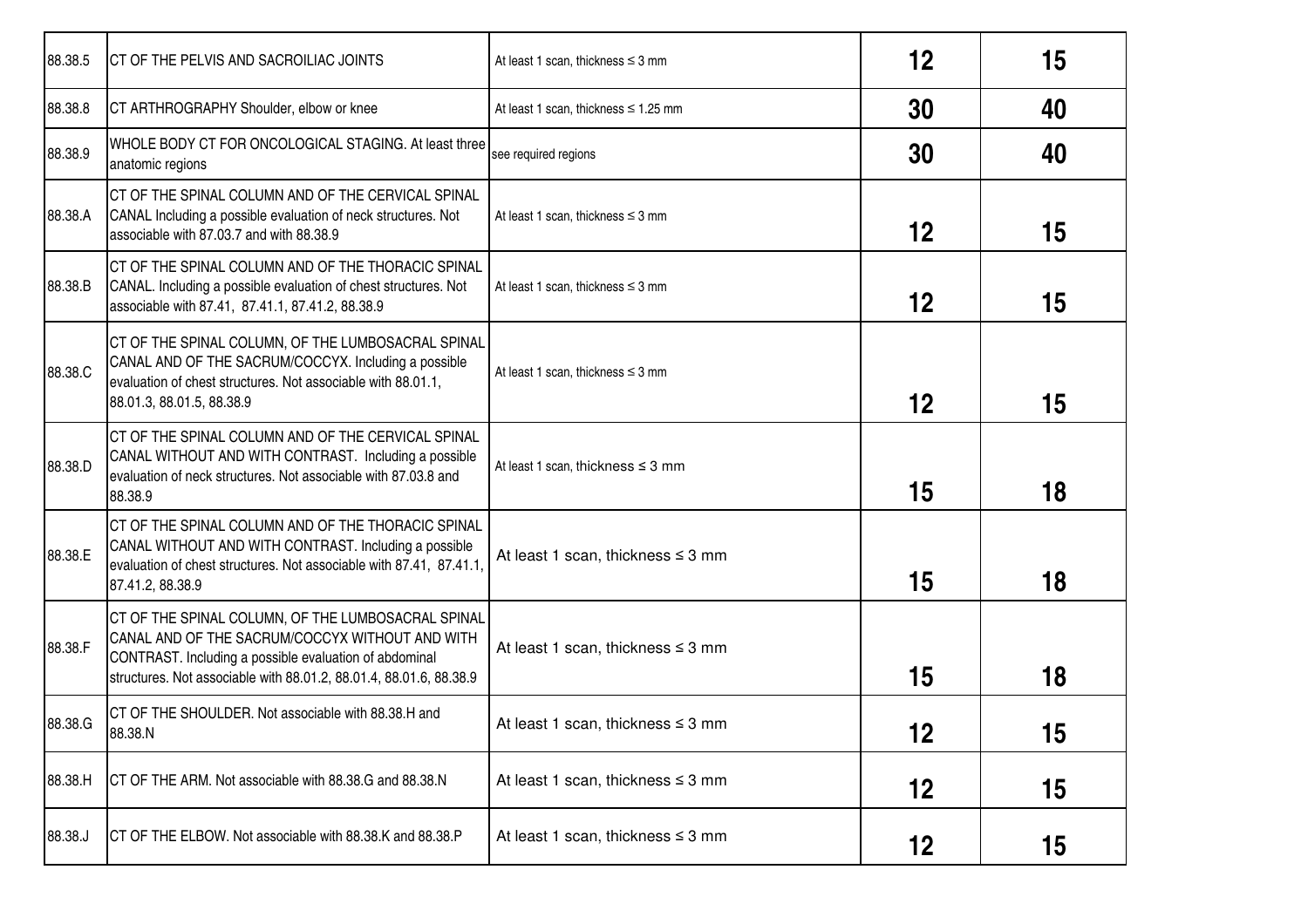| 88.38.5 | CT OF THE PELVIS AND SACROILIAC JOINTS                                                                                                                                                                                                | At least 1 scan, thickness $\leq$ 3 mm    | 12 | 15 |
|---------|---------------------------------------------------------------------------------------------------------------------------------------------------------------------------------------------------------------------------------------|-------------------------------------------|----|----|
| 88.38.8 | CT ARTHROGRAPHY Shoulder, elbow or knee                                                                                                                                                                                               | At least 1 scan, thickness $\leq 1.25$ mm | 30 | 40 |
| 88.38.9 | WHOLE BODY CT FOR ONCOLOGICAL STAGING. At least three<br>anatomic regions                                                                                                                                                             | see required regions                      | 30 | 40 |
| 88.38.A | CT OF THE SPINAL COLUMN AND OF THE CERVICAL SPINAL<br>CANAL Including a possible evaluation of neck structures. Not<br>associable with 87.03.7 and with 88.38.9                                                                       | At least 1 scan, thickness $\leq$ 3 mm    | 12 | 15 |
| 88.38.B | ICT OF THE SPINAL COLUMN AND OF THE THORACIC SPINAL<br>CANAL. Including a possible evaluation of chest structures. Not<br>associable with 87.41, 87.41.1, 87.41.2, 88.38.9                                                            | At least 1 scan, thickness $\leq$ 3 mm    | 12 | 15 |
| 88.38.C | CT OF THE SPINAL COLUMN, OF THE LUMBOSACRAL SPINAL<br>CANAL AND OF THE SACRUM/COCCYX. Including a possible<br>evaluation of chest structures. Not associable with 88.01.1,<br>88.01.3, 88.01.5, 88.38.9                               | At least 1 scan, thickness $\leq$ 3 mm    | 12 | 15 |
| 88.38.D | CT OF THE SPINAL COLUMN AND OF THE CERVICAL SPINAL<br>CANAL WITHOUT AND WITH CONTRAST. Including a possible<br>evaluation of neck structures. Not associable with 87.03.8 and<br>88.38.9                                              | At least 1 scan, thickness $\leq$ 3 mm    | 15 | 18 |
| 88.38.E | CT OF THE SPINAL COLUMN AND OF THE THORACIC SPINAL<br>CANAL WITHOUT AND WITH CONTRAST. Including a possible<br>evaluation of chest structures. Not associable with 87.41, 87.41.1,<br>87.41.2, 88.38.9                                | At least 1 scan, thickness $\leq$ 3 mm    | 15 | 18 |
| 88.38.F | CT OF THE SPINAL COLUMN, OF THE LUMBOSACRAL SPINAL<br>CANAL AND OF THE SACRUM/COCCYX WITHOUT AND WITH<br>CONTRAST. Including a possible evaluation of abdominal<br>structures. Not associable with 88.01.2, 88.01.4, 88.01.6, 88.38.9 | At least 1 scan, thickness $\leq$ 3 mm    | 15 | 18 |
| 88.38.G | CT OF THE SHOULDER. Not associable with 88.38.H and<br>88.38.N                                                                                                                                                                        | At least 1 scan, thickness $\leq$ 3 mm    | 12 | 15 |
| 88.38.H | ICT OF THE ARM. Not associable with 88.38.G and 88.38.N                                                                                                                                                                               | At least 1 scan, thickness $\leq$ 3 mm    | 12 | 15 |
| 88.38.J | CT OF THE ELBOW. Not associable with 88.38.K and 88.38.P                                                                                                                                                                              | At least 1 scan, thickness $\leq$ 3 mm    | 12 | 15 |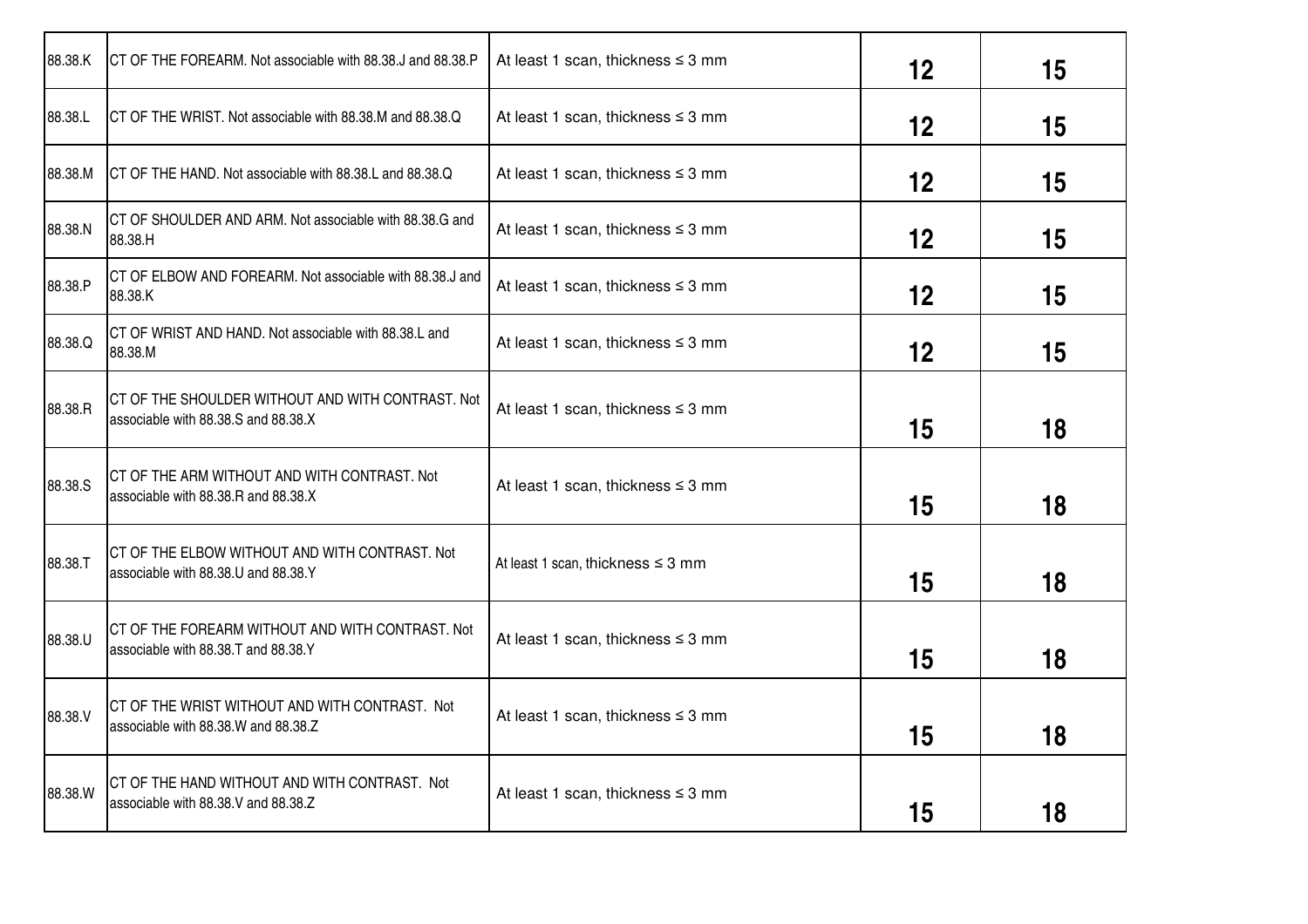| 88.38.K | CT OF THE FOREARM. Not associable with 88.38.J and 88.38.P                               | At least 1 scan, thickness $\leq$ 3 mm | 12 | 15 |
|---------|------------------------------------------------------------------------------------------|----------------------------------------|----|----|
| 88.38.L | CT OF THE WRIST. Not associable with 88.38.M and 88.38.Q                                 | At least 1 scan, thickness $\leq$ 3 mm | 12 | 15 |
| 88.38.M | CT OF THE HAND. Not associable with 88.38.L and 88.38.Q                                  | At least 1 scan, thickness $\leq$ 3 mm | 12 | 15 |
| 88.38.N | CT OF SHOULDER AND ARM. Not associable with 88.38.G and<br>88.38.H                       | At least 1 scan, thickness $\leq$ 3 mm | 12 | 15 |
| 88.38.P | CT OF ELBOW AND FOREARM. Not associable with 88.38.J and<br>88.38.K                      | At least 1 scan, thickness $\leq$ 3 mm | 12 | 15 |
| 88.38.Q | CT OF WRIST AND HAND. Not associable with 88.38.L and<br>88.38.M                         | At least 1 scan, thickness $\leq$ 3 mm | 12 | 15 |
| 88.38.R | CT OF THE SHOULDER WITHOUT AND WITH CONTRAST. Not<br>associable with 88.38.S and 88.38.X | At least 1 scan, thickness $\leq$ 3 mm | 15 | 18 |
| 88.38.S | CT OF THE ARM WITHOUT AND WITH CONTRAST. Not<br>associable with 88.38.R and 88.38.X      | At least 1 scan, thickness $\leq$ 3 mm | 15 | 18 |
| 88.38.T | ICT OF THE ELBOW WITHOUT AND WITH CONTRAST. Not<br>associable with 88.38.U and 88.38.Y   | At least 1 scan, thickness $\leq$ 3 mm | 15 | 18 |
| 88.38.U | CT OF THE FOREARM WITHOUT AND WITH CONTRAST. Not<br>associable with 88.38.T and 88.38.Y  | At least 1 scan, thickness $\leq$ 3 mm | 15 | 18 |
| 88.38.V | CT OF THE WRIST WITHOUT AND WITH CONTRAST. Not<br>associable with 88.38.W and 88.38.Z    | At least 1 scan, thickness $\leq$ 3 mm | 15 | 18 |
| 88.38.W | CT OF THE HAND WITHOUT AND WITH CONTRAST. Not<br>associable with 88.38.V and 88.38.Z     | At least 1 scan, thickness $\leq$ 3 mm | 15 | 18 |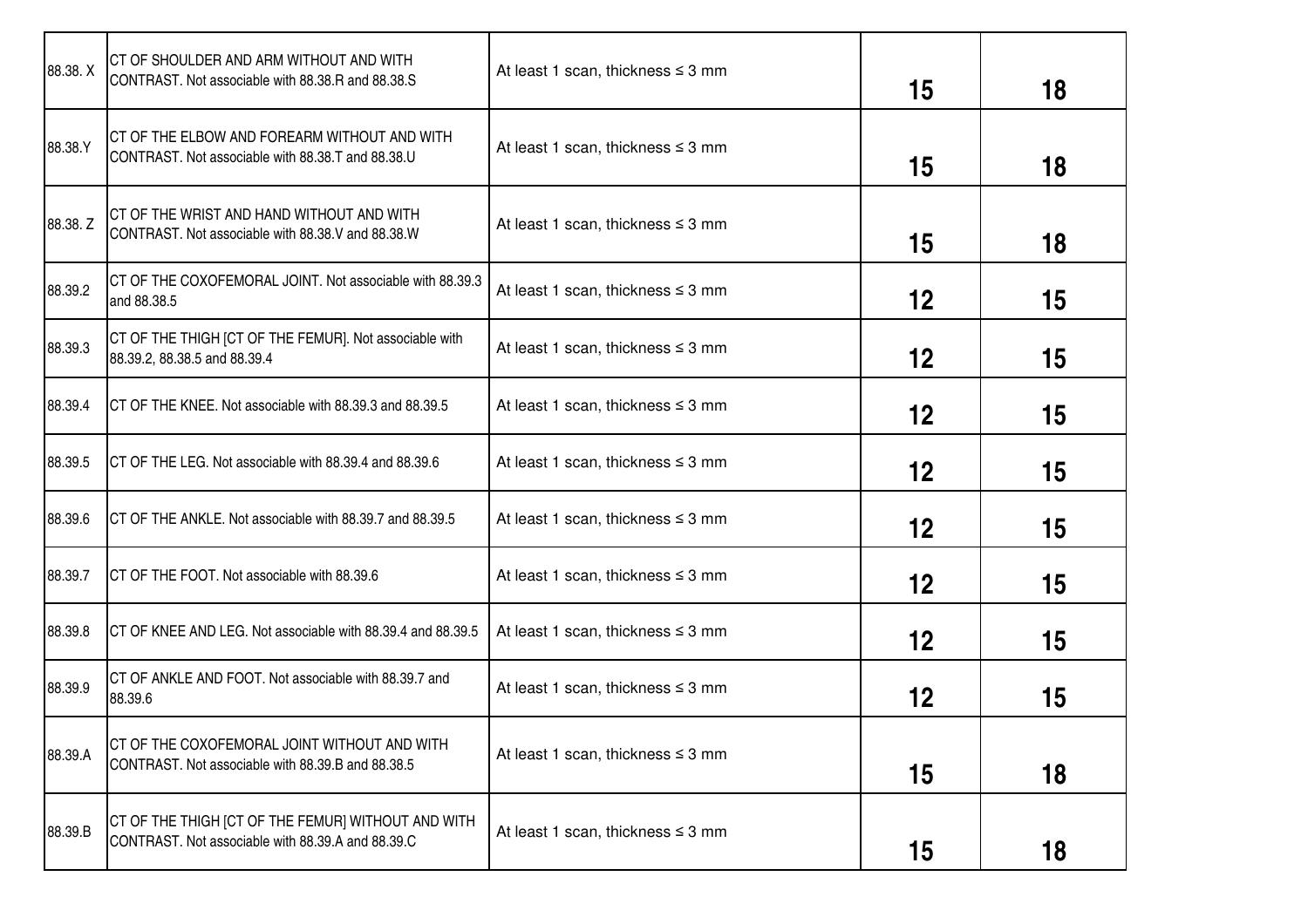| 88.38.X  | CT OF SHOULDER AND ARM WITHOUT AND WITH<br>CONTRAST. Not associable with 88.38.R and 88.38.S            | At least 1 scan, thickness $\leq$ 3 mm | 15 | 18 |
|----------|---------------------------------------------------------------------------------------------------------|----------------------------------------|----|----|
| 88.38.Y  | CT OF THE ELBOW AND FOREARM WITHOUT AND WITH<br>CONTRAST. Not associable with 88.38.T and 88.38.U       | At least 1 scan, thickness $\leq$ 3 mm | 15 | 18 |
| 88.38. Z | CT OF THE WRIST AND HAND WITHOUT AND WITH<br>CONTRAST. Not associable with 88.38.V and 88.38.W          | At least 1 scan, thickness $\leq$ 3 mm | 15 | 18 |
| 88.39.2  | CT OF THE COXOFEMORAL JOINT. Not associable with 88.39.3<br>and 88.38.5                                 | At least 1 scan, thickness $\leq$ 3 mm | 12 | 15 |
| 88.39.3  | CT OF THE THIGH [CT OF THE FEMUR]. Not associable with<br>88.39.2, 88.38.5 and 88.39.4                  | At least 1 scan, thickness $\leq$ 3 mm | 12 | 15 |
| 88.39.4  | CT OF THE KNEE. Not associable with 88.39.3 and 88.39.5                                                 | At least 1 scan, thickness $\leq$ 3 mm | 12 | 15 |
| 88.39.5  | CT OF THE LEG. Not associable with 88.39.4 and 88.39.6                                                  | At least 1 scan, thickness $\leq$ 3 mm | 12 | 15 |
| 88.39.6  | CT OF THE ANKLE. Not associable with 88.39.7 and 88.39.5                                                | At least 1 scan, thickness $\leq$ 3 mm | 12 | 15 |
| 88.39.7  | CT OF THE FOOT. Not associable with 88.39.6                                                             | At least 1 scan, thickness $\leq$ 3 mm | 12 | 15 |
| 88.39.8  | CT OF KNEE AND LEG. Not associable with 88.39.4 and 88.39.5                                             | At least 1 scan, thickness $\leq$ 3 mm | 12 | 15 |
| 88.39.9  | CT OF ANKLE AND FOOT. Not associable with 88.39.7 and<br>88.39.6                                        | At least 1 scan, thickness $\leq$ 3 mm | 12 | 15 |
| 88.39.A  | CT OF THE COXOFEMORAL JOINT WITHOUT AND WITH<br>CONTRAST. Not associable with 88.39.B and 88.38.5       | At least 1 scan, thickness $\leq$ 3 mm | 15 | 18 |
| 88.39.B  | CT OF THE THIGH [CT OF THE FEMUR] WITHOUT AND WITH<br>CONTRAST. Not associable with 88.39.A and 88.39.C | At least 1 scan, thickness $\leq$ 3 mm | 15 | 18 |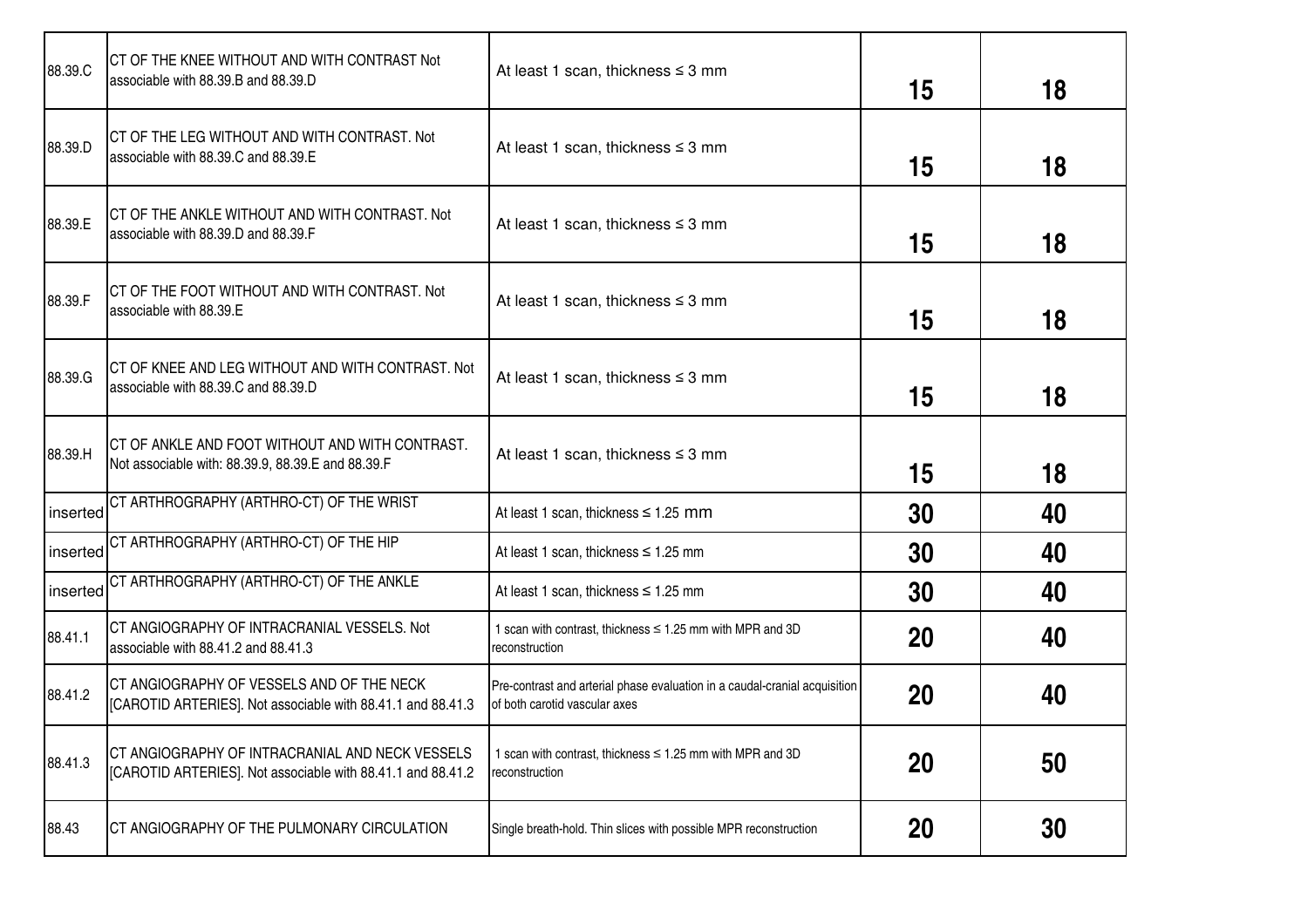| 88.39.C  | CT OF THE KNEE WITHOUT AND WITH CONTRAST Not<br>associable with 88.39.B and 88.39.D                            | At least 1 scan, thickness $\leq$ 3 mm                                                                      | 15        | 18 |
|----------|----------------------------------------------------------------------------------------------------------------|-------------------------------------------------------------------------------------------------------------|-----------|----|
| 88.39.D  | CT OF THE LEG WITHOUT AND WITH CONTRAST. Not<br>associable with 88.39.C and 88.39.E                            | At least 1 scan, thickness $\leq$ 3 mm                                                                      | 15        | 18 |
| 88.39.E  | CT OF THE ANKLE WITHOUT AND WITH CONTRAST. Not<br>associable with 88.39.D and 88.39.F                          | At least 1 scan, thickness $\leq$ 3 mm                                                                      | 15        | 18 |
| 88.39.F  | CT OF THE FOOT WITHOUT AND WITH CONTRAST. Not<br>associable with 88.39.E                                       | At least 1 scan, thickness $\leq$ 3 mm                                                                      | 15        | 18 |
| 88.39.G  | CT OF KNEE AND LEG WITHOUT AND WITH CONTRAST. Not<br>associable with 88.39.C and 88.39.D                       | At least 1 scan, thickness $\leq$ 3 mm                                                                      | 15        | 18 |
| 88.39.H  | CT OF ANKLE AND FOOT WITHOUT AND WITH CONTRAST.<br>Not associable with: 88.39.9, 88.39.E and 88.39.F           | At least 1 scan, thickness $\leq$ 3 mm                                                                      | 15        | 18 |
| inserted | CT ARTHROGRAPHY (ARTHRO-CT) OF THE WRIST                                                                       | At least 1 scan, thickness $\leq 1.25$ mm                                                                   | 30        | 40 |
| inserted | CT ARTHROGRAPHY (ARTHRO-CT) OF THE HIP                                                                         | At least 1 scan, thickness $\leq 1.25$ mm                                                                   | 30        | 40 |
| inserted | CT ARTHROGRAPHY (ARTHRO-CT) OF THE ANKLE                                                                       | At least 1 scan, thickness $\leq 1.25$ mm                                                                   | 30        | 40 |
| 88.41.1  | CT ANGIOGRAPHY OF INTRACRANIAL VESSELS. Not<br>associable with 88.41.2 and 88.41.3                             | 1 scan with contrast, thickness ≤ 1.25 mm with MPR and 3D<br>reconstruction                                 | 20        | 40 |
| 88.41.2  | CT ANGIOGRAPHY OF VESSELS AND OF THE NECK<br>[CAROTID ARTERIES]. Not associable with 88.41.1 and 88.41.3       | Pre-contrast and arterial phase evaluation in a caudal-cranial acquisition<br>of both carotid vascular axes | 20        | 40 |
| 88.41.3  | CT ANGIOGRAPHY OF INTRACRANIAL AND NECK VESSELS<br>[CAROTID ARTERIES]. Not associable with 88.41.1 and 88.41.2 | 1 scan with contrast, thickness ≤ 1.25 mm with MPR and 3D<br>reconstruction                                 | 20        | 50 |
| 88.43    | CT ANGIOGRAPHY OF THE PULMONARY CIRCULATION                                                                    | Single breath-hold. Thin slices with possible MPR reconstruction                                            | <b>20</b> | 30 |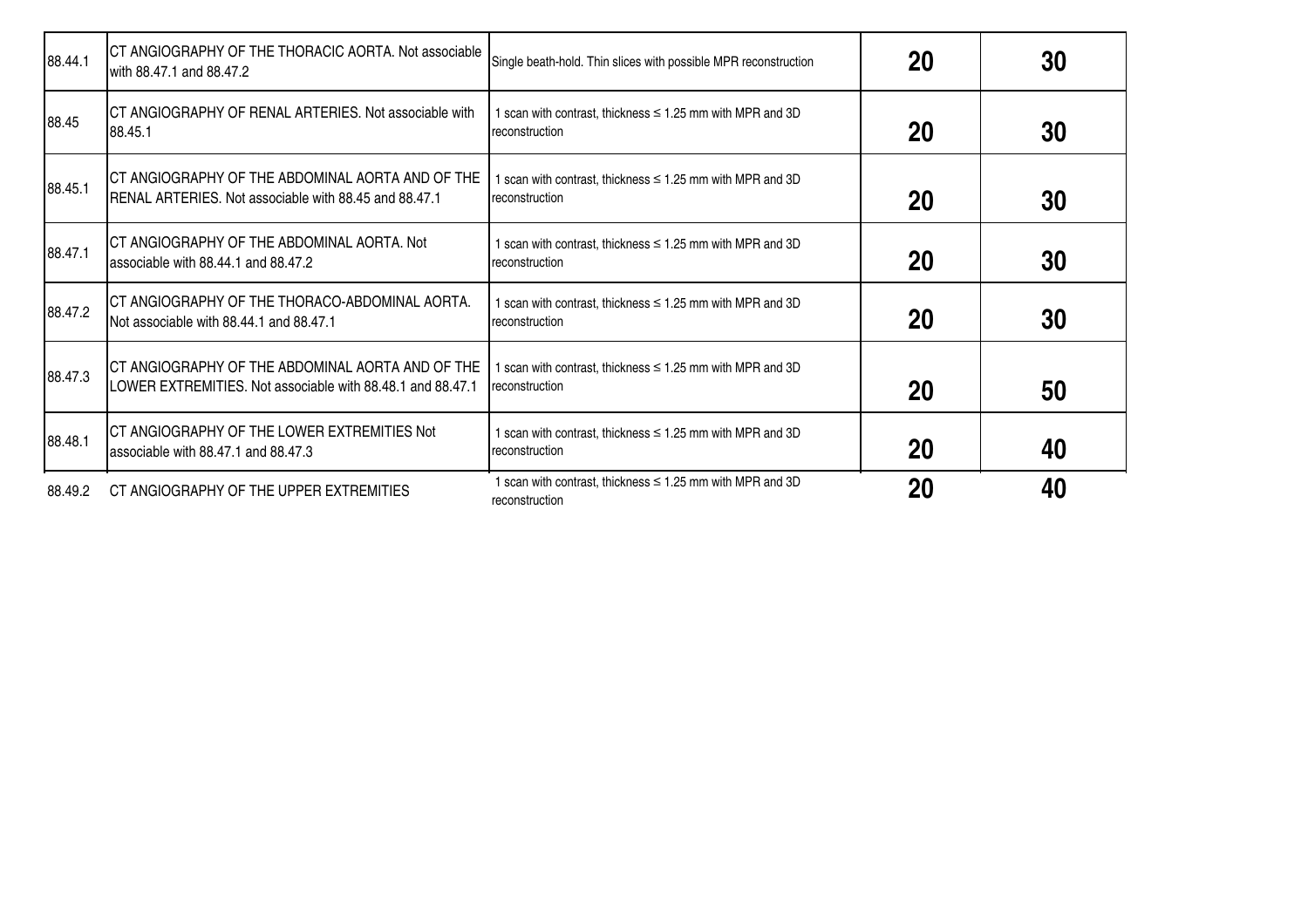| 88.44.1 | CT ANGIOGRAPHY OF THE THORACIC AORTA. Not associable<br>with 88.47.1 and 88.47.2                               | Single beath-hold. Thin slices with possible MPR reconstruction                  | 20 | 30 |
|---------|----------------------------------------------------------------------------------------------------------------|----------------------------------------------------------------------------------|----|----|
| 88.45   | <b>ICT ANGIOGRAPHY OF RENAL ARTERIES. Not associable with</b><br>88.45.1                                       | 1 scan with contrast, thickness $\leq$ 1.25 mm with MPR and 3D<br>reconstruction | 20 | 30 |
| 88.45.1 | CT ANGIOGRAPHY OF THE ABDOMINAL AORTA AND OF THE<br>RENAL ARTERIES. Not associable with 88.45 and 88.47.1      | I scan with contrast, thickness $\leq$ 1.25 mm with MPR and 3D<br>reconstruction | 20 | 30 |
| 88.47.1 | CT ANGIOGRAPHY OF THE ABDOMINAL AORTA. Not<br>associable with 88.44.1 and 88.47.2                              | 1 scan with contrast, thickness $\leq$ 1.25 mm with MPR and 3D<br>reconstruction | 20 | 30 |
| 88.47.2 | CT ANGIOGRAPHY OF THE THORACO-ABDOMINAL AORTA.<br>Not associable with 88.44.1 and 88.47.1                      | I scan with contrast, thickness $\leq$ 1.25 mm with MPR and 3D<br>reconstruction | 20 | 30 |
| 88.47.3 | CT ANGIOGRAPHY OF THE ABDOMINAL AORTA AND OF THE<br>LOWER EXTREMITIES. Not associable with 88.48.1 and 88.47.1 | I scan with contrast, thickness $\leq 1.25$ mm with MPR and 3D<br>reconstruction | 20 | 50 |
| 88.48.1 | CT ANGIOGRAPHY OF THE LOWER EXTREMITIES Not<br>associable with 88.47.1 and 88.47.3                             | 1 scan with contrast, thickness $\leq$ 1.25 mm with MPR and 3D<br>reconstruction | 20 | 40 |
| 88.49.2 | CT ANGIOGRAPHY OF THE UPPER EXTREMITIES                                                                        | scan with contrast, thickness $\leq$ 1.25 mm with MPR and 3D<br>reconstruction   | 20 | 40 |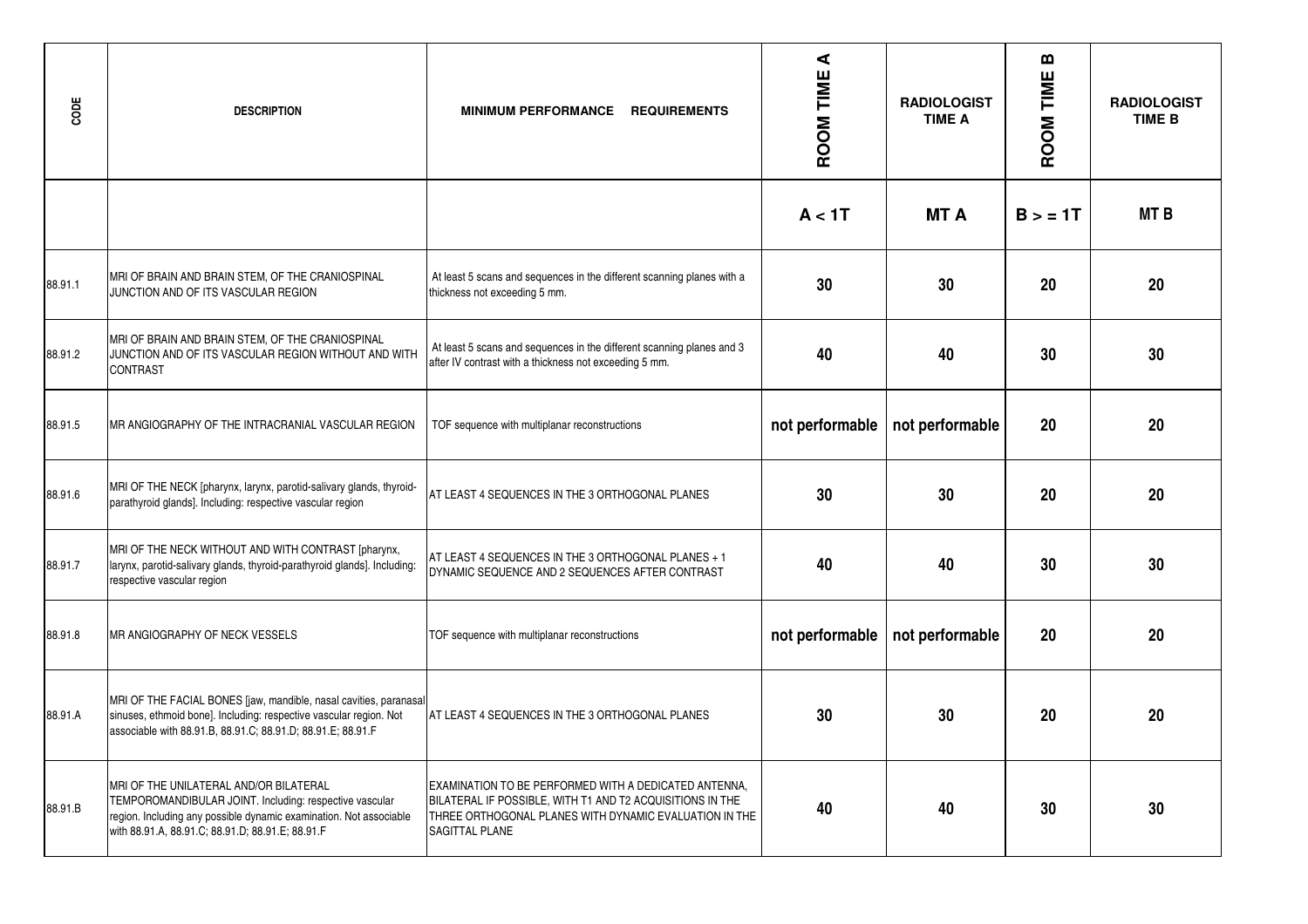| CODE    | <b>DESCRIPTION</b>                                                                                                                                                                                                          | MINIMUM PERFORMANCE REQUIREMENTS                                                                                                                                                                      | ⋖<br>ROOM TIME  | <b>RADIOLOGIST</b><br><b>TIME A</b> | m<br>ROOM TIME | <b>RADIOLOGIST</b><br><b>TIME B</b> |
|---------|-----------------------------------------------------------------------------------------------------------------------------------------------------------------------------------------------------------------------------|-------------------------------------------------------------------------------------------------------------------------------------------------------------------------------------------------------|-----------------|-------------------------------------|----------------|-------------------------------------|
|         |                                                                                                                                                                                                                             |                                                                                                                                                                                                       | A < 1T          | <b>MTA</b>                          | B > 1T         | <b>MTB</b>                          |
| 88.91.1 | MRI OF BRAIN AND BRAIN STEM, OF THE CRANIOSPINAL<br>JUNCTION AND OF ITS VASCULAR REGION                                                                                                                                     | At least 5 scans and sequences in the different scanning planes with a<br>thickness not exceeding 5 mm.                                                                                               | 30              | 30                                  | 20             | 20                                  |
| 88.91.2 | MRI OF BRAIN AND BRAIN STEM, OF THE CRANIOSPINAL<br>JUNCTION AND OF ITS VASCULAR REGION WITHOUT AND WITH<br><b>CONTRAST</b>                                                                                                 | At least 5 scans and sequences in the different scanning planes and 3<br>after IV contrast with a thickness not exceeding 5 mm.                                                                       | 40              | 40                                  | 30             | 30                                  |
| 88.91.5 | MR ANGIOGRAPHY OF THE INTRACRANIAL VASCULAR REGION                                                                                                                                                                          | TOF sequence with multiplanar reconstructions                                                                                                                                                         | not performable | not performable                     | 20             | 20                                  |
| 88.91.6 | MRI OF THE NECK [pharynx, larynx, parotid-salivary glands, thyroid-<br>parathyroid glands]. Including: respective vascular region                                                                                           | AT LEAST 4 SEQUENCES IN THE 3 ORTHOGONAL PLANES                                                                                                                                                       | 30              | 30                                  | 20             | 20                                  |
| 88.91.7 | MRI OF THE NECK WITHOUT AND WITH CONTRAST [pharynx,<br>larynx, parotid-salivary glands, thyroid-parathyroid glands]. Including:<br>respective vascular region                                                               | AT LEAST 4 SEQUENCES IN THE 3 ORTHOGONAL PLANES + 1<br>DYNAMIC SEQUENCE AND 2 SEQUENCES AFTER CONTRAST                                                                                                | 40              | 40                                  | 30             | 30                                  |
| 88.91.8 | MR ANGIOGRAPHY OF NECK VESSELS                                                                                                                                                                                              | TOF sequence with multiplanar reconstructions                                                                                                                                                         | not performable | not performable                     | 20             | 20                                  |
| 88.91.A | MRI OF THE FACIAL BONES [jaw, mandible, nasal cavities, paranasal<br>sinuses, ethmoid bone]. Including: respective vascular region. Not<br>associable with 88.91.B, 88.91.C; 88.91.D; 88.91.E; 88.91.F                      | AT LEAST 4 SEQUENCES IN THE 3 ORTHOGONAL PLANES                                                                                                                                                       | 30              | 30                                  | 20             | 20                                  |
| 88.91.B | MRI OF THE UNILATERAL AND/OR BILATERAL<br>TEMPOROMANDIBULAR JOINT. Including: respective vascular<br>region. Including any possible dynamic examination. Not associable<br>with 88.91.A, 88.91.C; 88.91.D; 88.91.E; 88.91.F | EXAMINATION TO BE PERFORMED WITH A DEDICATED ANTENNA.<br>BILATERAL IF POSSIBLE. WITH T1 AND T2 ACQUISITIONS IN THE<br>THREE ORTHOGONAL PLANES WITH DYNAMIC EVALUATION IN THE<br><b>SAGITTAL PLANE</b> | 40              | 40                                  | 30             | 30                                  |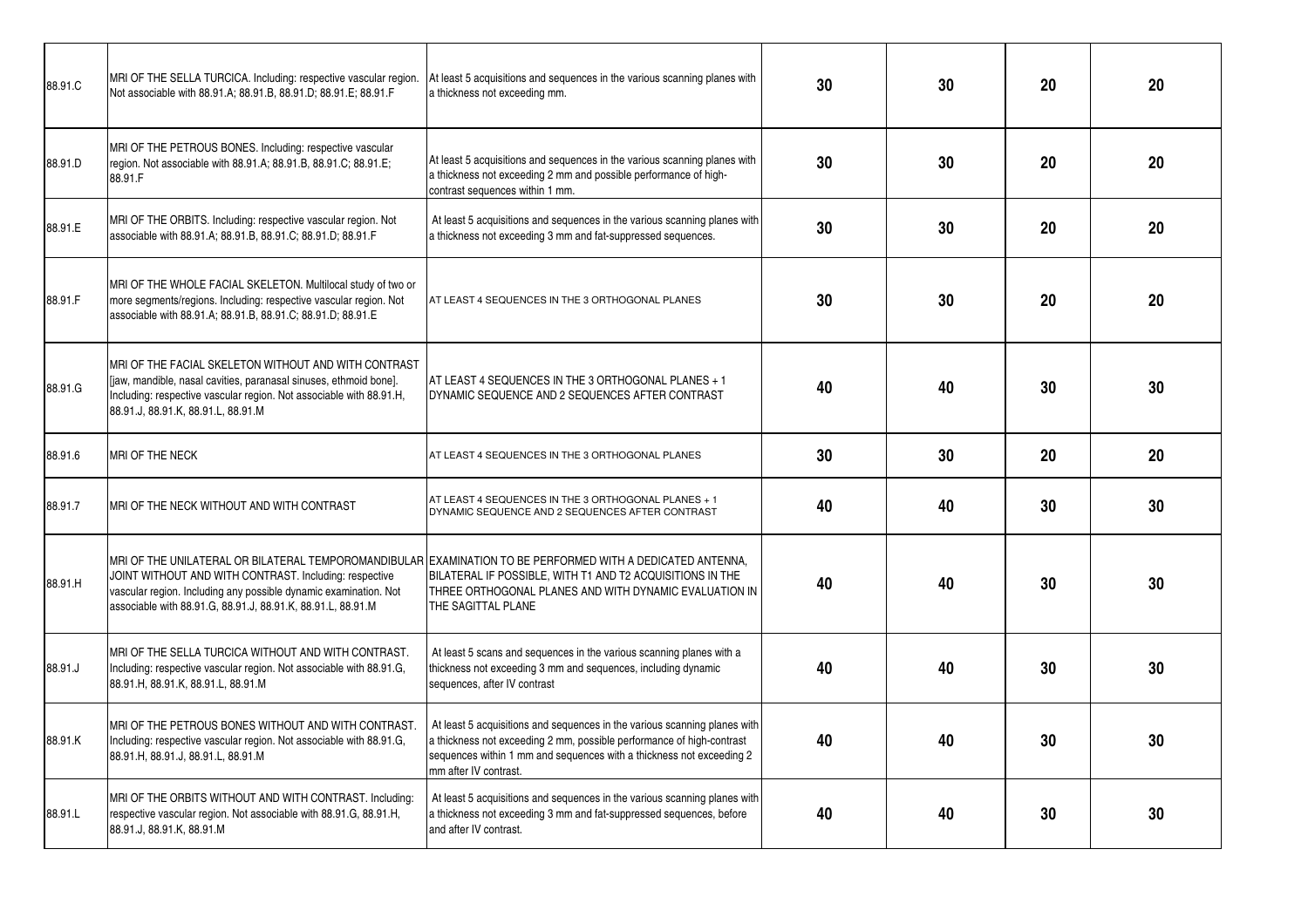| 88.91.C | MRI OF THE SELLA TURCICA. Including: respective vascular region.<br>Not associable with 88.91.A; 88.91.B, 88.91.D; 88.91.E; 88.91.F                                                                                                    | At least 5 acquisitions and sequences in the various scanning planes with<br>a thickness not exceeding mm.                                                                                                                                              | 30 | 30 | 20 | 20 |
|---------|----------------------------------------------------------------------------------------------------------------------------------------------------------------------------------------------------------------------------------------|---------------------------------------------------------------------------------------------------------------------------------------------------------------------------------------------------------------------------------------------------------|----|----|----|----|
| 88.91.D | MRI OF THE PETROUS BONES. Including: respective vascular<br>region. Not associable with 88.91.A; 88.91.B, 88.91.C; 88.91.E;<br>88.91.F                                                                                                 | At least 5 acquisitions and sequences in the various scanning planes with<br>a thickness not exceeding 2 mm and possible performance of high-<br>contrast sequences within 1 mm.                                                                        | 30 | 30 | 20 | 20 |
| 88.91.E | MRI OF THE ORBITS. Including: respective vascular region. Not<br>associable with 88.91.A; 88.91.B, 88.91.C; 88.91.D; 88.91.F                                                                                                           | At least 5 acquisitions and sequences in the various scanning planes with<br>a thickness not exceeding 3 mm and fat-suppressed sequences.                                                                                                               | 30 | 30 | 20 | 20 |
| 88.91.F | MRI OF THE WHOLE FACIAL SKELETON. Multilocal study of two or<br>more segments/regions. Including: respective vascular region. Not<br>associable with 88.91.A; 88.91.B, 88.91.C; 88.91.D; 88.91.E                                       | AT LEAST 4 SEQUENCES IN THE 3 ORTHOGONAL PLANES                                                                                                                                                                                                         | 30 | 30 | 20 | 20 |
| 88.91.G | MRI OF THE FACIAL SKELETON WITHOUT AND WITH CONTRAST<br>liaw, mandible, nasal cavities, paranasal sinuses, ethmoid bone].<br>Including: respective vascular region. Not associable with 88.91.H,<br>88.91.J, 88.91.K, 88.91.L, 88.91.M | AT LEAST 4 SEQUENCES IN THE 3 ORTHOGONAL PLANES + 1<br>DYNAMIC SEQUENCE AND 2 SEQUENCES AFTER CONTRAST                                                                                                                                                  | 40 | 40 | 30 | 30 |
| 88.91.6 | MRI OF THE NECK                                                                                                                                                                                                                        | AT LEAST 4 SEQUENCES IN THE 3 ORTHOGONAL PLANES                                                                                                                                                                                                         | 30 | 30 | 20 | 20 |
| 88.91.7 | MRI OF THE NECK WITHOUT AND WITH CONTRAST                                                                                                                                                                                              | AT LEAST 4 SEQUENCES IN THE 3 ORTHOGONAL PLANES + 1<br>DYNAMIC SEQUENCE AND 2 SEQUENCES AFTER CONTRAST                                                                                                                                                  | 40 | 40 | 30 | 30 |
| 88.91.H | JOINT WITHOUT AND WITH CONTRAST. Including: respective<br>vascular region. Including any possible dynamic examination. Not<br>associable with 88.91.G, 88.91.J, 88.91.K, 88.91.L, 88.91.M                                              | MRI OF THE UNILATERAL OR BILATERAL TEMPOROMANDIBULAR EXAMINATION TO BE PERFORMED WITH A DEDICATED ANTENNA,<br>BILATERAL IF POSSIBLE, WITH T1 AND T2 ACQUISITIONS IN THE<br>THREE ORTHOGONAL PLANES AND WITH DYNAMIC EVALUATION IN<br>THE SAGITTAL PLANE | 40 | 40 | 30 | 30 |
| 88.91.J | MRI OF THE SELLA TURCICA WITHOUT AND WITH CONTRAST.<br>Including: respective vascular region. Not associable with 88.91.G,<br>88.91.H, 88.91.K, 88.91.L, 88.91.M                                                                       | At least 5 scans and sequences in the various scanning planes with a<br>thickness not exceeding 3 mm and sequences, including dynamic<br>sequences, after IV contrast                                                                                   | 40 | 40 | 30 | 30 |
| 88.91.K | MRI OF THE PETROUS BONES WITHOUT AND WITH CONTRAST.<br>Including: respective vascular region. Not associable with 88.91.G,<br>88.91.H, 88.91.J, 88.91.L, 88.91.M                                                                       | At least 5 acquisitions and sequences in the various scanning planes with<br>a thickness not exceeding 2 mm, possible performance of high-contrast<br>sequences within 1 mm and sequences with a thickness not exceeding 2<br>mm after IV contrast.     | 40 | 40 | 30 | 30 |
| 88.91.L | MRI OF THE ORBITS WITHOUT AND WITH CONTRAST. Including:<br>respective vascular region. Not associable with 88.91.G, 88.91.H,<br>88.91.J, 88.91.K, 88.91.M                                                                              | At least 5 acquisitions and sequences in the various scanning planes with<br>a thickness not exceeding 3 mm and fat-suppressed sequences, before<br>and after IV contrast.                                                                              | 40 | 40 | 30 | 30 |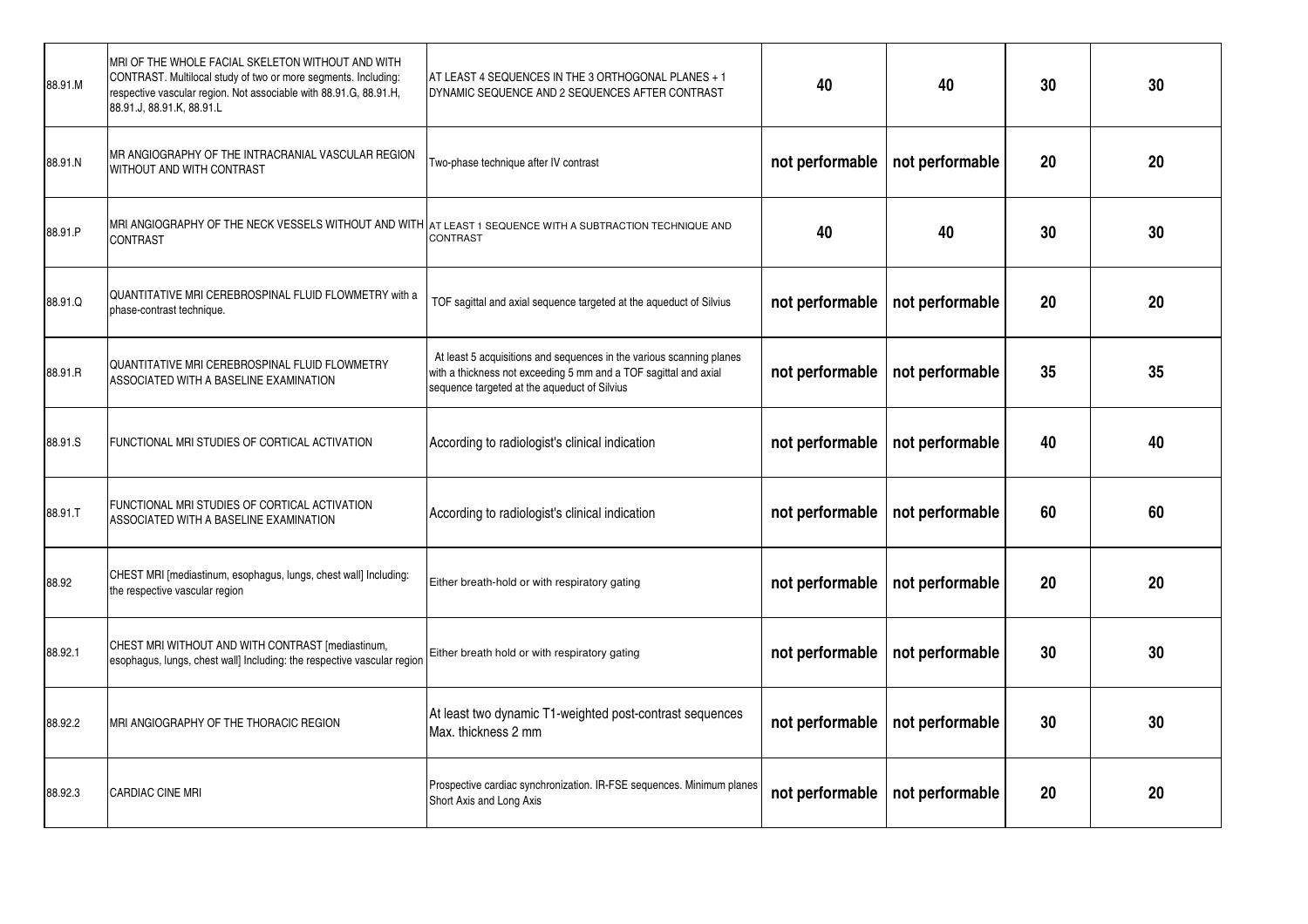| 88.91.M | MRI OF THE WHOLE FACIAL SKELETON WITHOUT AND WITH<br>CONTRAST. Multilocal study of two or more segments. Including:<br>respective vascular region. Not associable with 88.91.G, 88.91.H,<br>88.91.J, 88.91.K, 88.91.L | AT LEAST 4 SEQUENCES IN THE 3 ORTHOGONAL PLANES + 1<br>DYNAMIC SEQUENCE AND 2 SEQUENCES AFTER CONTRAST                                                                                   | 40              | 40              | 30 | 30 |
|---------|-----------------------------------------------------------------------------------------------------------------------------------------------------------------------------------------------------------------------|------------------------------------------------------------------------------------------------------------------------------------------------------------------------------------------|-----------------|-----------------|----|----|
| 88.91.N | MR ANGIOGRAPHY OF THE INTRACRANIAL VASCULAR REGION<br>WITHOUT AND WITH CONTRAST                                                                                                                                       | Two-phase technique after IV contrast                                                                                                                                                    | not performable | not performable | 20 | 20 |
| 88.91.P | MRI ANGIOGRAPHY OF THE NECK VESSELS WITHOUT AND WITH   AT LEAST 1 SEQUENCE WITH A SUBTRACTION TECHNIQUE AND<br>CONTRAST                                                                                               | CONTRAST                                                                                                                                                                                 | 40              | 40              | 30 | 30 |
| 88.91.Q | QUANTITATIVE MRI CEREBROSPINAL FLUID FLOWMETRY with a<br>phase-contrast technique.                                                                                                                                    | TOF sagittal and axial sequence targeted at the aqueduct of Silvius                                                                                                                      | not performable | not performable | 20 | 20 |
| 88.91.R | QUANTITATIVE MRI CEREBROSPINAL FLUID FLOWMETRY<br>ASSOCIATED WITH A BASELINE EXAMINATION                                                                                                                              | At least 5 acquisitions and sequences in the various scanning planes<br>with a thickness not exceeding 5 mm and a TOF sagittal and axial<br>sequence targeted at the aqueduct of Silvius | not performable | not performable | 35 | 35 |
| 88.91.S | FUNCTIONAL MRI STUDIES OF CORTICAL ACTIVATION                                                                                                                                                                         | According to radiologist's clinical indication                                                                                                                                           | not performable | not performable | 40 | 40 |
| 88.91.T | FUNCTIONAL MRI STUDIES OF CORTICAL ACTIVATION<br>ASSOCIATED WITH A BASELINE EXAMINATION                                                                                                                               | According to radiologist's clinical indication                                                                                                                                           | not performable | not performable | 60 | 60 |
| 88.92   | CHEST MRI [mediastinum, esophagus, lungs, chest wall] Including:<br>the respective vascular region                                                                                                                    | Either breath-hold or with respiratory gating                                                                                                                                            | not performable | not performable | 20 | 20 |
| 88.92.1 | CHEST MRI WITHOUT AND WITH CONTRAST [mediastinum,<br>esophagus, lungs, chest wall] Including: the respective vascular region                                                                                          | Either breath hold or with respiratory gating                                                                                                                                            | not performable | not performable | 30 | 30 |
| 88.92.2 | MRI ANGIOGRAPHY OF THE THORACIC REGION                                                                                                                                                                                | At least two dynamic T1-weighted post-contrast sequences<br>Max. thickness 2 mm                                                                                                          | not performable | not performable | 30 | 30 |
| 88.92.3 | <b>CARDIAC CINE MRI</b>                                                                                                                                                                                               | Prospective cardiac synchronization. IR-FSE sequences. Minimum planes<br>Short Axis and Long Axis                                                                                        | not performable | not performable | 20 | 20 |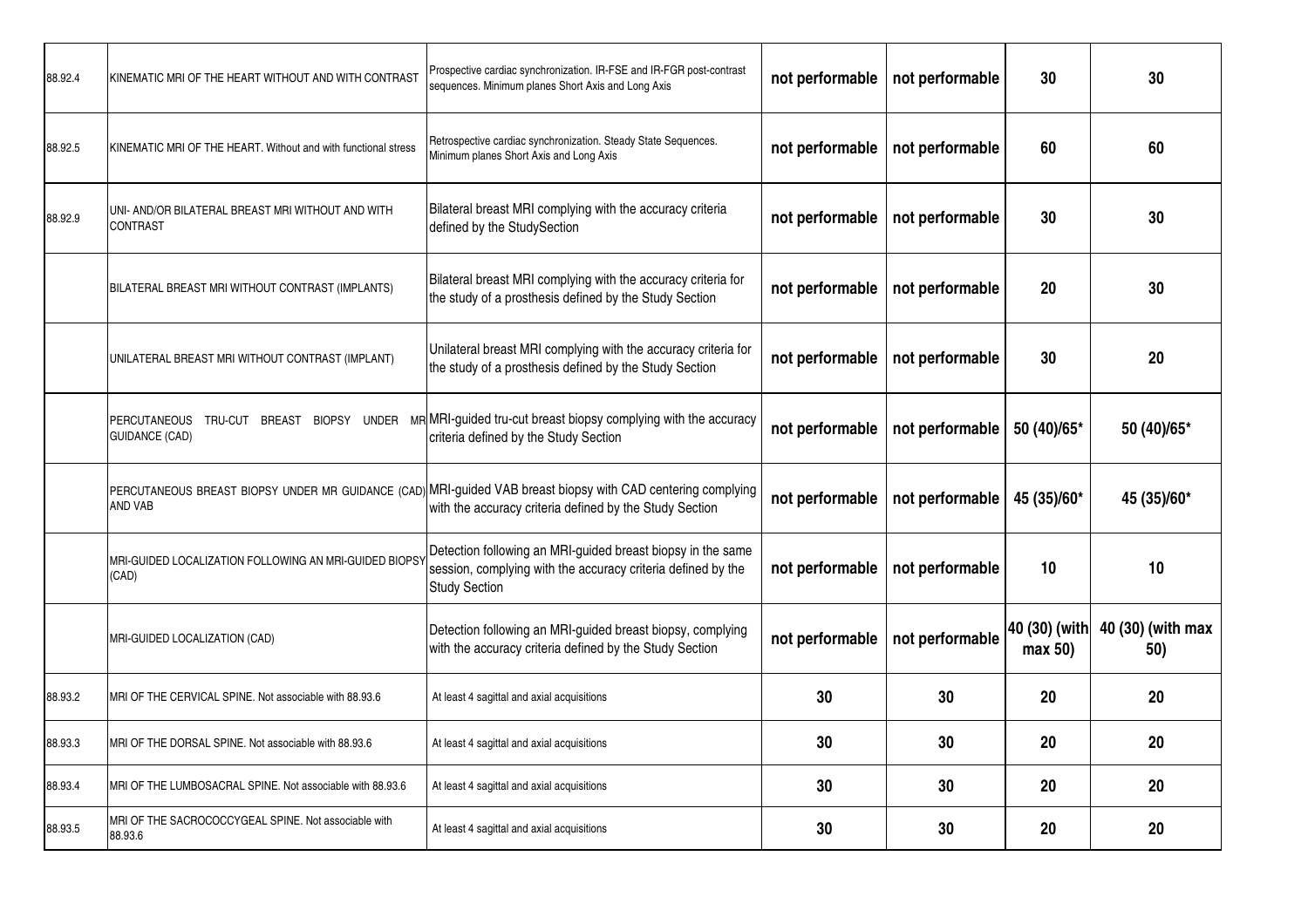| 88.92.4 | KINEMATIC MRI OF THE HEART WITHOUT AND WITH CONTRAST            | Prospective cardiac synchronization. IR-FSE and IR-FGR post-contrast<br>sequences. Minimum planes Short Axis and Long Axis                                              | not performable | not performable | 30                       | 30                       |
|---------|-----------------------------------------------------------------|-------------------------------------------------------------------------------------------------------------------------------------------------------------------------|-----------------|-----------------|--------------------------|--------------------------|
| 88.92.5 | KINEMATIC MRI OF THE HEART. Without and with functional stress  | Retrospective cardiac synchronization. Steady State Sequences.<br>Minimum planes Short Axis and Long Axis                                                               | not performable | not performable | 60                       | 60                       |
| 88.92.9 | UNI- AND/OR BILATERAL BREAST MRI WITHOUT AND WITH<br>CONTRAST   | Bilateral breast MRI complying with the accuracy criteria<br>defined by the StudySection                                                                                | not performable | not performable | 30                       | 30                       |
|         | BILATERAL BREAST MRI WITHOUT CONTRAST (IMPLANTS)                | Bilateral breast MRI complying with the accuracy criteria for<br>the study of a prosthesis defined by the Study Section                                                 | not performable | not performable | 20                       | 30                       |
|         | UNILATERAL BREAST MRI WITHOUT CONTRAST (IMPLANT)                | Unilateral breast MRI complying with the accuracy criteria for<br>the study of a prosthesis defined by the Study Section                                                | not performable | not performable | 30                       | 20                       |
|         | PERCUTANEOUS<br>TRU-CUT BREAST<br><b>GUIDANCE (CAD)</b>         | BIOPSY UNDER MRMARI-guided tru-cut breast biopsy complying with the accuracy<br>criteria defined by the Study Section                                                   | not performable | not performable | 50 (40)/65*              | 50 (40)/65*              |
|         | AND VAB                                                         | PERCUTANEOUS BREAST BIOPSY UNDER MR GUIDANCE (CAD) MRI-guided VAB breast biopsy with CAD centering complying<br>with the accuracy criteria defined by the Study Section | not performable | not performable | 45 (35)/60*              | 45 (35)/60*              |
|         | MRI-GUIDED LOCALIZATION FOLLOWING AN MRI-GUIDED BIOPSY<br>(CAD) | Detection following an MRI-guided breast biopsy in the same<br>session, complying with the accuracy criteria defined by the<br><b>Study Section</b>                     | not performable | not performable | 10                       | 10                       |
|         | MRI-GUIDED LOCALIZATION (CAD)                                   | Detection following an MRI-guided breast biopsy, complying<br>with the accuracy criteria defined by the Study Section                                                   | not performable | not performable | 40 (30) (with<br>max 50) | 40 (30) (with max<br>50) |
| 88.93.2 | MRI OF THE CERVICAL SPINE. Not associable with 88.93.6          | At least 4 sagittal and axial acquisitions                                                                                                                              | 30              | 30              | 20                       | 20                       |
| 88.93.3 | MRI OF THE DORSAL SPINE. Not associable with 88.93.6            | At least 4 sagittal and axial acquisitions                                                                                                                              | 30              | 30              | 20                       | 20                       |
| 88.93.4 | MRI OF THE LUMBOSACRAL SPINE. Not associable with 88.93.6       | At least 4 sagittal and axial acquisitions                                                                                                                              | 30              | 30              | 20                       | 20                       |
| 88.93.5 | MRI OF THE SACROCOCCYGEAL SPINE. Not associable with<br>88.93.6 | At least 4 sagittal and axial acquisitions                                                                                                                              | 30              | 30              | 20                       | 20                       |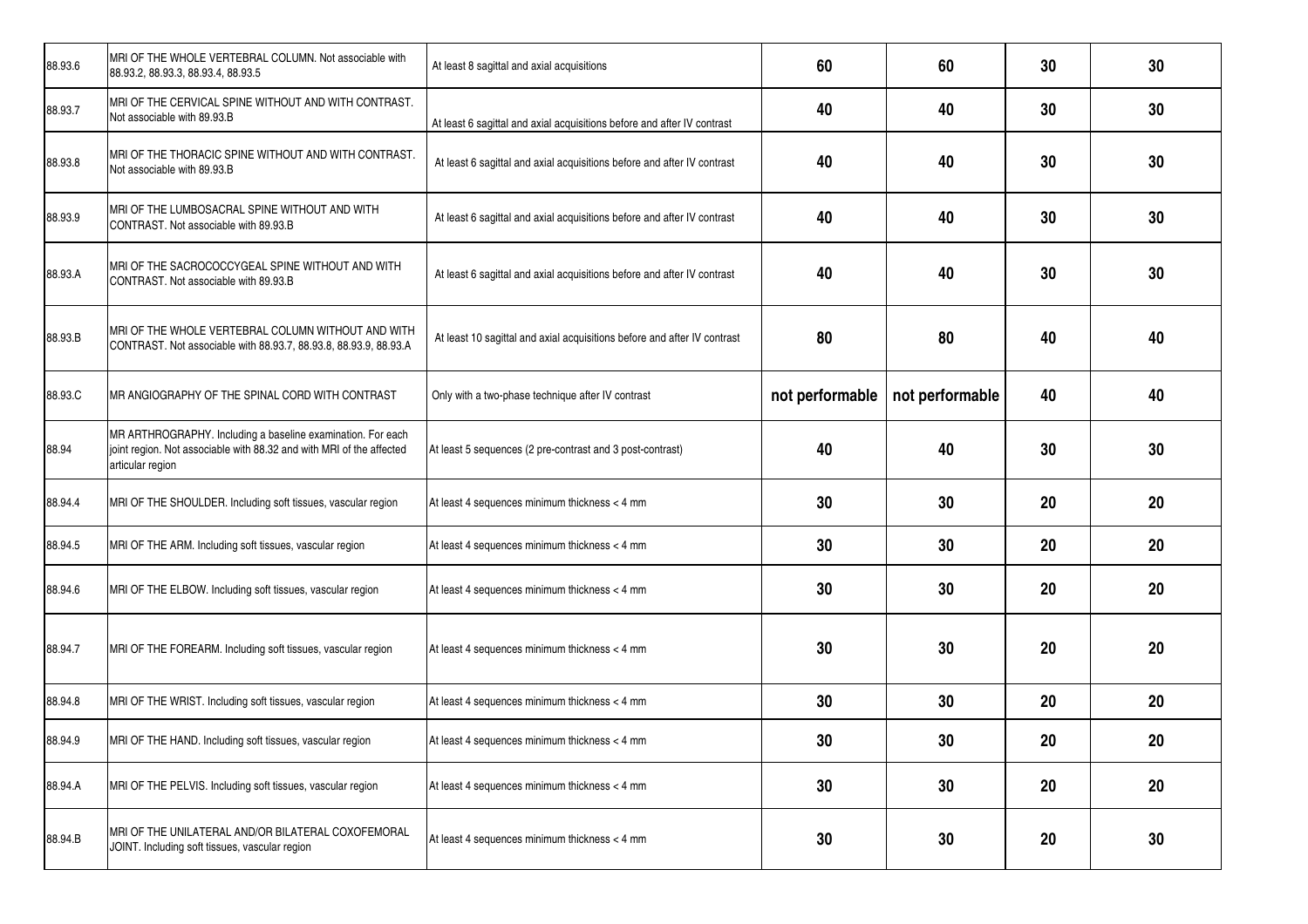| 88.93.6 | MRI OF THE WHOLE VERTEBRAL COLUMN. Not associable with<br>88.93.2, 88.93.3, 88.93.4, 88.93.5                                                            | At least 8 sagittal and axial acquisitions                               | 60              | 60              | 30 | 30 |
|---------|---------------------------------------------------------------------------------------------------------------------------------------------------------|--------------------------------------------------------------------------|-----------------|-----------------|----|----|
| 88.93.7 | MRI OF THE CERVICAL SPINE WITHOUT AND WITH CONTRAST.<br>Not associable with 89.93.B                                                                     | At least 6 sagittal and axial acquisitions before and after IV contrast  | 40              | 40              | 30 | 30 |
| 88.93.8 | MRI OF THE THORACIC SPINE WITHOUT AND WITH CONTRAST.<br>Not associable with 89.93.B                                                                     | At least 6 sagittal and axial acquisitions before and after IV contrast  | 40              | 40              | 30 | 30 |
| 88.93.9 | MRI OF THE LUMBOSACRAL SPINE WITHOUT AND WITH<br>CONTRAST. Not associable with 89.93.B                                                                  | At least 6 sagittal and axial acquisitions before and after IV contrast  | 40              | 40              | 30 | 30 |
| 88.93.A | MRI OF THE SACROCOCCYGEAL SPINE WITHOUT AND WITH<br>CONTRAST. Not associable with 89.93.B                                                               | At least 6 sagittal and axial acquisitions before and after IV contrast  | 40              | 40              | 30 | 30 |
| 88.93.B | MRI OF THE WHOLE VERTEBRAL COLUMN WITHOUT AND WITH<br>CONTRAST. Not associable with 88.93.7, 88.93.8, 88.93.9, 88.93.A                                  | At least 10 sagittal and axial acquisitions before and after IV contrast | 80              | 80              | 40 | 40 |
| 88.93.C | MR ANGIOGRAPHY OF THE SPINAL CORD WITH CONTRAST                                                                                                         | Only with a two-phase technique after IV contrast                        | not performable | not performable | 40 | 40 |
| 88.94   | MR ARTHROGRAPHY. Including a baseline examination. For each<br>joint region. Not associable with 88.32 and with MRI of the affected<br>articular region | At least 5 sequences (2 pre-contrast and 3 post-contrast)                | 40              | 40              | 30 | 30 |
| 88.94.4 | MRI OF THE SHOULDER. Including soft tissues, vascular region                                                                                            | At least 4 sequences minimum thickness < 4 mm                            | 30              | 30              | 20 | 20 |
| 88.94.5 | MRI OF THE ARM. Including soft tissues, vascular region                                                                                                 | At least 4 sequences minimum thickness < 4 mm                            | 30              | 30              | 20 | 20 |
| 88.94.6 | MRI OF THE ELBOW. Including soft tissues, vascular region                                                                                               | At least 4 sequences minimum thickness < 4 mm                            | 30              | 30              | 20 | 20 |
| 88.94.7 | MRI OF THE FOREARM. Including soft tissues, vascular region                                                                                             | At least 4 sequences minimum thickness < 4 mm                            | 30              | 30              | 20 | 20 |
| 88.94.8 | MRI OF THE WRIST. Including soft tissues, vascular region                                                                                               | At least 4 sequences minimum thickness < 4 mm                            | 30              | 30              | 20 | 20 |
| 88.94.9 | MRI OF THE HAND. Including soft tissues, vascular region                                                                                                | At least 4 sequences minimum thickness < 4 mm                            | 30              | 30              | 20 | 20 |
| 88.94.A | MRI OF THE PELVIS. Including soft tissues, vascular region                                                                                              | At least 4 sequences minimum thickness < 4 mm                            | 30              | 30              | 20 | 20 |
| 88.94.B | MRI OF THE UNILATERAL AND/OR BILATERAL COXOFEMORAL<br>JOINT. Including soft tissues, vascular region                                                    | At least 4 sequences minimum thickness < 4 mm                            | 30              | 30              | 20 | 30 |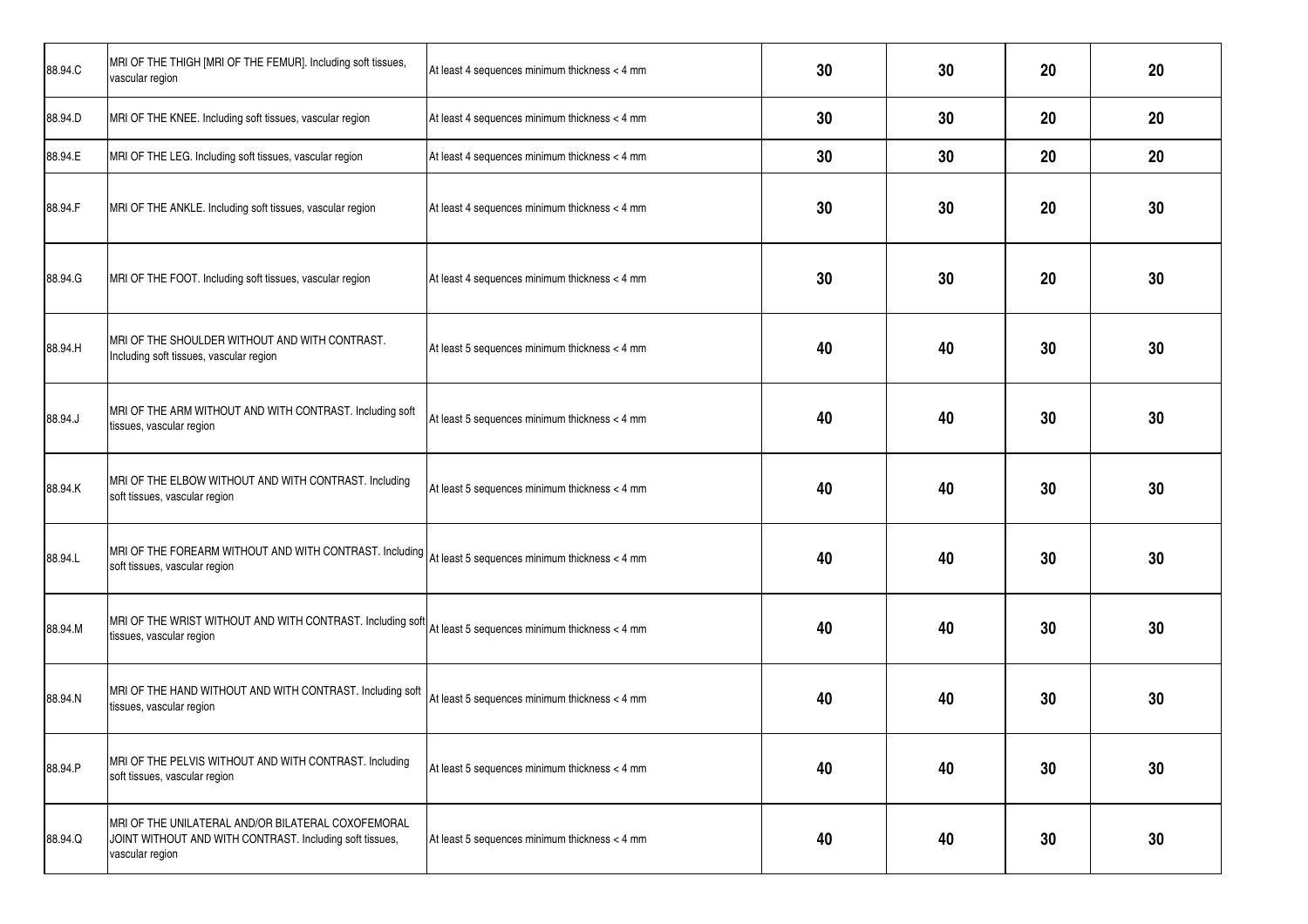| 88.94.C | MRI OF THE THIGH [MRI OF THE FEMUR]. Including soft tissues,<br>vascular region                                                        | At least 4 sequences minimum thickness < 4 mm | 30 | 30 | 20 | 20 |
|---------|----------------------------------------------------------------------------------------------------------------------------------------|-----------------------------------------------|----|----|----|----|
| 88.94.D | MRI OF THE KNEE. Including soft tissues, vascular region                                                                               | At least 4 sequences minimum thickness < 4 mm | 30 | 30 | 20 | 20 |
| 88.94.E | MRI OF THE LEG. Including soft tissues, vascular region                                                                                | At least 4 sequences minimum thickness < 4 mm | 30 | 30 | 20 | 20 |
| 88.94.F | MRI OF THE ANKLE. Including soft tissues, vascular region                                                                              | At least 4 sequences minimum thickness < 4 mm | 30 | 30 | 20 | 30 |
| 88.94.G | MRI OF THE FOOT. Including soft tissues, vascular region                                                                               | At least 4 sequences minimum thickness < 4 mm | 30 | 30 | 20 | 30 |
| 88.94.H | MRI OF THE SHOULDER WITHOUT AND WITH CONTRAST.<br>Including soft tissues, vascular region                                              | At least 5 sequences minimum thickness < 4 mm | 40 | 40 | 30 | 30 |
| 88.94.J | MRI OF THE ARM WITHOUT AND WITH CONTRAST. Including soft<br>tissues, vascular region                                                   | At least 5 sequences minimum thickness < 4 mm | 40 | 40 | 30 | 30 |
| 88.94.K | MRI OF THE ELBOW WITHOUT AND WITH CONTRAST. Including<br>soft tissues, vascular region                                                 | At least 5 sequences minimum thickness < 4 mm | 40 | 40 | 30 | 30 |
| 88.94.L | MRI OF THE FOREARM WITHOUT AND WITH CONTRAST. Including At least 5 sequences minimum thickness < 4 mm<br>soft tissues, vascular region |                                               | 40 | 40 | 30 | 30 |
| 88.94.M | MRI OF THE WRIST WITHOUT AND WITH CONTRAST. Including soft<br>tissues, vascular region                                                 | At least 5 sequences minimum thickness < 4 mm | 40 | 40 | 30 | 30 |
| 88.94.N | MRI OF THE HAND WITHOUT AND WITH CONTRAST. Including soft<br>tissues, vascular region                                                  | At least 5 sequences minimum thickness < 4 mm | 40 | 40 | 30 | 30 |
| 88.94.P | MRI OF THE PELVIS WITHOUT AND WITH CONTRAST. Including<br>soft tissues, vascular region                                                | At least 5 sequences minimum thickness < 4 mm | 40 | 40 | 30 | 30 |
| 88.94.Q | MRI OF THE UNILATERAL AND/OR BILATERAL COXOFEMORAL<br>JOINT WITHOUT AND WITH CONTRAST. Including soft tissues,<br>vascular region      | At least 5 sequences minimum thickness < 4 mm | 40 | 40 | 30 | 30 |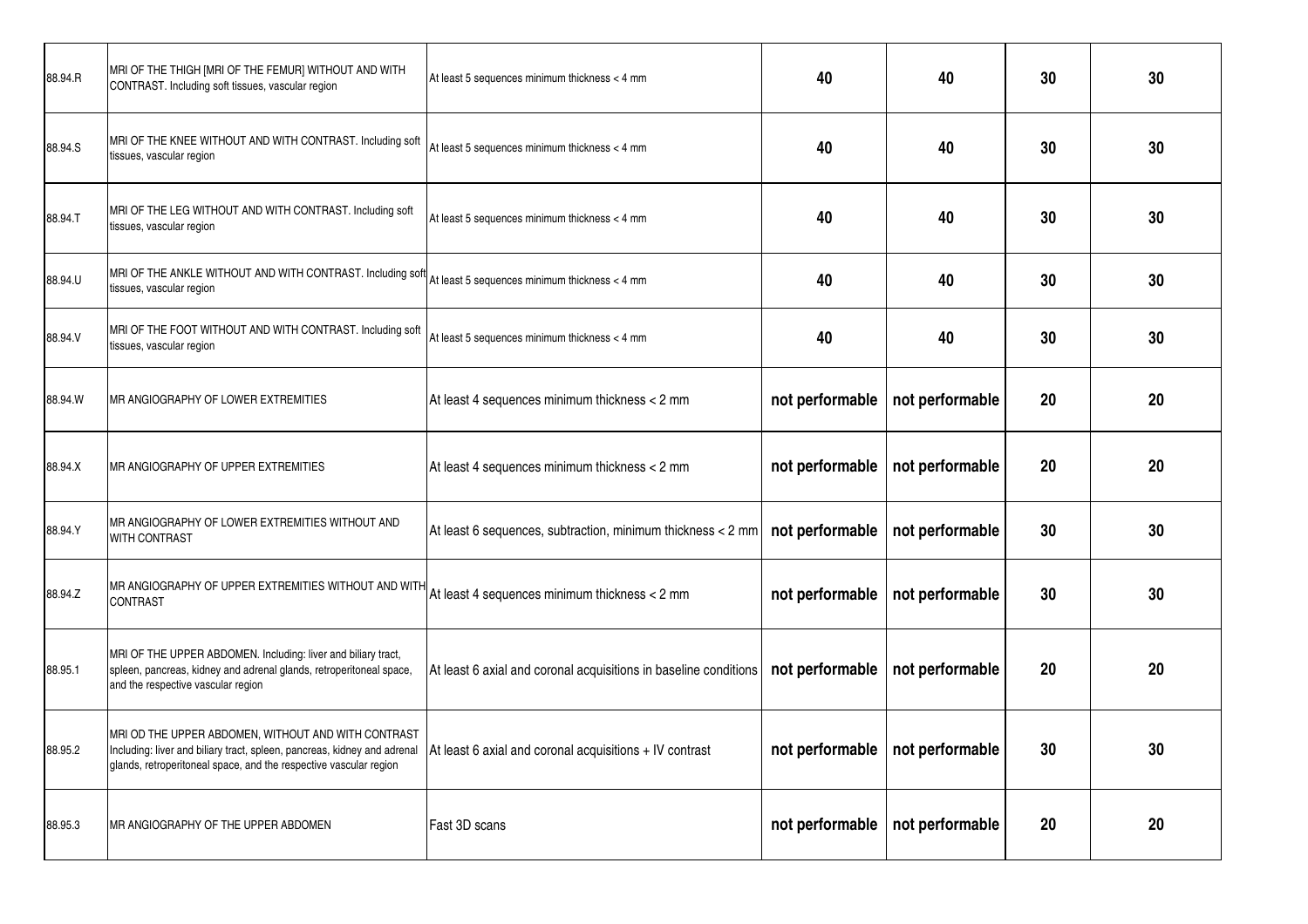| 88.94.R | MRI OF THE THIGH [MRI OF THE FEMUR] WITHOUT AND WITH<br>CONTRAST. Including soft tissues, vascular region                                                                                            | At least 5 sequences minimum thickness < 4 mm                    | 40              | 40                                | 30 | 30 |
|---------|------------------------------------------------------------------------------------------------------------------------------------------------------------------------------------------------------|------------------------------------------------------------------|-----------------|-----------------------------------|----|----|
| 88.94.S | MRI OF THE KNEE WITHOUT AND WITH CONTRAST. Including soft<br>tissues, vascular region                                                                                                                | At least 5 sequences minimum thickness < 4 mm                    | 40              | 40                                | 30 | 30 |
| 88.94.T | MRI OF THE LEG WITHOUT AND WITH CONTRAST. Including soft<br>tissues, vascular region                                                                                                                 | At least 5 sequences minimum thickness < 4 mm                    | 40              | 40                                | 30 | 30 |
| 88.94.U | MRI OF THE ANKLE WITHOUT AND WITH CONTRAST. Including soft<br>tissues, vascular region                                                                                                               | At least 5 sequences minimum thickness < 4 mm                    | 40              | 40                                | 30 | 30 |
| 88.94.V | MRI OF THE FOOT WITHOUT AND WITH CONTRAST. Including soft<br>tissues, vascular region                                                                                                                | At least 5 sequences minimum thickness < 4 mm                    | 40              | 40                                | 30 | 30 |
| 88.94.W | MR ANGIOGRAPHY OF LOWER EXTREMITIES                                                                                                                                                                  | At least 4 sequences minimum thickness < 2 mm                    | not performable | not performable                   | 20 | 20 |
| 88.94.X | <b>MR ANGIOGRAPHY OF UPPER EXTREMITIES</b>                                                                                                                                                           | At least 4 sequences minimum thickness < 2 mm                    | not performable | not performable                   | 20 | 20 |
| 88.94.Y | IMR ANGIOGRAPHY OF LOWER EXTREMITIES WITHOUT AND<br>WITH CONTRAST                                                                                                                                    | At least 6 sequences, subtraction, minimum thickness < 2 mm      | not performable | not performable                   | 30 | 30 |
| 88.94.Z | MR ANGIOGRAPHY OF UPPER EXTREMITIES WITHOUT AND WITH<br><b>CONTRAST</b>                                                                                                                              | At least 4 sequences minimum thickness < 2 mm                    | not performable | not performable                   | 30 | 30 |
| 88.95.1 | MRI OF THE UPPER ABDOMEN. Including: liver and biliary tract,<br>spleen, pancreas, kidney and adrenal glands, retroperitoneal space,<br>and the respective vascular region                           | At least 6 axial and coronal acquisitions in baseline conditions | not performable | not performable                   | 20 | 20 |
| 88.95.2 | MRI OD THE UPPER ABDOMEN, WITHOUT AND WITH CONTRAST<br>Including: liver and biliary tract, spleen, pancreas, kidney and adrenal<br>glands, retroperitoneal space, and the respective vascular region | At least 6 axial and coronal acquisitions + IV contrast          |                 | not performable   not performable | 30 | 30 |
| 88.95.3 | MR ANGIOGRAPHY OF THE UPPER ABDOMEN                                                                                                                                                                  | Fast 3D scans                                                    |                 | not performable   not performable | 20 | 20 |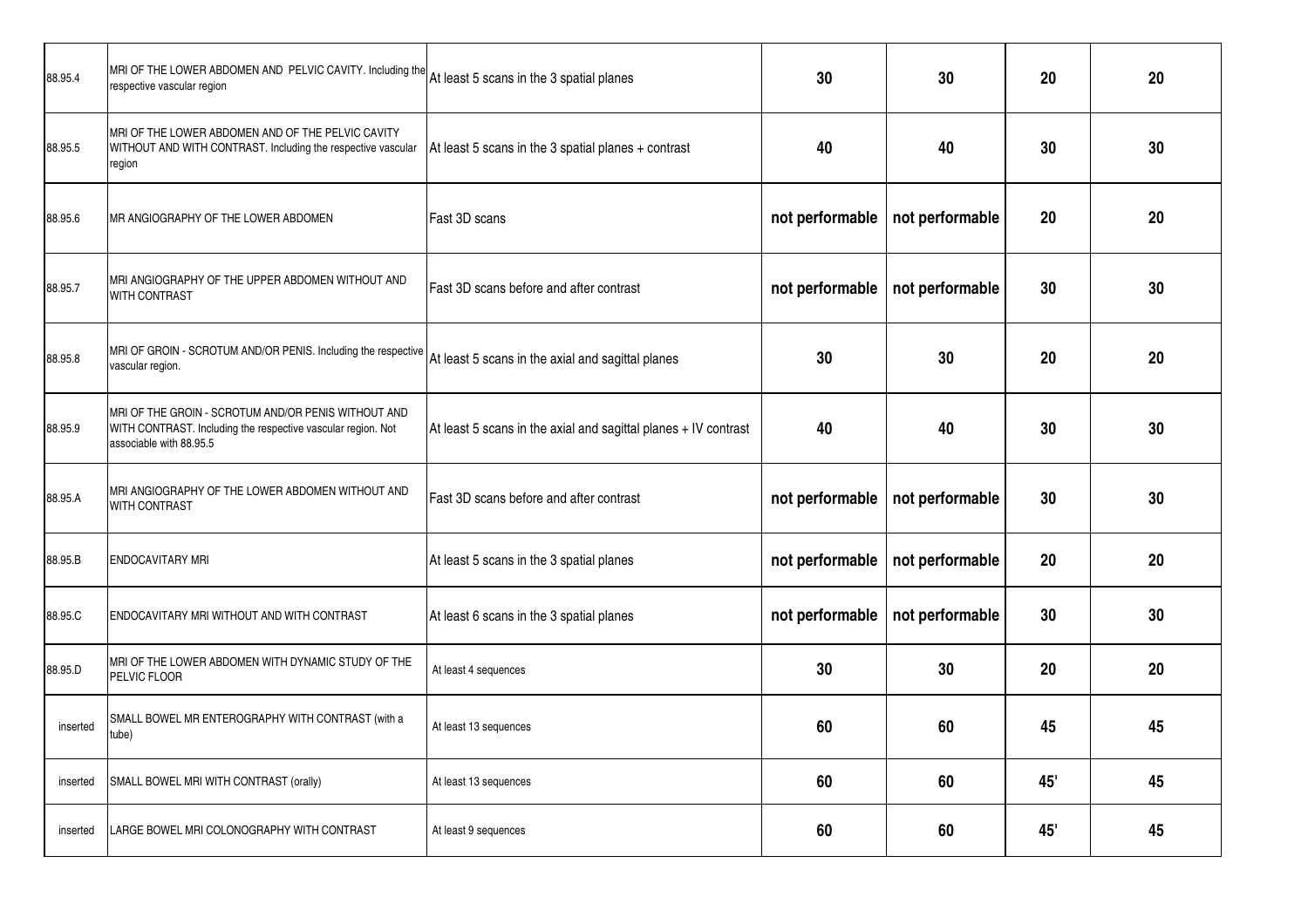| 88.95.4  | MRI OF THE LOWER ABDOMEN AND PELVIC CAVITY. Including the<br>respective vascular region                                                        | At least 5 scans in the 3 spatial planes                        | 30              | 30              | 20  | 20 |
|----------|------------------------------------------------------------------------------------------------------------------------------------------------|-----------------------------------------------------------------|-----------------|-----------------|-----|----|
| 88.95.5  | MRI OF THE LOWER ABDOMEN AND OF THE PELVIC CAVITY<br>WITHOUT AND WITH CONTRAST. Including the respective vascular<br>region                    | At least 5 scans in the 3 spatial planes + contrast             | 40              | 40              | 30  | 30 |
| 88.95.6  | MR ANGIOGRAPHY OF THE LOWER ABDOMEN                                                                                                            | Fast 3D scans                                                   | not performable | not performable | 20  | 20 |
| 88.95.7  | MRI ANGIOGRAPHY OF THE UPPER ABDOMEN WITHOUT AND<br>WITH CONTRAST                                                                              | Fast 3D scans before and after contrast                         | not performable | not performable | 30  | 30 |
| 88.95.8  | MRI OF GROIN - SCROTUM AND/OR PENIS. Including the respective<br>vascular region.                                                              | At least 5 scans in the axial and sagittal planes               | 30              | 30              | 20  | 20 |
| 88.95.9  | MRI OF THE GROIN - SCROTUM AND/OR PENIS WITHOUT AND<br>WITH CONTRAST. Including the respective vascular region. Not<br>associable with 88.95.5 | At least 5 scans in the axial and sagittal planes + IV contrast | 40              | 40              | 30  | 30 |
| 88.95.A  | MRI ANGIOGRAPHY OF THE LOWER ABDOMEN WITHOUT AND<br>WITH CONTRAST                                                                              | Fast 3D scans before and after contrast                         | not performable | not performable | 30  | 30 |
| 88.95.B  | ENDOCAVITARY MRI                                                                                                                               | At least 5 scans in the 3 spatial planes                        | not performable | not performable | 20  | 20 |
| 88.95.C  | ENDOCAVITARY MRI WITHOUT AND WITH CONTRAST                                                                                                     | At least 6 scans in the 3 spatial planes                        | not performable | not performable | 30  | 30 |
| 88.95.D  | MRI OF THE LOWER ABDOMEN WITH DYNAMIC STUDY OF THE<br>PELVIC FLOOR                                                                             | At least 4 sequences                                            | 30              | 30              | 20  | 20 |
| inserted | SMALL BOWEL MR ENTEROGRAPHY WITH CONTRAST (with a<br>tube)                                                                                     | At least 13 sequences                                           | 60              | 60              | 45  | 45 |
| inserted | SMALL BOWEL MRI WITH CONTRAST (orally)                                                                                                         | At least 13 sequences                                           | 60              | 60              | 45' | 45 |
| inserted | LARGE BOWEL MRI COLONOGRAPHY WITH CONTRAST                                                                                                     | At least 9 sequences                                            | 60              | 60              | 45' | 45 |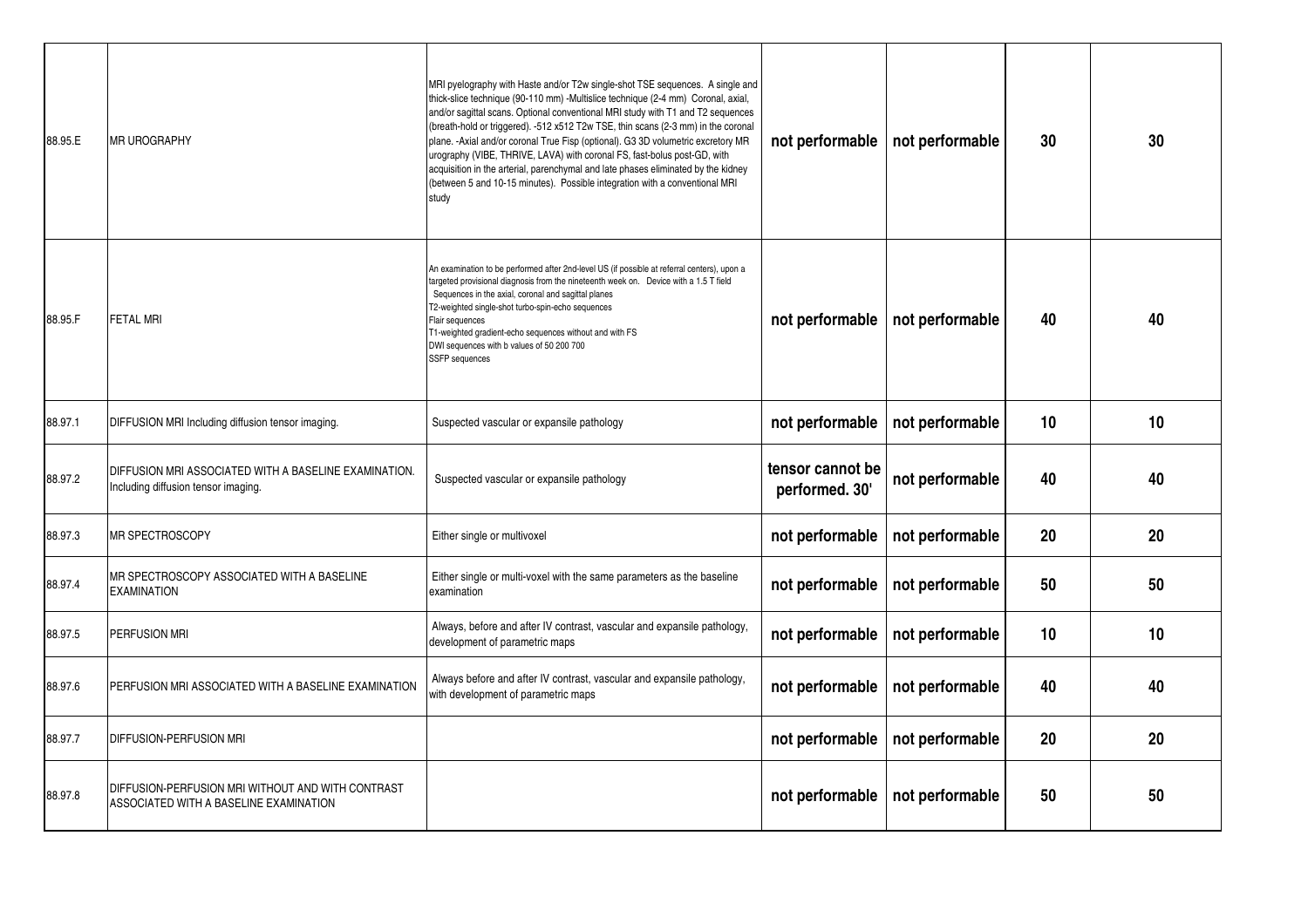| 88.95.E | <b>MR UROGRAPHY</b>                                                                          | MRI pyelography with Haste and/or T2w single-shot TSE sequences. A single and<br>thick-slice technique (90-110 mm) -Multislice technique (2-4 mm) Coronal, axial,<br>and/or sagittal scans. Optional conventional MRI study with T1 and T2 sequences<br>(breath-hold or triggered). -512 x512 T2w TSE, thin scans (2-3 mm) in the coronal<br>plane. - Axial and/or coronal True Fisp (optional). G3 3D volumetric excretory MR<br>urography (VIBE, THRIVE, LAVA) with coronal FS, fast-bolus post-GD, with<br>acquisition in the arterial, parenchymal and late phases eliminated by the kidney<br>(between 5 and 10-15 minutes). Possible integration with a conventional MRI<br>study | not performable                    | not performable | 30 | 30 |
|---------|----------------------------------------------------------------------------------------------|-----------------------------------------------------------------------------------------------------------------------------------------------------------------------------------------------------------------------------------------------------------------------------------------------------------------------------------------------------------------------------------------------------------------------------------------------------------------------------------------------------------------------------------------------------------------------------------------------------------------------------------------------------------------------------------------|------------------------------------|-----------------|----|----|
| 88.95.F | <b>FETAL MRI</b>                                                                             | An examination to be performed after 2nd-level US (if possible at referral centers), upon a<br>targeted provisional diagnosis from the nineteenth week on. Device with a 1.5 T field<br>Sequences in the axial, coronal and sagittal planes<br>T2-weighted single-shot turbo-spin-echo sequences<br>Flair sequences<br>T1-weighted gradient-echo sequences without and with FS<br>DWI sequences with b values of 50 200 700<br>SSFP sequences                                                                                                                                                                                                                                           | not performable                    | not performable | 40 | 40 |
| 88.97.1 | DIFFUSION MRI Including diffusion tensor imaging.                                            | Suspected vascular or expansile pathology                                                                                                                                                                                                                                                                                                                                                                                                                                                                                                                                                                                                                                               | not performable                    | not performable | 10 | 10 |
| 88.97.2 | DIFFUSION MRI ASSOCIATED WITH A BASELINE EXAMINATION.<br>Including diffusion tensor imaging. | Suspected vascular or expansile pathology                                                                                                                                                                                                                                                                                                                                                                                                                                                                                                                                                                                                                                               | tensor cannot be<br>performed. 30' | not performable | 40 | 40 |
| 88.97.3 | MR SPECTROSCOPY                                                                              | Either single or multivoxel                                                                                                                                                                                                                                                                                                                                                                                                                                                                                                                                                                                                                                                             | not performable                    | not performable | 20 | 20 |
| 88.97.4 | MR SPECTROSCOPY ASSOCIATED WITH A BASELINE<br><b>EXAMINATION</b>                             | Either single or multi-voxel with the same parameters as the baseline<br>examination                                                                                                                                                                                                                                                                                                                                                                                                                                                                                                                                                                                                    | not performable                    | not performable | 50 | 50 |
| 88.97.5 | PERFUSION MRI                                                                                | Always, before and after IV contrast, vascular and expansile pathology,<br>development of parametric maps                                                                                                                                                                                                                                                                                                                                                                                                                                                                                                                                                                               | not performable                    | not performable | 10 | 10 |
| 88.97.6 | PERFUSION MRI ASSOCIATED WITH A BASELINE EXAMINATION                                         | Always before and after IV contrast, vascular and expansile pathology,<br>with development of parametric maps                                                                                                                                                                                                                                                                                                                                                                                                                                                                                                                                                                           | not performable                    | not performable | 40 | 40 |
| 88.97.7 | <b>DIFFUSION-PERFUSION MRI</b>                                                               |                                                                                                                                                                                                                                                                                                                                                                                                                                                                                                                                                                                                                                                                                         | not performable                    | not performable | 20 | 20 |
| 88.97.8 | DIFFUSION-PERFUSION MRI WITHOUT AND WITH CONTRAST<br>ASSOCIATED WITH A BASELINE EXAMINATION  |                                                                                                                                                                                                                                                                                                                                                                                                                                                                                                                                                                                                                                                                                         | not performable                    | not performable | 50 | 50 |